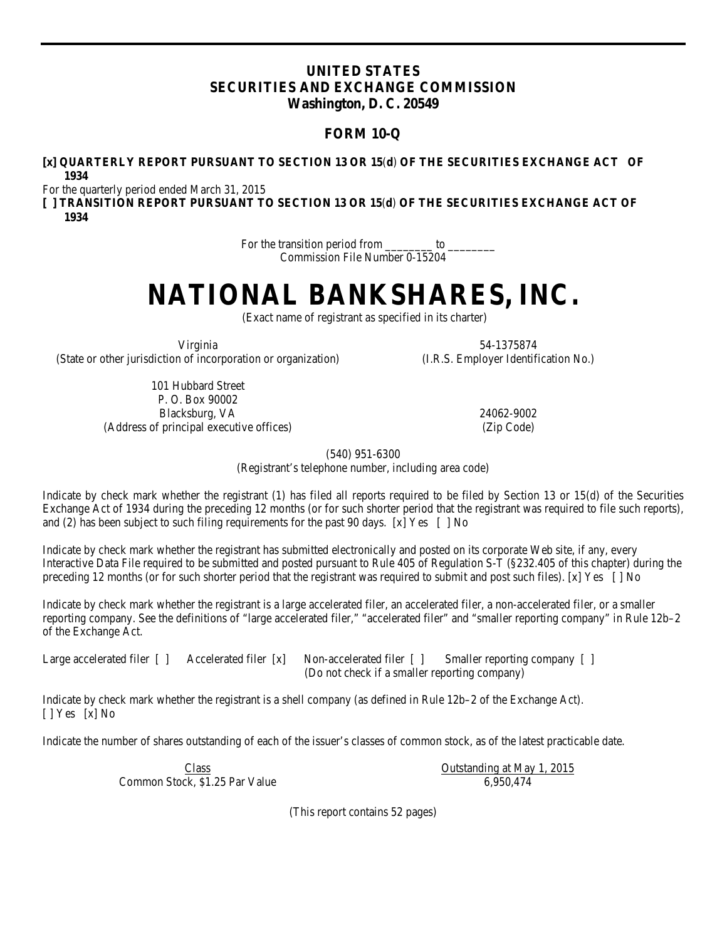# **UNITED STATES SECURITIES AND EXCHANGE COMMISSION Washington, D. C. 20549**

# **FORM 10-Q**

# **[x] QUARTERLY REPORT PURSUANT TO SECTION 13 OR 15**(**d**) **OF THE SECURITIES EXCHANGE ACT OF 1934**

For the quarterly period ended March 31, 2015

**[ ] TRANSITION REPORT PURSUANT TO SECTION 13 OR 15**(**d**) **OF THE SECURITIES EXCHANGE ACT OF 1934**

> For the transition period from \_\_\_\_\_\_\_\_\_ to Commission File Number 0-15204

# **NATIONAL BANKSHARES, INC.**

(Exact name of registrant as specified in its charter)

Virginia (State or other jurisdiction of incorporation or organization)

> 101 Hubbard Street P. O. Box 90002 Blacksburg, VA 24062-9002 (Address of principal executive offices) (Zip Code)

54-1375874 (I.R.S. Employer Identification No.)

(540) 951-6300

(Registrant's telephone number, including area code)

Indicate by check mark whether the registrant (1) has filed all reports required to be filed by Section 13 or 15(d) of the Securities Exchange Act of 1934 during the preceding 12 months (or for such shorter period that the registrant was required to file such reports), and (2) has been subject to such filing requirements for the past 90 days. [x] Yes [ ] No

Indicate by check mark whether the registrant has submitted electronically and posted on its corporate Web site, if any, every Interactive Data File required to be submitted and posted pursuant to Rule 405 of Regulation S-T (§232.405 of this chapter) during the preceding 12 months (or for such shorter period that the registrant was required to submit and post such files). [x] Yes  $\lceil \text{No} \rceil$ 

Indicate by check mark whether the registrant is a large accelerated filer, an accelerated filer, a non-accelerated filer, or a smaller reporting company. See the definitions of "large accelerated filer," "accelerated filer" and "smaller reporting company" in Rule 12b–2 of the Exchange Act.

Large accelerated filer [ ] Accelerated filer [ x] Non-accelerated filer [ ] Smaller reporting company [ ] (Do not check if a smaller reporting company)

Indicate by check mark whether the registrant is a shell company (as defined in Rule 12b–2 of the Exchange Act). [ ] Yes [x] No

Indicate the number of shares outstanding of each of the issuer's classes of common stock, as of the latest practicable date.

**Class** Common Stock, \$1.25 Par Value Outstanding at May 1, 2015 6,950,474

(This report contains 52 pages)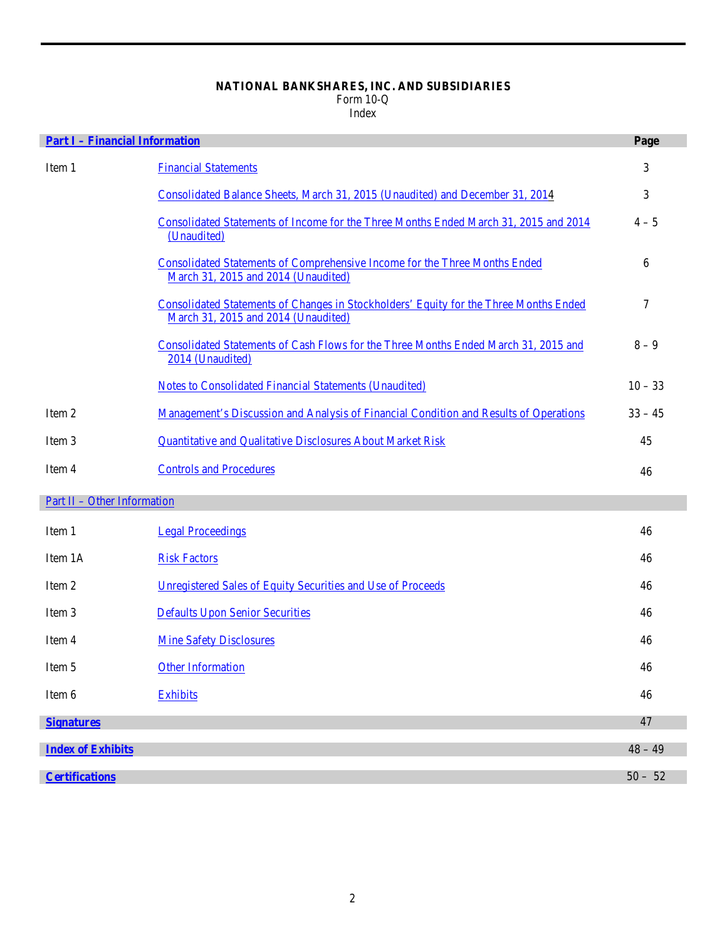# **NATIONAL BANKSHARES, INC. AND SUBSIDIARIES**

Form 10-Q

Index

| <b>Part I - Financial Information</b> |                                                                                                                                     | Page      |
|---------------------------------------|-------------------------------------------------------------------------------------------------------------------------------------|-----------|
| Item 1                                | <b>Financial Statements</b>                                                                                                         | 3         |
|                                       | Consolidated Balance Sheets, March 31, 2015 (Unaudited) and December 31, 2014                                                       | 3         |
|                                       | Consolidated Statements of Income for the Three Months Ended March 31, 2015 and 2014<br>(Unaudited)                                 | $4 - 5$   |
|                                       | <b>Consolidated Statements of Comprehensive Income for the Three Months Ended</b><br>March 31, 2015 and 2014 (Unaudited)            | 6         |
|                                       | <b>Consolidated Statements of Changes in Stockholders' Equity for the Three Months Ended</b><br>March 31, 2015 and 2014 (Unaudited) | 7         |
|                                       | Consolidated Statements of Cash Flows for the Three Months Ended March 31, 2015 and<br>2014 (Unaudited)                             | $8 - 9$   |
|                                       | <b>Notes to Consolidated Financial Statements (Unaudited)</b>                                                                       | $10 - 33$ |
| Item 2                                | Management's Discussion and Analysis of Financial Condition and Results of Operations                                               | $33 - 45$ |
| Item 3                                | Quantitative and Qualitative Disclosures About Market Risk                                                                          | 45        |
| Item 4                                | <b>Controls and Procedures</b>                                                                                                      | 46        |
| <u>Part II - Other Information</u>    |                                                                                                                                     |           |
| Item 1                                | <b>Legal Proceedings</b>                                                                                                            | 46        |
| Item 1A                               | <b>Risk Factors</b>                                                                                                                 | 46        |
| Item 2                                | Unregistered Sales of Equity Securities and Use of Proceeds                                                                         | 46        |
| Item 3                                | <b>Defaults Upon Senior Securities</b>                                                                                              | 46        |
| Item 4                                | <b>Mine Safety Disclosures</b>                                                                                                      | 46        |
| Item 5                                | <b>Other Information</b>                                                                                                            | 46        |
| Item 6                                | <b>Exhibits</b>                                                                                                                     | 46        |
| <b>Signatures</b>                     |                                                                                                                                     | 47        |
| <b>Index of Exhibits</b>              |                                                                                                                                     | $48 - 49$ |
|                                       |                                                                                                                                     |           |
| <b>Certifications</b>                 |                                                                                                                                     | $50 - 52$ |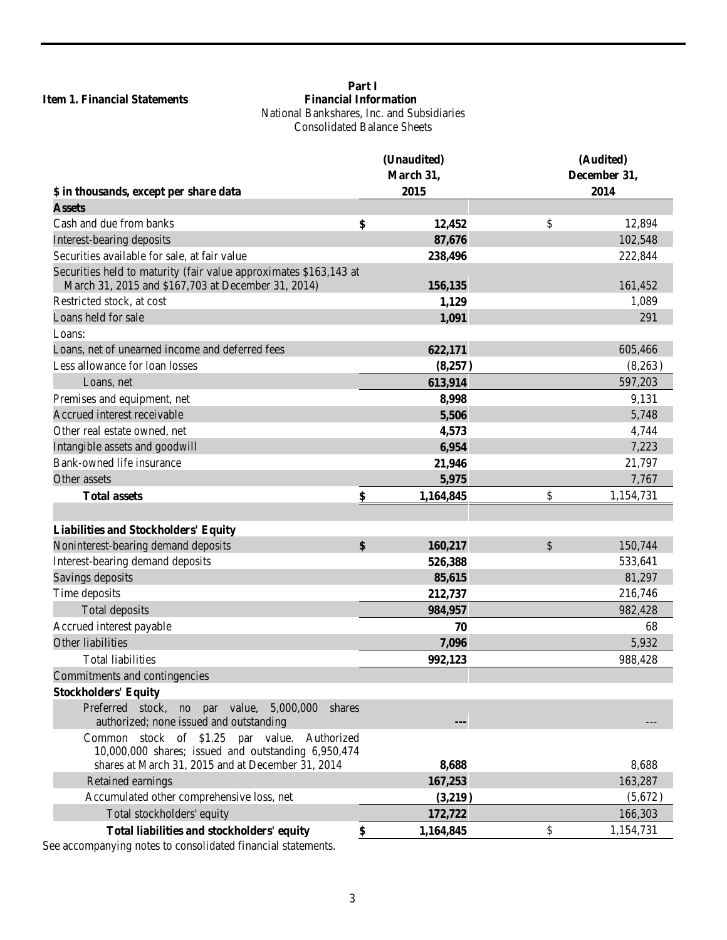# <span id="page-2-1"></span><span id="page-2-0"></span>**Item 1. Financial Statements**

# **Part I**<br>Financial Information National Bankshares, Inc. and Subsidiaries Consolidated Balance Sheets

|                                                                                                                                                             | (Unaudited) |           | (Audited)    |           |  |
|-------------------------------------------------------------------------------------------------------------------------------------------------------------|-------------|-----------|--------------|-----------|--|
|                                                                                                                                                             | March 31,   |           | December 31, |           |  |
| \$ in thousands, except per share data                                                                                                                      |             | 2015      |              | 2014      |  |
| <b>Assets</b>                                                                                                                                               |             |           |              |           |  |
| Cash and due from banks                                                                                                                                     | \$          | 12,452    | \$           | 12,894    |  |
| Interest-bearing deposits                                                                                                                                   |             | 87,676    |              | 102,548   |  |
| Securities available for sale, at fair value                                                                                                                |             | 238,496   |              | 222,844   |  |
| Securities held to maturity (fair value approximates \$163,143 at<br>March 31, 2015 and \$167,703 at December 31, 2014)                                     |             | 156,135   |              | 161,452   |  |
| Restricted stock, at cost                                                                                                                                   |             | 1,129     |              | 1,089     |  |
| Loans held for sale                                                                                                                                         |             | 1,091     |              | 291       |  |
| Loans:                                                                                                                                                      |             |           |              |           |  |
| Loans, net of unearned income and deferred fees                                                                                                             |             | 622,171   |              | 605,466   |  |
| Less allowance for loan losses                                                                                                                              |             | (8,257)   |              | (8,263)   |  |
| Loans, net                                                                                                                                                  |             | 613,914   |              | 597,203   |  |
| Premises and equipment, net                                                                                                                                 |             | 8,998     |              | 9,131     |  |
| Accrued interest receivable                                                                                                                                 |             | 5,506     |              | 5,748     |  |
| Other real estate owned, net                                                                                                                                |             | 4,573     |              | 4,744     |  |
| Intangible assets and goodwill                                                                                                                              |             | 6,954     |              | 7,223     |  |
| Bank-owned life insurance                                                                                                                                   |             | 21,946    |              | 21,797    |  |
| Other assets                                                                                                                                                |             | 5,975     |              | 7,767     |  |
| <b>Total assets</b>                                                                                                                                         | \$          | 1,164,845 | \$           | 1,154,731 |  |
|                                                                                                                                                             |             |           |              |           |  |
| <b>Liabilities and Stockholders' Equity</b>                                                                                                                 |             |           |              |           |  |
| Noninterest-bearing demand deposits                                                                                                                         | \$          | 160,217   | \$           | 150,744   |  |
| Interest-bearing demand deposits                                                                                                                            |             | 526,388   |              | 533,641   |  |
| Savings deposits                                                                                                                                            |             | 85,615    |              | 81,297    |  |
| Time deposits                                                                                                                                               |             | 212,737   |              | 216,746   |  |
| Total deposits                                                                                                                                              |             | 984,957   |              | 982,428   |  |
| Accrued interest payable                                                                                                                                    |             | 70        |              | 68        |  |
| Other liabilities                                                                                                                                           |             | 7,096     |              | 5,932     |  |
| <b>Total liabilities</b>                                                                                                                                    |             | 992,123   |              | 988,428   |  |
| Commitments and contingencies                                                                                                                               |             |           |              |           |  |
| <b>Stockholders' Equity</b>                                                                                                                                 |             |           |              |           |  |
| Preferred stock, no par value, 5,000,000<br>shares<br>authorized; none issued and outstanding                                                               |             |           |              |           |  |
| Common stock of \$1.25 par value.<br>Authorized<br>10,000,000 shares; issued and outstanding 6,950,474<br>shares at March 31, 2015 and at December 31, 2014 |             | 8,688     |              | 8,688     |  |
| Retained earnings                                                                                                                                           |             | 167,253   |              | 163,287   |  |
| Accumulated other comprehensive loss, net                                                                                                                   |             | (3,219)   |              | (5,672)   |  |
| Total stockholders' equity                                                                                                                                  |             | 172,722   |              | 166,303   |  |
| Total liabilities and stockholders' equity                                                                                                                  | \$          | 1,164,845 | \$           | 1,154,731 |  |
|                                                                                                                                                             |             |           |              |           |  |

See accompanying notes to consolidated financial statements.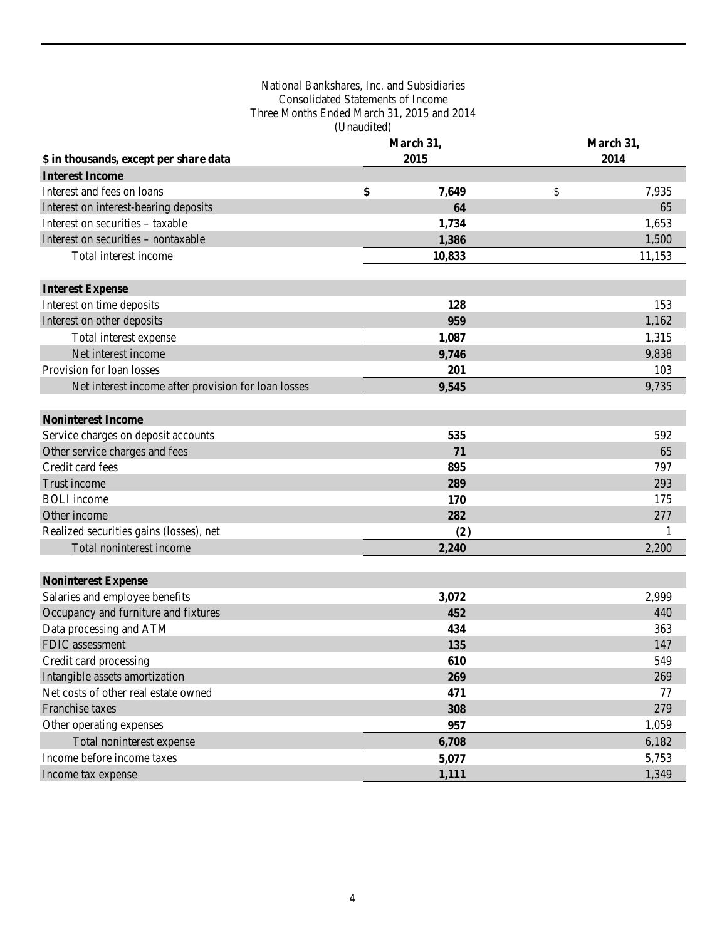# National Bankshares, Inc. and Subsidiaries Consolidated Statements of Income Three Months Ended March 31, 2015 and 2014 (Unaudited)

<span id="page-3-0"></span>

|                                                     | March 31, |        | March 31, |        |  |
|-----------------------------------------------------|-----------|--------|-----------|--------|--|
| \$ in thousands, except per share data              |           | 2015   | 2014      |        |  |
| <b>Interest Income</b>                              |           |        |           |        |  |
| Interest and fees on loans                          | \$        | 7,649  | \$        | 7,935  |  |
| Interest on interest-bearing deposits               |           | 64     |           | 65     |  |
| Interest on securities - taxable                    |           | 1,734  |           | 1,653  |  |
| Interest on securities - nontaxable                 |           | 1,386  |           | 1,500  |  |
| Total interest income                               |           | 10,833 |           | 11,153 |  |
| <b>Interest Expense</b>                             |           |        |           |        |  |
| Interest on time deposits                           |           | 128    |           | 153    |  |
| Interest on other deposits                          |           | 959    |           | 1,162  |  |
| Total interest expense                              |           | 1,087  |           | 1,315  |  |
| Net interest income                                 |           | 9,746  |           | 9,838  |  |
| Provision for loan losses                           |           | 201    |           | 103    |  |
| Net interest income after provision for loan losses |           | 9,545  |           | 9,735  |  |
| <b>Noninterest Income</b>                           |           |        |           |        |  |
| Service charges on deposit accounts                 |           | 535    |           | 592    |  |
| Other service charges and fees                      |           | 71     |           | 65     |  |
| Credit card fees                                    |           | 895    |           | 797    |  |
| Trust income                                        |           | 289    |           | 293    |  |
| <b>BOLI</b> income                                  |           | 170    |           | 175    |  |
| Other income                                        |           | 282    |           | 277    |  |
| Realized securities gains (losses), net             |           | (2)    |           | -1     |  |
| Total noninterest income                            |           | 2,240  |           | 2,200  |  |
| <b>Noninterest Expense</b>                          |           |        |           |        |  |
| Salaries and employee benefits                      |           | 3,072  |           | 2,999  |  |
| Occupancy and furniture and fixtures                |           | 452    |           | 440    |  |
| Data processing and ATM                             |           | 434    |           | 363    |  |
| FDIC assessment                                     |           | 135    |           | 147    |  |
| Credit card processing                              |           | 610    |           | 549    |  |
| Intangible assets amortization                      |           | 269    |           | 269    |  |
| Net costs of other real estate owned                |           | 471    |           | 77     |  |
| Franchise taxes                                     |           | 308    |           | 279    |  |
| Other operating expenses                            |           | 957    |           | 1,059  |  |
| Total noninterest expense                           |           | 6,708  |           | 6,182  |  |
| Income before income taxes                          |           | 5,077  |           | 5,753  |  |
| Income tax expense                                  |           | 1,111  |           | 1,349  |  |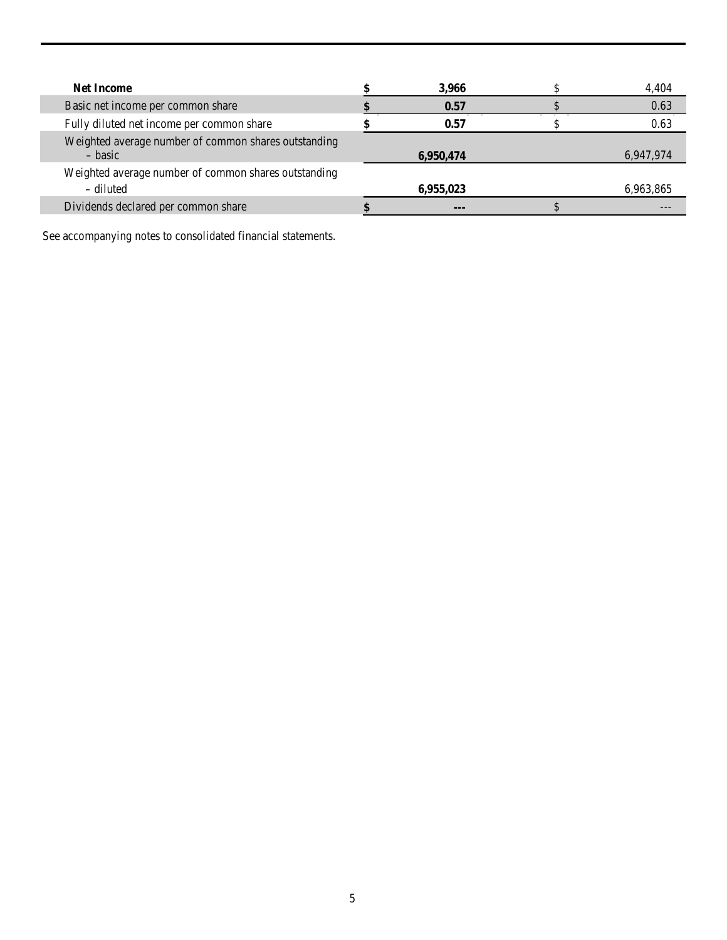| <b>Net Income</b>                                                 | 3,966     | 4.404     |
|-------------------------------------------------------------------|-----------|-----------|
| Basic net income per common share                                 | 0.57      | 0.63      |
| Fully diluted net income per common share                         | 0.57      | 0.63      |
| Weighted average number of common shares outstanding<br>– basic   | 6,950,474 | 6,947,974 |
| Weighted average number of common shares outstanding<br>– diluted | 6,955,023 | 6,963,865 |
| Dividends declared per common share                               | --        |           |

See accompanying notes to consolidated financial statements.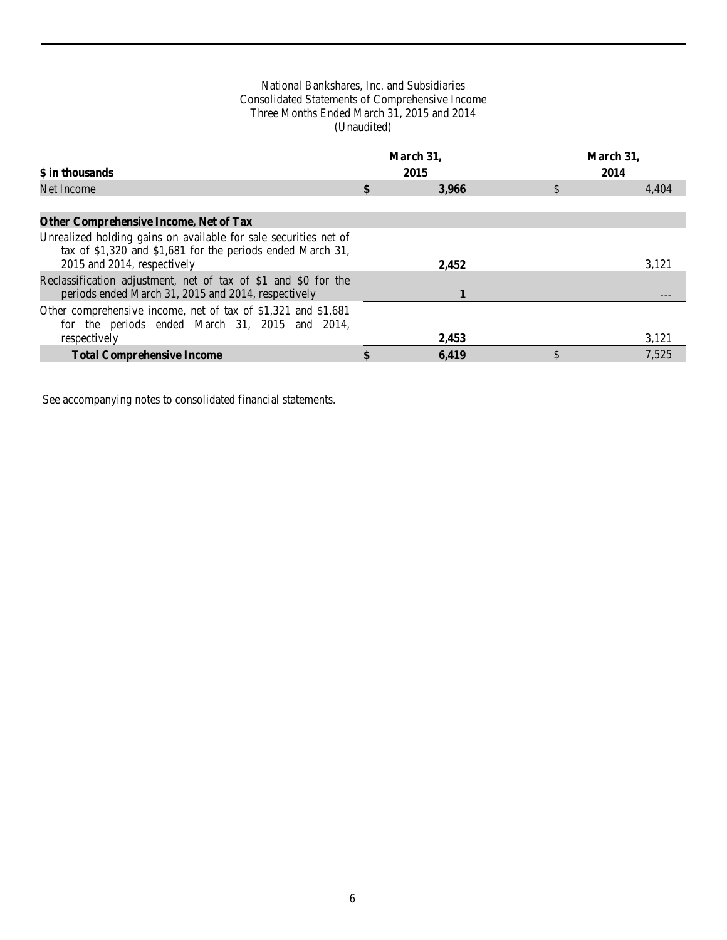# National Bankshares, Inc. and Subsidiaries Consolidated Statements of Comprehensive Income Three Months Ended March 31, 2015 and 2014 (Unaudited)

<span id="page-5-0"></span>

| \$ in thousands                                                                                                                                                 | March 31,<br>2015 | March 31,<br>2014 |
|-----------------------------------------------------------------------------------------------------------------------------------------------------------------|-------------------|-------------------|
| Net Income                                                                                                                                                      | 3.966             | \$<br>4,404       |
| <b>Other Comprehensive Income, Net of Tax</b>                                                                                                                   |                   |                   |
| Unrealized holding gains on available for sale securities net of<br>tax of $$1,320$ and $$1,681$ for the periods ended March 31,<br>2015 and 2014, respectively | 2,452             | 3,121             |
| Reclassification adjustment, net of tax of \$1 and \$0 for the<br>periods ended March 31, 2015 and 2014, respectively                                           |                   |                   |
| Other comprehensive income, net of tax of \$1,321 and \$1,681<br>for the periods ended March 31, 2015 and 2014,<br>respectively                                 | 2,453             | 3,121             |
| <b>Total Comprehensive Income</b>                                                                                                                               | 6.419             | 7.525             |

See accompanying notes to consolidated financial statements.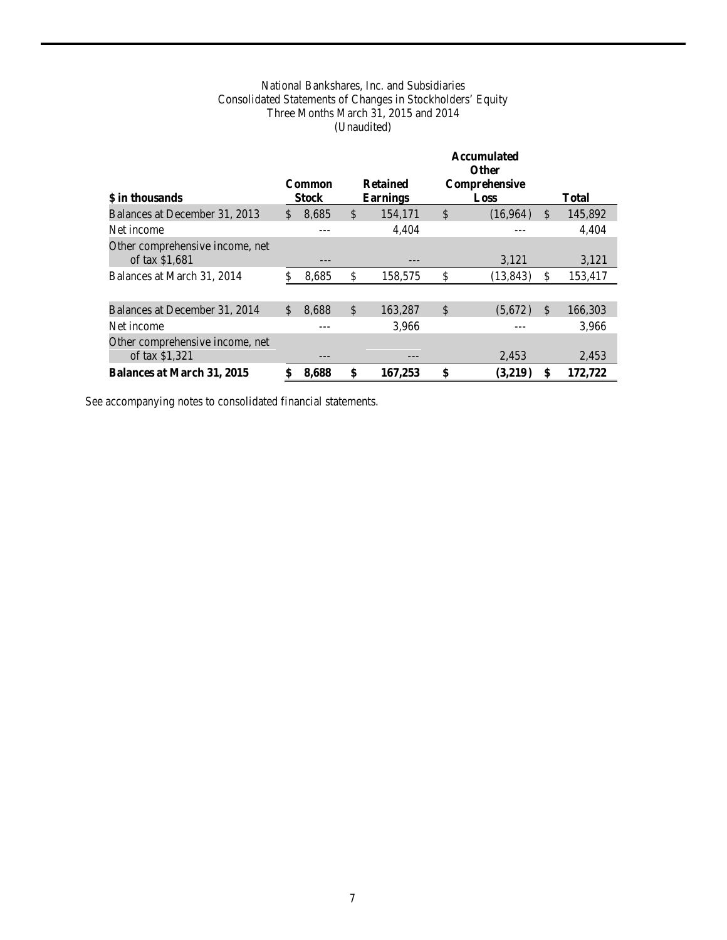# National Bankshares, Inc. and Subsidiaries Consolidated Statements of Changes in Stockholders' Equity Three Months March 31, 2015 and 2014 (Unaudited)

<span id="page-6-0"></span>

|                                                   |                        |                                    |               | <b>Accumulated</b><br><b>Other</b> |               |              |
|---------------------------------------------------|------------------------|------------------------------------|---------------|------------------------------------|---------------|--------------|
| \$ in thousands                                   | Common<br><b>Stock</b> | <b>Retained</b><br><b>Earnings</b> |               | Comprehensive<br>Loss              |               | <b>Total</b> |
| Balances at December 31, 2013                     | \$<br>8,685            | \$<br>154,171                      | $\mathcal{S}$ | (16,964)                           | <sup>\$</sup> | 145,892      |
| Net income                                        |                        | 4,404                              |               |                                    |               | 4.404        |
| Other comprehensive income, net<br>of tax \$1,681 |                        |                                    |               | 3,121                              |               | 3,121        |
| Balances at March 31, 2014                        | 8,685                  | \$<br>158,575                      | \$            | (13, 843)                          | \$.           | 153,417      |
|                                                   |                        |                                    |               |                                    |               |              |
| Balances at December 31, 2014                     | \$<br>8,688            | \$<br>163,287                      | $\mathbb{S}$  | (5,672)                            | $\mathcal{S}$ | 166,303      |
| Net income                                        |                        | 3,966                              |               |                                    |               | 3.966        |
| Other comprehensive income, net<br>of tax \$1,321 |                        |                                    |               | 2,453                              |               | 2,453        |
| <b>Balances at March 31, 2015</b>                 | 8,688                  | \$<br>167,253                      | \$            | (3,219)                            |               | 172,722      |

See accompanying notes to consolidated financial statements.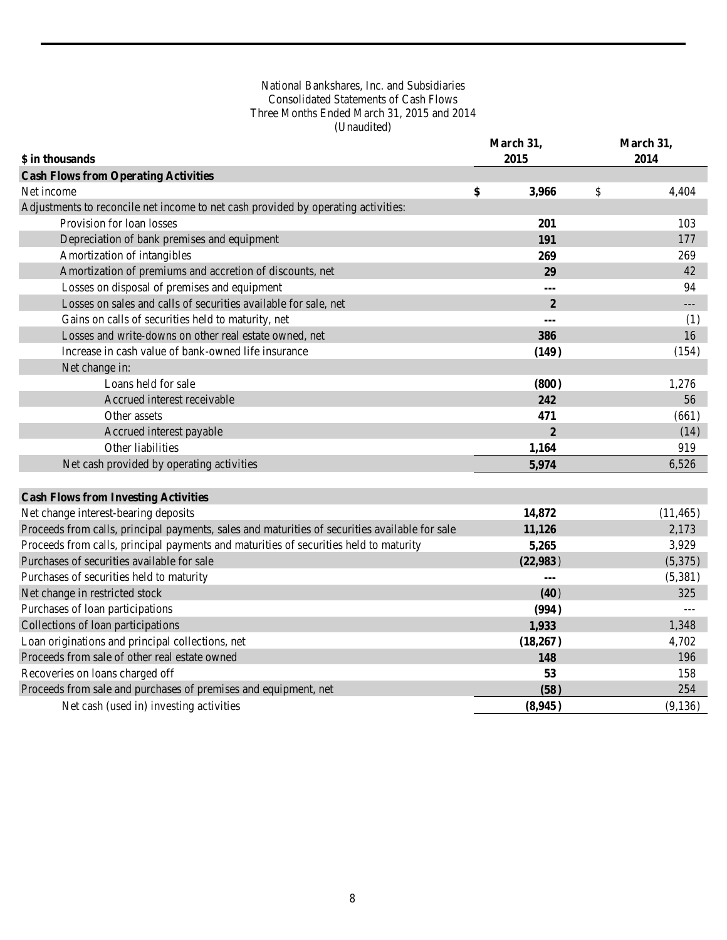# National Bankshares, Inc. and Subsidiaries Consolidated Statements of Cash Flows Three Months Ended March 31, 2015 and 2014 (Unaudited)

<span id="page-7-0"></span>

|                                                                                                |    | March 31,      | March 31, |           |
|------------------------------------------------------------------------------------------------|----|----------------|-----------|-----------|
| \$ in thousands                                                                                |    | 2015           |           | 2014      |
| <b>Cash Flows from Operating Activities</b>                                                    |    |                |           |           |
| Net income                                                                                     | \$ | 3,966          | \$        | 4,404     |
| Adjustments to reconcile net income to net cash provided by operating activities:              |    |                |           |           |
| Provision for loan losses                                                                      |    | 201            |           | 103       |
| Depreciation of bank premises and equipment                                                    |    | 191            |           | 177       |
| Amortization of intangibles                                                                    |    | 269            |           | 269       |
| Amortization of premiums and accretion of discounts, net                                       |    | 29             |           | 42        |
| Losses on disposal of premises and equipment                                                   |    | ---            |           | 94        |
| Losses on sales and calls of securities available for sale, net                                |    | $\overline{2}$ |           | ---       |
| Gains on calls of securities held to maturity, net                                             |    | $\overline{a}$ |           | (1)       |
| Losses and write-downs on other real estate owned, net                                         |    | 386            |           | 16        |
| Increase in cash value of bank-owned life insurance                                            |    | (149)          |           | (154)     |
| Net change in:                                                                                 |    |                |           |           |
| Loans held for sale                                                                            |    | (800)          |           | 1,276     |
| Accrued interest receivable                                                                    |    | 242            |           | 56        |
| Other assets                                                                                   |    | 471            |           | (661)     |
| Accrued interest payable                                                                       |    | $\overline{2}$ |           | (14)      |
| Other liabilities                                                                              |    | 1,164          |           | 919       |
| Net cash provided by operating activities                                                      |    | 5,974          |           | 6,526     |
| <b>Cash Flows from Investing Activities</b>                                                    |    |                |           |           |
| Net change interest-bearing deposits                                                           |    | 14,872         |           | (11, 465) |
| Proceeds from calls, principal payments, sales and maturities of securities available for sale |    | 11,126         |           | 2,173     |
| Proceeds from calls, principal payments and maturities of securities held to maturity          |    | 5,265          |           | 3,929     |
| Purchases of securities available for sale                                                     |    | (22,983)       |           | (5,375)   |
| Purchases of securities held to maturity                                                       |    |                |           | (5,381)   |
| Net change in restricted stock                                                                 |    | (40)           |           | 325       |
| Purchases of loan participations                                                               |    | (994)          |           |           |
| Collections of loan participations                                                             |    | 1,933          |           | 1,348     |
| Loan originations and principal collections, net                                               |    | (18,267)       |           | 4,702     |
| Proceeds from sale of other real estate owned                                                  |    | 148            |           | 196       |
| Recoveries on loans charged off                                                                |    | 53             |           | 158       |
| Proceeds from sale and purchases of premises and equipment, net                                |    | (58)           |           | 254       |
| Net cash (used in) investing activities                                                        |    | (8,945)        |           | (9,136)   |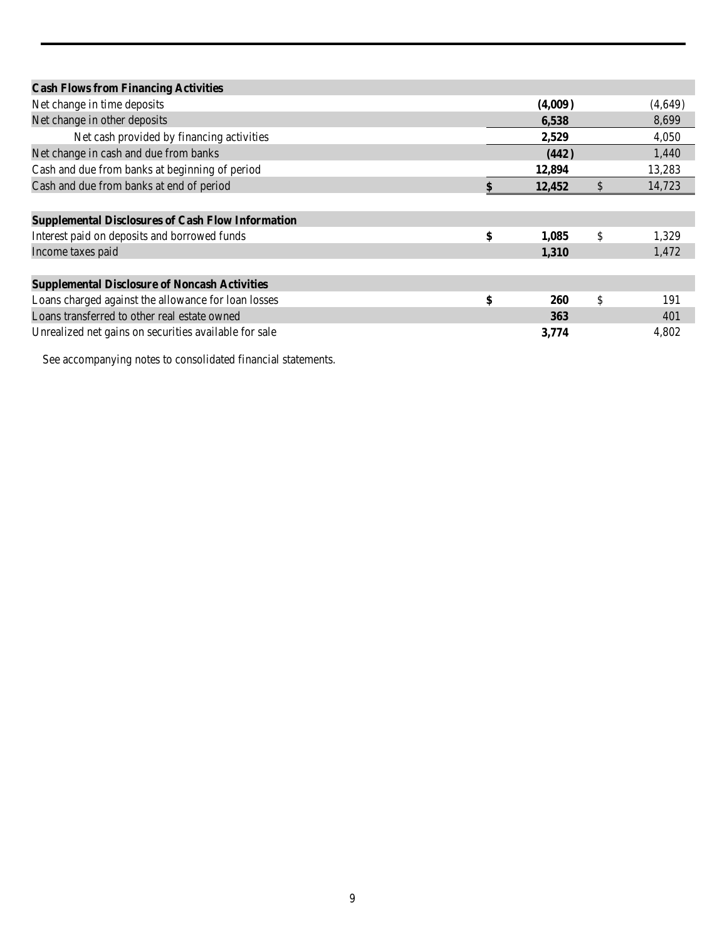| <b>Cash Flows from Financing Activities</b>              |                  |              |         |
|----------------------------------------------------------|------------------|--------------|---------|
| Net change in time deposits                              | (4,009)          |              | (4,649) |
| Net change in other deposits                             | 6,538            |              | 8,699   |
| Net cash provided by financing activities                | 2,529            |              | 4,050   |
| Net change in cash and due from banks                    | (442)            |              | 1,440   |
| Cash and due from banks at beginning of period           | 12,894           |              | 13,283  |
| Cash and due from banks at end of period                 | 12,452           | $\mathbb{S}$ | 14,723  |
|                                                          |                  |              |         |
| <b>Supplemental Disclosures of Cash Flow Information</b> |                  |              |         |
| Interest paid on deposits and borrowed funds             | \$<br>1,085      | \$           | 1,329   |
| Income taxes paid                                        | 1,310            |              | 1,472   |
|                                                          |                  |              |         |
| <b>Supplemental Disclosure of Noncash Activities</b>     |                  |              |         |
| Loans charged against the allowance for loan losses      | \$<br><b>260</b> | \$           | 191     |
| Loans transferred to other real estate owned             | 363              |              | 401     |
| Unrealized net gains on securities available for sale    | 3,774            |              | 4.802   |

See accompanying notes to consolidated financial statements.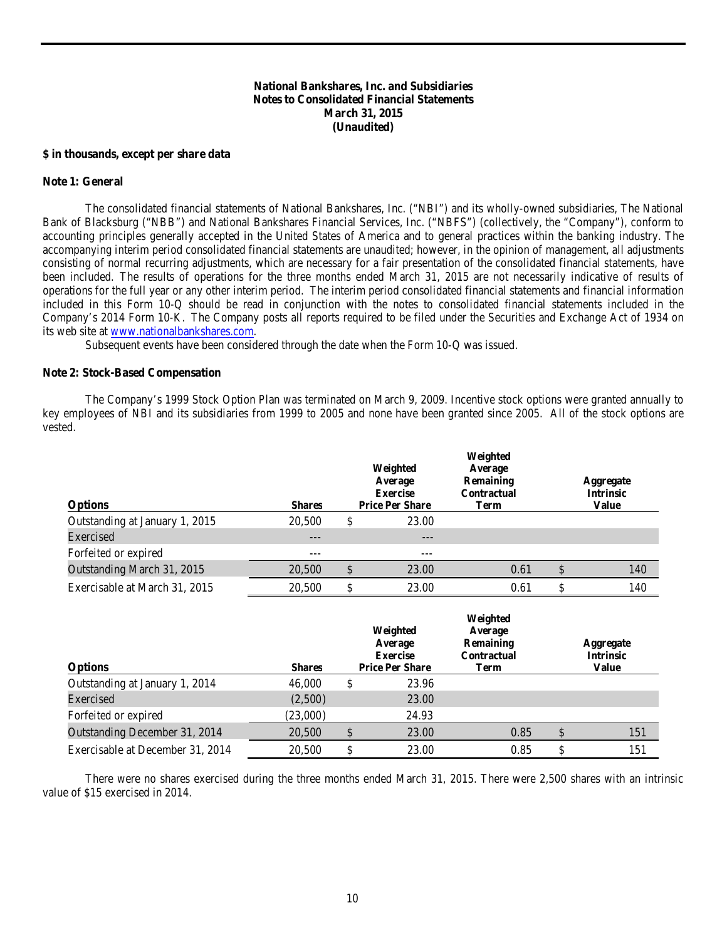# **National Bankshares, Inc. and Subsidiaries Notes to Consolidated Financial Statements March 31, 2015 (Unaudited)**

#### <span id="page-9-0"></span>**\$ in thousands, except per share data**

#### **Note 1: General**

The consolidated financial statements of National Bankshares, Inc. ("NBI") and its wholly-owned subsidiaries, The National Bank of Blacksburg ("NBB") and National Bankshares Financial Services, Inc. ("NBFS") (collectively, the "Company"), conform to accounting principles generally accepted in the United States of America and to general practices within the banking industry. The accompanying interim period consolidated financial statements are unaudited; however, in the opinion of management, all adjustments consisting of normal recurring adjustments, which are necessary for a fair presentation of the consolidated financial statements, have been included. The results of operations for the three months ended March 31, 2015 are not necessarily indicative of results of operations for the full year or any other interim period. The interim period consolidated financial statements and financial information included in this Form 10-Q should be read in conjunction with the notes to consolidated financial statements included in the Company's 2014 Form 10-K. The Company posts all reports required to be filed under the Securities and Exchange Act of 1934 on its web site at [www.nationalbankshares.com.](http://www.nationalbankshares.com/)

Subsequent events have been considered through the date when the Form 10-Q was issued.

#### **Note 2: Stock-Based Compensation**

The Company's 1999 Stock Option Plan was terminated on March 9, 2009. Incentive stock options were granted annually to key employees of NBI and its subsidiaries from 1999 to 2005 and none have been granted since 2005. All of the stock options are vested.

| <b>Options</b>                 | <b>Shares</b> | Weighted<br>Average<br><b>Exercise</b><br><b>Price Per Share</b> | Weighted<br>Average<br>Remaining<br>Contractual<br>Term | Aggregate<br><b>Intrinsic</b><br><b>Value</b> |
|--------------------------------|---------------|------------------------------------------------------------------|---------------------------------------------------------|-----------------------------------------------|
| Outstanding at January 1, 2015 | 20,500        | \$<br>23.00                                                      |                                                         |                                               |
| Exercised                      | $---$         | $---$                                                            |                                                         |                                               |
| Forfeited or expired           | ---           | ---                                                              |                                                         |                                               |
| Outstanding March 31, 2015     | 20,500        | 23.00                                                            | 0.61                                                    | 140                                           |
| Exercisable at March 31, 2015  | 20,500        | 23.00                                                            | 0.61                                                    | 140                                           |

| <b>Options</b>                   | <b>Shares</b> | Weighted<br>Average<br><b>Exercise</b><br><b>Price Per Share</b> | Weighted<br>Average<br>Remaining<br><b>Contractual</b><br>Term | Aggregate<br><b>Intrinsic</b><br>Value |
|----------------------------------|---------------|------------------------------------------------------------------|----------------------------------------------------------------|----------------------------------------|
| Outstanding at January 1, 2014   | 46,000        | 23.96                                                            |                                                                |                                        |
| Exercised                        | (2,500)       | 23.00                                                            |                                                                |                                        |
| Forfeited or expired             | (23,000)      | 24.93                                                            |                                                                |                                        |
| Outstanding December 31, 2014    | 20,500        | 23.00                                                            | 0.85                                                           | 151                                    |
| Exercisable at December 31, 2014 | 20.500        | 23.00                                                            | 0.85                                                           | \$<br>151                              |

There were no shares exercised during the three months ended March 31, 2015. There were 2,500 shares with an intrinsic value of \$15 exercised in 2014.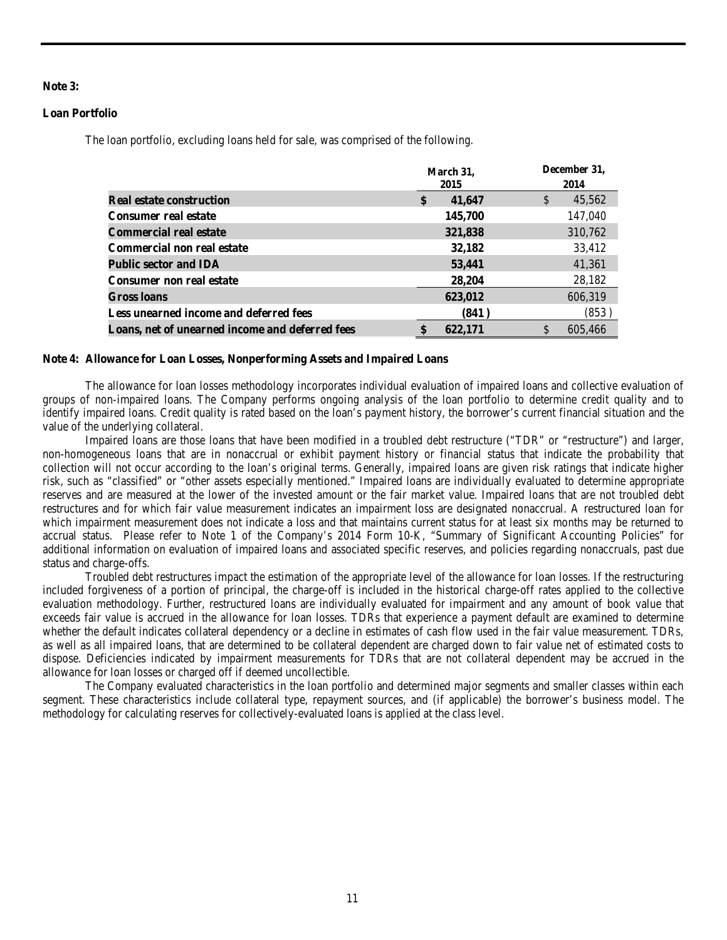# **Note 3:**

# **Loan Portfolio**

The loan portfolio, excluding loans held for sale, was comprised of the following.

|                                                 | March 31,              | December 31,           |  |  |
|-------------------------------------------------|------------------------|------------------------|--|--|
|                                                 | 2015                   | 2014                   |  |  |
| <b>Real estate construction</b>                 | $\mathbf{s}$<br>41,647 | $\mathbb{S}$<br>45,562 |  |  |
| <b>Consumer real estate</b>                     | 145,700                | 147,040                |  |  |
| <b>Commercial real estate</b>                   | 321,838                | 310,762                |  |  |
| Commercial non real estate                      | 32,182                 | 33,412                 |  |  |
| <b>Public sector and IDA</b>                    | 53,441                 | 41,361                 |  |  |
| <b>Consumer non real estate</b>                 | 28,204                 | 28,182                 |  |  |
| Gross loans                                     | 623,012                | 606,319                |  |  |
| Less unearned income and deferred fees          | (841)                  | (853)                  |  |  |
| Loans, net of unearned income and deferred fees | 622,171                | S<br>605,466           |  |  |

#### **Note 4: Allowance for Loan Losses, Nonperforming Assets and Impaired Loans**

The allowance for loan losses methodology incorporates individual evaluation of impaired loans and collective evaluation of groups of non-impaired loans. The Company performs ongoing analysis of the loan portfolio to determine credit quality and to identify impaired loans. Credit quality is rated based on the loan's payment history, the borrower's current financial situation and the value of the underlying collateral.

Impaired loans are those loans that have been modified in a troubled debt restructure ("TDR" or "restructure") and larger, non-homogeneous loans that are in nonaccrual or exhibit payment history or financial status that indicate the probability that collection will not occur according to the loan's original terms. Generally, impaired loans are given risk ratings that indicate higher risk, such as "classified" or "other assets especially mentioned." Impaired loans are individually evaluated to determine appropriate reserves and are measured at the lower of the invested amount or the fair market value. Impaired loans that are not troubled debt restructures and for which fair value measurement indicates an impairment loss are designated nonaccrual. A restructured loan for which impairment measurement does not indicate a loss and that maintains current status for at least six months may be returned to accrual status. Please refer to Note 1 of the Company's 2014 Form 10-K, "Summary of Significant Accounting Policies" for additional information on evaluation of impaired loans and associated specific reserves, and policies regarding nonaccruals, past due status and charge-offs.

Troubled debt restructures impact the estimation of the appropriate level of the allowance for loan losses. If the restructuring included forgiveness of a portion of principal, the charge-off is included in the historical charge-off rates applied to the collective evaluation methodology. Further, restructured loans are individually evaluated for impairment and any amount of book value that exceeds fair value is accrued in the allowance for loan losses. TDRs that experience a payment default are examined to determine whether the default indicates collateral dependency or a decline in estimates of cash flow used in the fair value measurement. TDRs, as well as all impaired loans, that are determined to be collateral dependent are charged down to fair value net of estimated costs to dispose. Deficiencies indicated by impairment measurements for TDRs that are not collateral dependent may be accrued in the allowance for loan losses or charged off if deemed uncollectible.

The Company evaluated characteristics in the loan portfolio and determined major segments and smaller classes within each segment. These characteristics include collateral type, repayment sources, and (if applicable) the borrower's business model. The methodology for calculating reserves for collectively-evaluated loans is applied at the class level.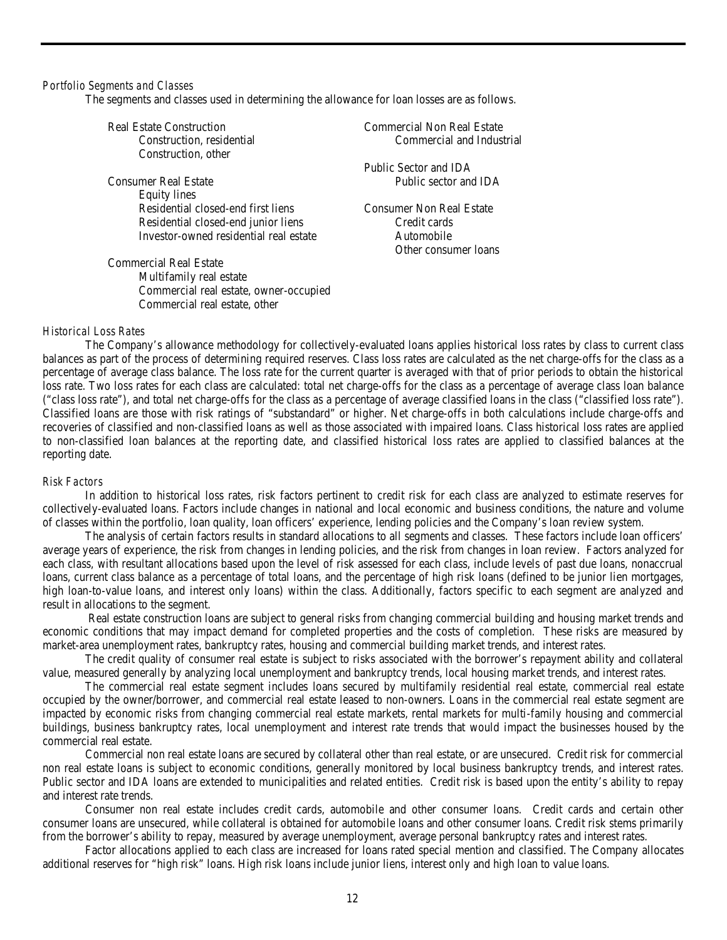#### *Portfolio Segments and Classes*

The segments and classes used in determining the allowance for loan losses are as follows.

Commercial real estate, owner-occupied

Commercial real estate, other

| <b>Real Estate Construction</b>        | <b>Commercial Non Real Estate</b> |
|----------------------------------------|-----------------------------------|
| Construction, residential              | Commercial and Industrial         |
| Construction, other                    |                                   |
|                                        | Public Sector and IDA             |
| Consumer Real Estate                   | Public sector and IDA             |
| Equity lines                           |                                   |
| Residential closed-end first liens     | <b>Consumer Non Real Estate</b>   |
| Residential closed-end junior liens    | Credit cards                      |
| Investor-owned residential real estate | Automobile                        |
|                                        | Other consumer loans              |
| <b>Commercial Real Estate</b>          |                                   |
| Multifamily real estate                |                                   |

#### *Historical Loss Rates*

The Company's allowance methodology for collectively-evaluated loans applies historical loss rates by class to current class balances as part of the process of determining required reserves. Class loss rates are calculated as the net charge-offs for the class as a percentage of average class balance. The loss rate for the current quarter is averaged with that of prior periods to obtain the historical loss rate. Two loss rates for each class are calculated: total net charge-offs for the class as a percentage of average class loan balance ("class loss rate"), and total net charge-offs for the class as a percentage of average classified loans in the class ("classified loss rate"). Classified loans are those with risk ratings of "substandard" or higher. Net charge-offs in both calculations include charge-offs and recoveries of classified and non-classified loans as well as those associated with impaired loans. Class historical loss rates are applied to non-classified loan balances at the reporting date, and classified historical loss rates are applied to classified balances at the reporting date.

#### *Risk Factors*

In addition to historical loss rates, risk factors pertinent to credit risk for each class are analyzed to estimate reserves for collectively-evaluated loans. Factors include changes in national and local economic and business conditions, the nature and volume of classes within the portfolio, loan quality, loan officers' experience, lending policies and the Company's loan review system.

The analysis of certain factors results in standard allocations to all segments and classes. These factors include loan officers' average years of experience, the risk from changes in lending policies, and the risk from changes in loan review. Factors analyzed for each class, with resultant allocations based upon the level of risk assessed for each class, include levels of past due loans, nonaccrual loans, current class balance as a percentage of total loans, and the percentage of high risk loans (defined to be junior lien mortgages, high loan-to-value loans, and interest only loans) within the class. Additionally, factors specific to each segment are analyzed and result in allocations to the segment.

Real estate construction loans are subject to general risks from changing commercial building and housing market trends and economic conditions that may impact demand for completed properties and the costs of completion. These risks are measured by market-area unemployment rates, bankruptcy rates, housing and commercial building market trends, and interest rates.

The credit quality of consumer real estate is subject to risks associated with the borrower's repayment ability and collateral value, measured generally by analyzing local unemployment and bankruptcy trends, local housing market trends, and interest rates.

The commercial real estate segment includes loans secured by multifamily residential real estate, commercial real estate occupied by the owner/borrower, and commercial real estate leased to non-owners. Loans in the commercial real estate segment are impacted by economic risks from changing commercial real estate markets, rental markets for multi-family housing and commercial buildings, business bankruptcy rates, local unemployment and interest rate trends that would impact the businesses housed by the commercial real estate.

Commercial non real estate loans are secured by collateral other than real estate, or are unsecured. Credit risk for commercial non real estate loans is subject to economic conditions, generally monitored by local business bankruptcy trends, and interest rates. Public sector and IDA loans are extended to municipalities and related entities. Credit risk is based upon the entity's ability to repay and interest rate trends.

Consumer non real estate includes credit cards, automobile and other consumer loans. Credit cards and certain other consumer loans are unsecured, while collateral is obtained for automobile loans and other consumer loans. Credit risk stems primarily from the borrower's ability to repay, measured by average unemployment, average personal bankruptcy rates and interest rates.

Factor allocations applied to each class are increased for loans rated special mention and classified. The Company allocates additional reserves for "high risk" loans. High risk loans include junior liens, interest only and high loan to value loans.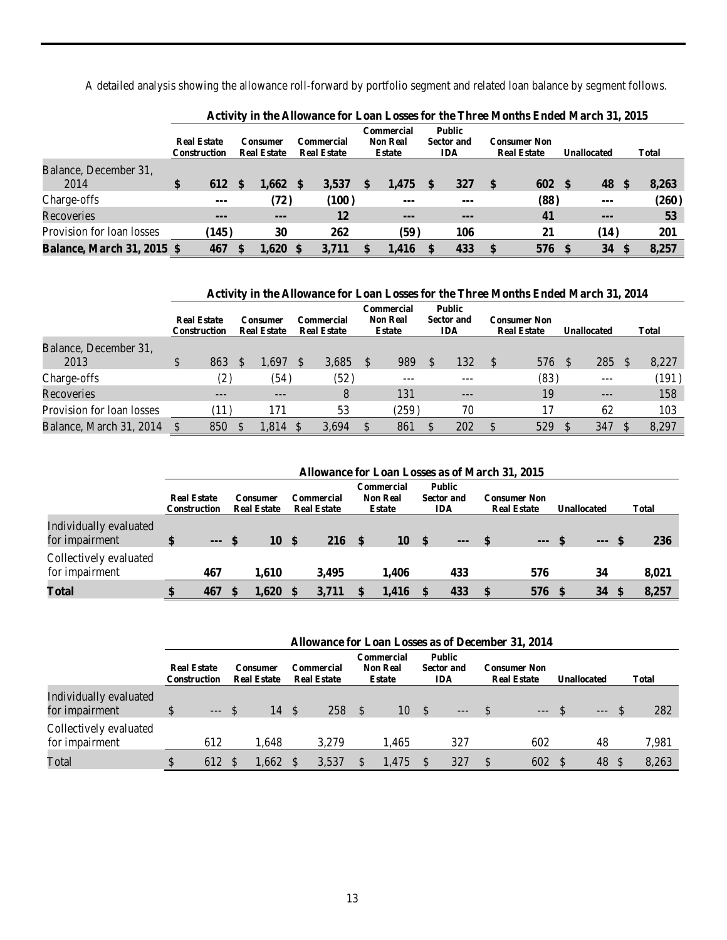A detailed analysis showing the allowance roll-forward by portfolio segment and related loan balance by segment follows.

|                                   |                                           | Activity in the Antowance for Equal Equud for the Three Monthly Ended March 91, 2010 |                                |        |                                  |       |                                                       |       |                                                  |     |                                           |             |  |              |       |
|-----------------------------------|-------------------------------------------|--------------------------------------------------------------------------------------|--------------------------------|--------|----------------------------------|-------|-------------------------------------------------------|-------|--------------------------------------------------|-----|-------------------------------------------|-------------|--|--------------|-------|
|                                   | <b>Real Estate</b><br><b>Construction</b> |                                                                                      | Consumer<br><b>Real Estate</b> |        | Commercial<br><b>Real Estate</b> |       | <b>Commercial</b><br><b>Non Real</b><br><b>Estate</b> |       | <b>Public</b><br><b>Sector and</b><br><b>IDA</b> |     | <b>Consumer Non</b><br><b>Real Estate</b> | Unallocated |  | <b>Total</b> |       |
| Balance, December 31,<br>2014     | \$                                        | 612                                                                                  |                                | 1.662  | \$.                              | 3,537 |                                                       | .475  |                                                  | 327 | $\mathbf{s}$                              | 602S        |  | 48           | 8,263 |
| Charge-offs                       |                                           | $- - -$                                                                              |                                | (72)   |                                  | (100) |                                                       | $--$  |                                                  | --- |                                           | (88)        |  | $--$         | (260) |
| Recoveries                        |                                           | $---$                                                                                |                                | $--$   |                                  | 12    |                                                       | $--$  |                                                  | --- |                                           | 41          |  | $- - -$      | 53    |
| Provision for loan losses         |                                           | (145)                                                                                |                                | 30     |                                  | 262   |                                                       | (59)  |                                                  | 106 |                                           | 21          |  | (14)         | 201   |
| <b>Balance, March 31, 2015 \$</b> |                                           | 467                                                                                  |                                | 1.620S |                                  | 3.711 |                                                       | 1.416 |                                                  | 433 | $\mathbf{s}$                              | 576         |  | 34           | 8,257 |

| Activity in the Allowance for Loan Losses for the Three Months Ended March 31, 2015 |  |
|-------------------------------------------------------------------------------------|--|
|-------------------------------------------------------------------------------------|--|

|                               | Activity in the Allowance for Loan Losses for the Three Months Ended March 31, 2014 |              |          |                                       |              |                                  |     |                                                |  |                                                  |    |                                           |  |                    |          |              |
|-------------------------------|-------------------------------------------------------------------------------------|--------------|----------|---------------------------------------|--------------|----------------------------------|-----|------------------------------------------------|--|--------------------------------------------------|----|-------------------------------------------|--|--------------------|----------|--------------|
|                               | <b>Real Estate</b>                                                                  | Construction |          | <b>Consumer</b><br><b>Real Estate</b> |              | Commercial<br><b>Real Estate</b> |     | Commercial<br><b>Non Real</b><br><b>Estate</b> |  | <b>Public</b><br><b>Sector and</b><br><b>IDA</b> |    | <b>Consumer Non</b><br><b>Real Estate</b> |  | <b>Unallocated</b> |          | <b>Total</b> |
| Balance, December 31,<br>2013 | \$                                                                                  | 863          | <b>S</b> | 1.697                                 | -S           | 3,685                            | \$. | 989                                            |  | 132                                              | -S | 576                                       |  | 285                | <b>S</b> | 8,227        |
| Charge-offs                   |                                                                                     | (2)          |          | (54)                                  |              | (52)                             |     |                                                |  |                                                  |    | (83)                                      |  | $- - -$            |          | (191)        |
| Recoveries                    |                                                                                     | $---$        |          | $---$                                 |              | 8                                |     | 131                                            |  | $- - -$                                          |    | 19                                        |  | $---$              |          | 158          |
| Provision for loan losses     |                                                                                     | (11)         |          | 171                                   |              | 53                               |     | (259)                                          |  | 70                                               |    | 17                                        |  | 62                 |          | 103          |
| Balance, March 31, 2014       |                                                                                     | 850          |          | 1.814                                 | <sup>S</sup> | 3.694                            | \$  | 861                                            |  | 202                                              |    | 529                                       |  | 347                |          | 8.297        |

|                                          |              | Allowance for Loan Losses as of March 31, 2015 |  |                                |      |                                  |  |                                                |  |                                                  |  |                                           |  |                    |              |
|------------------------------------------|--------------|------------------------------------------------|--|--------------------------------|------|----------------------------------|--|------------------------------------------------|--|--------------------------------------------------|--|-------------------------------------------|--|--------------------|--------------|
|                                          |              | <b>Real Estate</b><br>Construction             |  | Consumer<br><b>Real Estate</b> |      | Commercial<br><b>Real Estate</b> |  | Commercial<br><b>Non Real</b><br><b>Estate</b> |  | <b>Public</b><br><b>Sector and</b><br><b>IDA</b> |  | <b>Consumer Non</b><br><b>Real Estate</b> |  | <b>Unallocated</b> | <b>Total</b> |
| Individually evaluated<br>for impairment | $\mathbf{s}$ | $--$ \$                                        |  | 10                             | - \$ | $216 \tS$                        |  | 10                                             |  | $---$                                            |  | $--$ \$                                   |  | $--$ \$            | 236          |
| Collectively evaluated<br>for impairment |              | 467                                            |  | 1.610                          |      | 3.495                            |  | 1.406                                          |  | 433                                              |  | 576                                       |  | 34                 | 8,021        |
| Total                                    |              | 467                                            |  | 1.620                          |      | 3,711                            |  | 1.416                                          |  | 433                                              |  | 576 \$                                    |  | 34                 | 8,257        |

|                                          |                                           | Allowance for Loan Losses as of December 31, 2014 |  |                                                                    |      |       |    |                                                |                                    |         |    |                                           |  |             |              |
|------------------------------------------|-------------------------------------------|---------------------------------------------------|--|--------------------------------------------------------------------|------|-------|----|------------------------------------------------|------------------------------------|---------|----|-------------------------------------------|--|-------------|--------------|
|                                          | <b>Real Estate</b><br><b>Construction</b> |                                                   |  | Commercial<br>Consumer<br><b>Real Estate</b><br><b>Real Estate</b> |      |       |    | Commercial<br><b>Non Real</b><br><b>Estate</b> | Public<br><b>Sector and</b><br>IDA |         |    | <b>Consumer Non</b><br><b>Real Estate</b> |  | Unallocated | <b>Total</b> |
| Individually evaluated<br>for impairment |                                           | $--$ \$                                           |  | 14                                                                 | - \$ | 258   | -S | 10                                             | - \$                               | $--$ \$ |    | $---$                                     |  | $   -$      | 282          |
| Collectively evaluated<br>for impairment |                                           | 612                                               |  | 1.648                                                              |      | 3.279 |    | 1.465                                          |                                    | 327     |    | 602                                       |  | 48          | 7,981        |
| Total                                    |                                           | 612                                               |  | 1.662                                                              |      | 3,537 |    | 1.475                                          |                                    | 327     | \$ | 602                                       |  | 48          | 8,263        |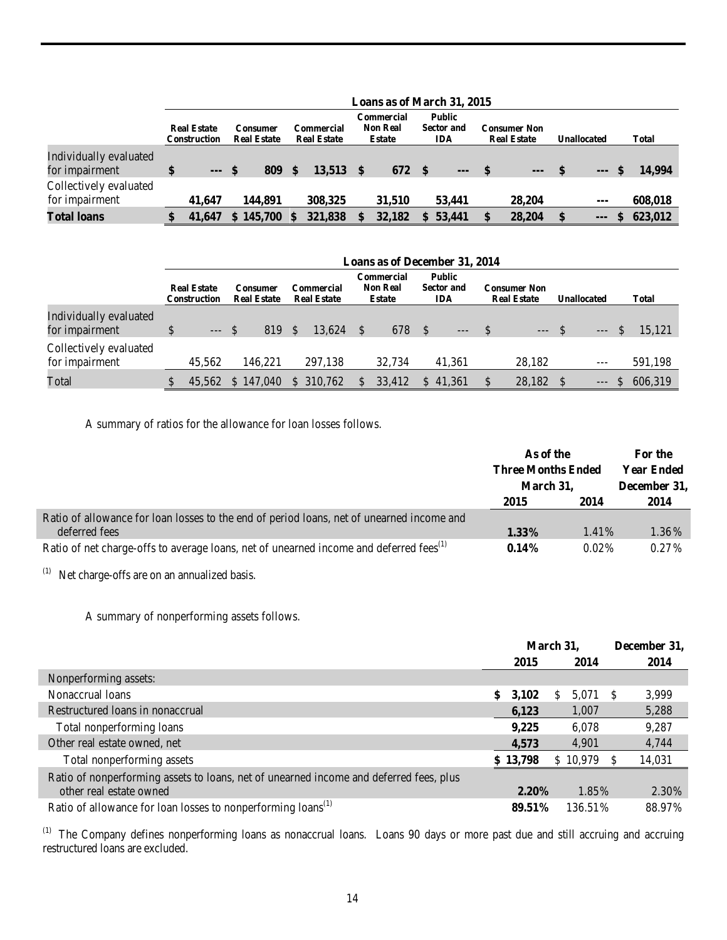|                                          | Loans as of March 31, 2015         |  |                                       |     |                                  |  |                                         |  |                                           |  |                                           |  |                    |              |              |
|------------------------------------------|------------------------------------|--|---------------------------------------|-----|----------------------------------|--|-----------------------------------------|--|-------------------------------------------|--|-------------------------------------------|--|--------------------|--------------|--------------|
|                                          | <b>Real Estate</b><br>Construction |  | <b>Consumer</b><br><b>Real Estate</b> |     | Commercial<br><b>Real Estate</b> |  | Commercial<br><b>Non Real</b><br>Estate |  | Public<br><b>Sector and</b><br><b>IDA</b> |  | <b>Consumer Non</b><br><b>Real Estate</b> |  | <b>Unallocated</b> |              | <b>Total</b> |
| Individually evaluated<br>for impairment | \$<br>$--$ \$                      |  | 809                                   | \$. | $13.513$ \$                      |  | 672                                     |  | $---$                                     |  | $---$                                     |  | $--$ S             |              | 14.994       |
| Collectively evaluated<br>for impairment | 41,647                             |  | 144.891                               |     | 308,325                          |  | 31,510                                  |  | 53,441                                    |  | 28,204                                    |  | $--$               |              | 608,018      |
| <b>Total loans</b>                       | 41,647                             |  | \$145,700                             |     | 321,838                          |  | 32,182                                  |  | 53,441                                    |  | 28,204                                    |  | $--$               | <sup>S</sup> | 623,012      |

|                                          | Loans as of December 31, 2014      |  |                                       |    |                                         |              |                                         |      |                                                  |  |                                           |  |                    |              |
|------------------------------------------|------------------------------------|--|---------------------------------------|----|-----------------------------------------|--------------|-----------------------------------------|------|--------------------------------------------------|--|-------------------------------------------|--|--------------------|--------------|
|                                          | <b>Real Estate</b><br>Construction |  | <b>Consumer</b><br><b>Real Estate</b> |    | <b>Commercial</b><br><b>Real Estate</b> |              | Commercial<br><b>Non Real</b><br>Estate |      | <b>Public</b><br><b>Sector and</b><br><b>IDA</b> |  | <b>Consumer Non</b><br><b>Real Estate</b> |  | <b>Unallocated</b> | <b>Total</b> |
| Individually evaluated<br>for impairment | $---$ \$                           |  | 819                                   | -S | 13.624                                  |              | 678                                     | - \$ | $--$ \$                                          |  | $---$ \$                                  |  |                    | $-5.121$     |
| Collectively evaluated<br>for impairment | 45,562                             |  | 146.221                               |    | 297.138                                 |              | 32.734                                  |      | 41.361                                           |  | 28,182                                    |  | $---$              | 591,198      |
| Total                                    | 45.562                             |  | \$147,040                             |    | \$ 310,762                              | <sup>S</sup> | 33,412                                  |      | \$41.361                                         |  | 28,182 \$                                 |  | $---$              | \$ 606,319   |

A summary of ratios for the allowance for loan losses follows.

|                                                                                                    | As of the                 |          | For the           |
|----------------------------------------------------------------------------------------------------|---------------------------|----------|-------------------|
|                                                                                                    | <b>Three Months Ended</b> |          | <b>Year Ended</b> |
|                                                                                                    | March 31,                 |          | December 31,      |
|                                                                                                    | 2015                      | 2014     | 2014              |
| Ratio of allowance for loan losses to the end of period loans, net of unearned income and          |                           |          |                   |
| deferred fees                                                                                      | $1.33\%$                  | 1.41%    | 1.36%             |
| Ratio of net charge-offs to average loans, net of unearned income and deferred fees <sup>(1)</sup> | $0.14\%$                  | $0.02\%$ | $0.27\%$          |

(1) Net charge-offs are on an annualized basis.

A summary of nonperforming assets follows.

|                                                                                                                   | March 31, |          |     |          | December 31, |
|-------------------------------------------------------------------------------------------------------------------|-----------|----------|-----|----------|--------------|
|                                                                                                                   |           | 2015     |     | 2014     | 2014         |
| Nonperforming assets:                                                                                             |           |          |     |          |              |
| Nonaccrual loans                                                                                                  | \$        | 3,102    | \$. | 5,071 \$ | 3,999        |
| Restructured loans in nonaccrual                                                                                  |           | 6,123    |     | 1,007    | 5,288        |
| Total nonperforming loans                                                                                         |           | 9,225    |     | 6,078    | 9,287        |
| Other real estate owned, net                                                                                      |           | 4,573    |     | 4,901    | 4,744        |
| Total nonperforming assets                                                                                        |           | \$13,798 |     | \$10,979 | 14,031       |
| Ratio of nonperforming assets to loans, net of unearned income and deferred fees, plus<br>other real estate owned |           | $2.20\%$ |     | 1.85%    | 2.30%        |
| Ratio of allowance for loan losses to nonperforming loans <sup>(1)</sup>                                          |           | 89.51%   |     | 136.51%  | 88.97%       |

(1) The Company defines nonperforming loans as nonaccrual loans. Loans 90 days or more past due and still accruing and accruing restructured loans are excluded.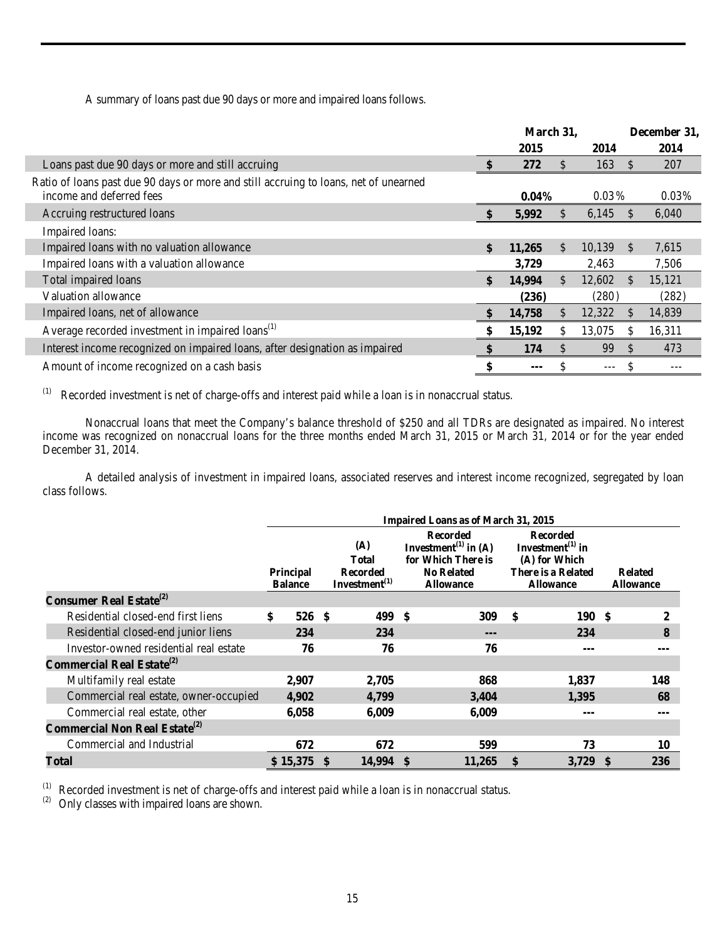A summary of loans past due 90 days or more and impaired loans follows.

|                                                                                                                  | March 31,    |               |          |               | December 31, |
|------------------------------------------------------------------------------------------------------------------|--------------|---------------|----------|---------------|--------------|
|                                                                                                                  | 2015         |               | 2014     |               | 2014         |
| Loans past due 90 days or more and still accruing                                                                | 272          | \$.           | 163      | <b>S</b>      | 207          |
| Ratio of loans past due 90 days or more and still accruing to loans, net of unearned<br>income and deferred fees | $0.04\%$     |               | $0.03\%$ |               | 0.03%        |
| Accruing restructured loans                                                                                      | 5,992        | S.            | 6,145    |               | 6,040        |
| Impaired loans:                                                                                                  |              |               |          |               |              |
| Impaired loans with no valuation allowance                                                                       | \$<br>11,265 | \$.           | 10,139   | \$            | 7,615        |
| Impaired loans with a valuation allowance                                                                        | 3,729        |               | 2,463    |               | 7,506        |
| Total impaired loans                                                                                             | \$<br>14,994 | $\mathcal{S}$ | 12,602   | <sup>\$</sup> | 15,121       |
| Valuation allowance                                                                                              | (236)        |               | (280)    |               | (282)        |
| Impaired loans, net of allowance                                                                                 | 14,758       | \$            | 12,322   | S             | 14,839       |
| Average recorded investment in impaired loans <sup>(1)</sup>                                                     | 15,192       | \$            | 13,075   | S             | 16,311       |
| Interest income recognized on impaired loans, after designation as impaired                                      | 174          | $\mathbb{S}$  | 99       | <sup>\$</sup> | 473          |
| Amount of income recognized on a cash basis                                                                      | ---          |               | ---      |               |              |

(1) Recorded investment is net of charge-offs and interest paid while a loan is in nonaccrual status.

Nonaccrual loans that meet the Company's balance threshold of \$250 and all TDRs are designated as impaired. No interest income was recognized on nonaccrual loans for the three months ended March 31, 2015 or March 31, 2014 or for the year ended December 31, 2014.

A detailed analysis of investment in impaired loans, associated reserves and interest income recognized, segregated by loan class follows.

|                                                  | <b>Impaired Loans as of March 31, 2015</b> |    |                                                               |                                                                                                                    |        |    |                                                                                                      |  |                                    |  |  |  |  |
|--------------------------------------------------|--------------------------------------------|----|---------------------------------------------------------------|--------------------------------------------------------------------------------------------------------------------|--------|----|------------------------------------------------------------------------------------------------------|--|------------------------------------|--|--|--|--|
|                                                  | Principal<br><b>Balance</b>                |    | (A)<br><b>Total</b><br><b>Recorded</b><br>Investment $^{(1)}$ | <b>Recorded</b><br>Investment <sup>(1)</sup> in (A)<br>for Which There is<br><b>No Related</b><br><b>Allowance</b> |        |    | <b>Recorded</b><br>Investment $^{(1)}$ in<br>(A) for Which<br>There is a Related<br><b>Allowance</b> |  | <b>Related</b><br><b>Allowance</b> |  |  |  |  |
| <b>Consumer Real Estate</b> <sup>(2)</sup>       |                                            |    |                                                               |                                                                                                                    |        |    |                                                                                                      |  |                                    |  |  |  |  |
| Residential closed-end first liens               | \$<br>526 \$                               |    | 499 \$                                                        |                                                                                                                    | 309    | \$ | 190S                                                                                                 |  | 2                                  |  |  |  |  |
| Residential closed-end junior liens              | 234                                        |    | 234                                                           |                                                                                                                    | $---$  |    | 234                                                                                                  |  | 8                                  |  |  |  |  |
| Investor-owned residential real estate           | 76                                         |    | 76                                                            |                                                                                                                    | 76     |    | ---                                                                                                  |  |                                    |  |  |  |  |
| Commercial Real Estate <sup>(2)</sup>            |                                            |    |                                                               |                                                                                                                    |        |    |                                                                                                      |  |                                    |  |  |  |  |
| Multifamily real estate                          | 2,907                                      |    | 2,705                                                         |                                                                                                                    | 868    |    | 1,837                                                                                                |  | 148                                |  |  |  |  |
| Commercial real estate, owner-occupied           | 4,902                                      |    | 4,799                                                         |                                                                                                                    | 3,404  |    | 1,395                                                                                                |  | 68                                 |  |  |  |  |
| Commercial real estate, other                    | 6,058                                      |    | 6,009                                                         |                                                                                                                    | 6,009  |    | ---                                                                                                  |  |                                    |  |  |  |  |
| <b>Commercial Non Real Estate</b> <sup>(2)</sup> |                                            |    |                                                               |                                                                                                                    |        |    |                                                                                                      |  |                                    |  |  |  |  |
| Commercial and Industrial                        | 672                                        |    | 672                                                           |                                                                                                                    | 599    |    | 73                                                                                                   |  | 10                                 |  |  |  |  |
| Total                                            | \$15,375                                   | \$ | 14,994 \$                                                     |                                                                                                                    | 11,265 | \$ | $3,729$ \$                                                                                           |  | 236                                |  |  |  |  |

(1) Recorded investment is net of charge-offs and interest paid while a loan is in nonaccrual status.<br>(2) Only classes with impaired loans are shown.

Г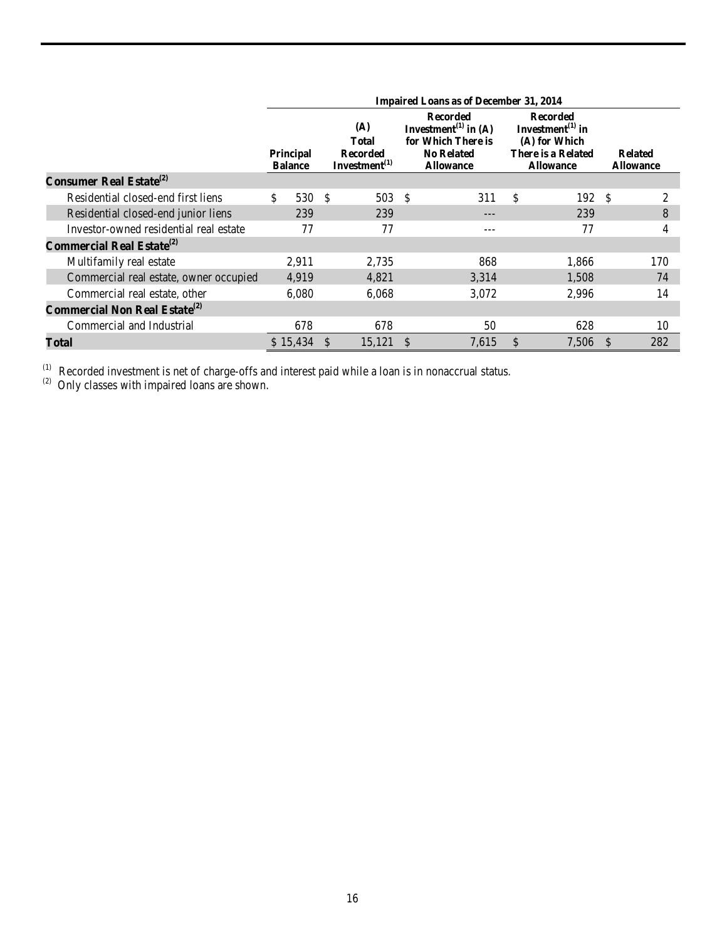|                                                  | <b>Impaired Loans as of December 31, 2014</b> |       |               |                                                               |  |                                                                                                                    |               |                                                                                                      |     |                                    |  |  |  |
|--------------------------------------------------|-----------------------------------------------|-------|---------------|---------------------------------------------------------------|--|--------------------------------------------------------------------------------------------------------------------|---------------|------------------------------------------------------------------------------------------------------|-----|------------------------------------|--|--|--|
|                                                  | Principal<br><b>Balance</b>                   |       |               | (A)<br><b>Total</b><br><b>Recorded</b><br>Investment $^{(1)}$ |  | <b>Recorded</b><br>Investment <sup>(1)</sup> in (A)<br>for Which There is<br><b>No Related</b><br><b>Allowance</b> |               | <b>Recorded</b><br>Investment $^{(1)}$ in<br>(A) for Which<br>There is a Related<br><b>Allowance</b> |     | <b>Related</b><br><b>Allowance</b> |  |  |  |
| <b>Consumer Real Estate</b> <sup>(2)</sup>       |                                               |       |               |                                                               |  |                                                                                                                    |               |                                                                                                      |     |                                    |  |  |  |
| Residential closed-end first liens               | \$                                            | 530   | -\$           | 503 \$                                                        |  | 311                                                                                                                | \$            | 192                                                                                                  | -\$ | 2                                  |  |  |  |
| Residential closed-end junior liens              |                                               | 239   |               | 239                                                           |  | ---                                                                                                                |               | 239                                                                                                  |     | 8                                  |  |  |  |
| Investor-owned residential real estate           |                                               | 77    |               | 77                                                            |  | $---$                                                                                                              |               | 77                                                                                                   |     | 4                                  |  |  |  |
| Commercial Real Estate <sup>(2)</sup>            |                                               |       |               |                                                               |  |                                                                                                                    |               |                                                                                                      |     |                                    |  |  |  |
| Multifamily real estate                          |                                               | 2,911 |               | 2,735                                                         |  | 868                                                                                                                |               | 1,866                                                                                                |     | 170                                |  |  |  |
| Commercial real estate, owner occupied           |                                               | 4,919 |               | 4,821                                                         |  | 3,314                                                                                                              |               | 1,508                                                                                                |     | 74                                 |  |  |  |
| Commercial real estate, other                    |                                               | 6,080 |               | 6,068                                                         |  | 3,072                                                                                                              |               | 2,996                                                                                                |     | 14                                 |  |  |  |
| <b>Commercial Non Real Estate</b> <sup>(2)</sup> |                                               |       |               |                                                               |  |                                                                                                                    |               |                                                                                                      |     |                                    |  |  |  |
| Commercial and Industrial                        |                                               | 678   |               | 678                                                           |  | 50                                                                                                                 |               | 628                                                                                                  |     | 10                                 |  |  |  |
| Total                                            | \$15,434                                      |       | <sup>\$</sup> | 15,121                                                        |  | 7,615                                                                                                              | <sup>\$</sup> | 7,506                                                                                                | -\$ | 282                                |  |  |  |

 $<sup>(1)</sup>$  Recorded investment is net of charge-offs and interest paid while a loan is in nonaccrual status.</sup>

 $^{(2)}$  Only classes with impaired loans are shown.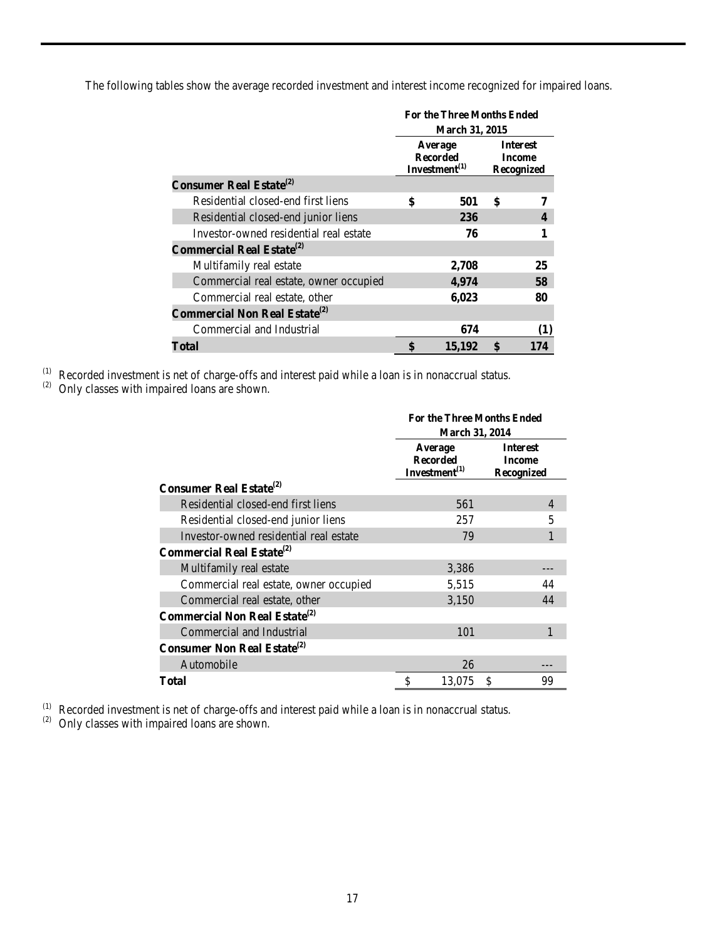The following tables show the average recorded investment and interest income recognized for impaired loans.

|                                                  | <b>For the Three Months Ended</b> |                                                   |                                                       |     |  |  |
|--------------------------------------------------|-----------------------------------|---------------------------------------------------|-------------------------------------------------------|-----|--|--|
|                                                  |                                   | <b>March 31, 2015</b>                             |                                                       |     |  |  |
|                                                  |                                   | Average<br><b>Recorded</b><br>Investment $^{(1)}$ | <b>Interest</b><br><b>Income</b><br><b>Recognized</b> |     |  |  |
| <b>Consumer Real Estate</b> <sup>(2)</sup>       |                                   |                                                   |                                                       |     |  |  |
| Residential closed-end first liens               | \$                                | 501                                               | \$                                                    | 7   |  |  |
| Residential closed-end junior liens              |                                   | 236                                               |                                                       | 4   |  |  |
| Investor-owned residential real estate           |                                   | 76                                                |                                                       |     |  |  |
| <b>Commercial Real Estate</b> <sup>(2)</sup>     |                                   |                                                   |                                                       |     |  |  |
| Multifamily real estate                          |                                   | 2,708                                             |                                                       | 25  |  |  |
| Commercial real estate, owner occupied           |                                   | 4,974                                             |                                                       | 58  |  |  |
| Commercial real estate, other                    |                                   | 6,023                                             |                                                       | 80  |  |  |
| <b>Commercial Non Real Estate</b> <sup>(2)</sup> |                                   |                                                   |                                                       |     |  |  |
| Commercial and Industrial                        |                                   | 674                                               |                                                       | (1) |  |  |
| Total                                            | \$                                | 15,192                                            | \$                                                    | 174 |  |  |

(1) Recorded investment is net of charge-offs and interest paid while a loan is in nonaccrual status.<br>(2) Only classes with impaired loans are shown.

|                                                  | <b>For the Three Months Ended</b><br><b>March 31, 2014</b> |                                                |  |  |  |  |  |
|--------------------------------------------------|------------------------------------------------------------|------------------------------------------------|--|--|--|--|--|
|                                                  | Average<br><b>Recorded</b><br>Investment $^{(1)}$          | <b>Interest</b><br><b>Income</b><br>Recognized |  |  |  |  |  |
| <b>Consumer Real Estate</b> <sup>(2)</sup>       |                                                            |                                                |  |  |  |  |  |
| Residential closed-end first liens               | 561                                                        | $\overline{4}$                                 |  |  |  |  |  |
| Residential closed-end junior liens              | 257                                                        | 5                                              |  |  |  |  |  |
| Investor-owned residential real estate           | 79                                                         | 1                                              |  |  |  |  |  |
| <b>Commercial Real Estate</b> <sup>(2)</sup>     |                                                            |                                                |  |  |  |  |  |
| Multifamily real estate                          | 3,386                                                      |                                                |  |  |  |  |  |
| Commercial real estate, owner occupied           | 5,515                                                      | 44                                             |  |  |  |  |  |
| Commercial real estate, other                    | 3,150                                                      | 44                                             |  |  |  |  |  |
| <b>Commercial Non Real Estate</b> <sup>(2)</sup> |                                                            |                                                |  |  |  |  |  |
| Commercial and Industrial                        | 101                                                        |                                                |  |  |  |  |  |
| <b>Consumer Non Real Estate</b> <sup>(2)</sup>   |                                                            |                                                |  |  |  |  |  |
| Automobile                                       | 26                                                         |                                                |  |  |  |  |  |
| Total                                            | \$<br>13,075                                               | \$<br>99                                       |  |  |  |  |  |

(1) Recorded investment is net of charge-offs and interest paid while a loan is in nonaccrual status.

(2) Only classes with impaired loans are shown.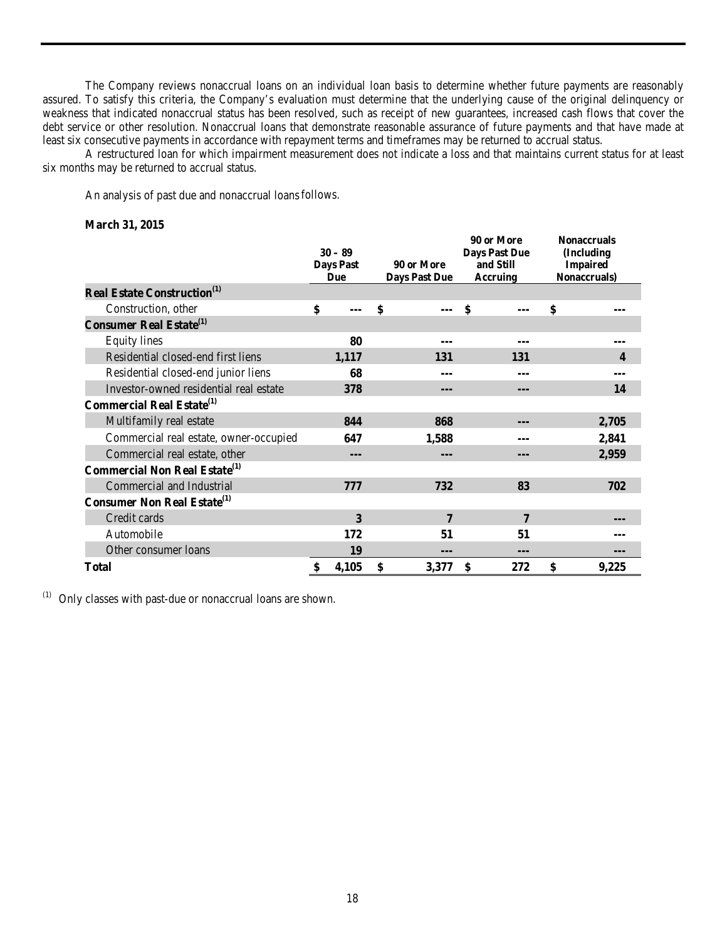The Company reviews nonaccrual loans on an individual loan basis to determine whether future payments are reasonably assured. To satisfy this criteria, the Company's evaluation must determine that the underlying cause of the original delinquency or weakness that indicated nonaccrual status has been resolved, such as receipt of new guarantees, increased cash flows that cover the debt service or other resolution. Nonaccrual loans that demonstrate reasonable assurance of future payments and that have made at least six consecutive payments in accordance with repayment terms and timeframes may be returned to accrual status.

A restructured loan for which impairment measurement does not indicate a loss and that maintains current status for at least six months may be returned to accrual status.

An analysis of past due and nonaccrual loansfollows.

# **March 31, 2015**

|                                                  | $30 - 89$<br><b>Days Past</b><br><b>Due</b> | 90 or More<br><b>Days Past Due</b> | 90 or More<br><b>Days Past Due</b><br>and Still<br><b>Accruing</b> | <b>Nonaccruals</b><br>(Including<br><b>Impaired</b><br>Nonaccruals) |       |  |
|--------------------------------------------------|---------------------------------------------|------------------------------------|--------------------------------------------------------------------|---------------------------------------------------------------------|-------|--|
| <b>Real Estate Construction</b> <sup>(1)</sup>   |                                             |                                    |                                                                    |                                                                     |       |  |
| Construction, other                              | \$                                          | \$                                 | \$                                                                 | \$                                                                  |       |  |
| <b>Consumer Real Estate</b> <sup>(1)</sup>       |                                             |                                    |                                                                    |                                                                     |       |  |
| <b>Equity lines</b>                              | 80                                          |                                    |                                                                    |                                                                     |       |  |
| Residential closed-end first liens               | 1,117                                       | 131                                | 131                                                                |                                                                     | 4     |  |
| Residential closed-end junior liens              | 68                                          |                                    |                                                                    |                                                                     |       |  |
| Investor-owned residential real estate           | 378                                         | ---                                | ---                                                                |                                                                     | 14    |  |
| <b>Commercial Real Estate</b> <sup>(1)</sup>     |                                             |                                    |                                                                    |                                                                     |       |  |
| Multifamily real estate                          | 844                                         | 868                                | ---                                                                |                                                                     | 2,705 |  |
| Commercial real estate, owner-occupied           | 647                                         | 1,588                              |                                                                    |                                                                     | 2,841 |  |
| Commercial real estate, other                    | ---                                         |                                    | ---                                                                |                                                                     | 2,959 |  |
| <b>Commercial Non Real Estate</b> <sup>(1)</sup> |                                             |                                    |                                                                    |                                                                     |       |  |
| Commercial and Industrial                        | 777                                         | 732                                | 83                                                                 |                                                                     | 702   |  |
| <b>Consumer Non Real Estate</b> <sup>(1)</sup>   |                                             |                                    |                                                                    |                                                                     |       |  |
| Credit cards                                     | 3                                           | 7                                  | 7                                                                  |                                                                     |       |  |
| Automobile                                       | 172                                         | 51                                 | 51                                                                 |                                                                     |       |  |
| Other consumer loans                             | 19                                          | ---                                |                                                                    |                                                                     |       |  |
| <b>Total</b>                                     | \$<br>4,105                                 | \$<br>3,377                        | \$<br>272                                                          | \$                                                                  | 9,225 |  |

 $(1)$  Only classes with past-due or nonaccrual loans are shown.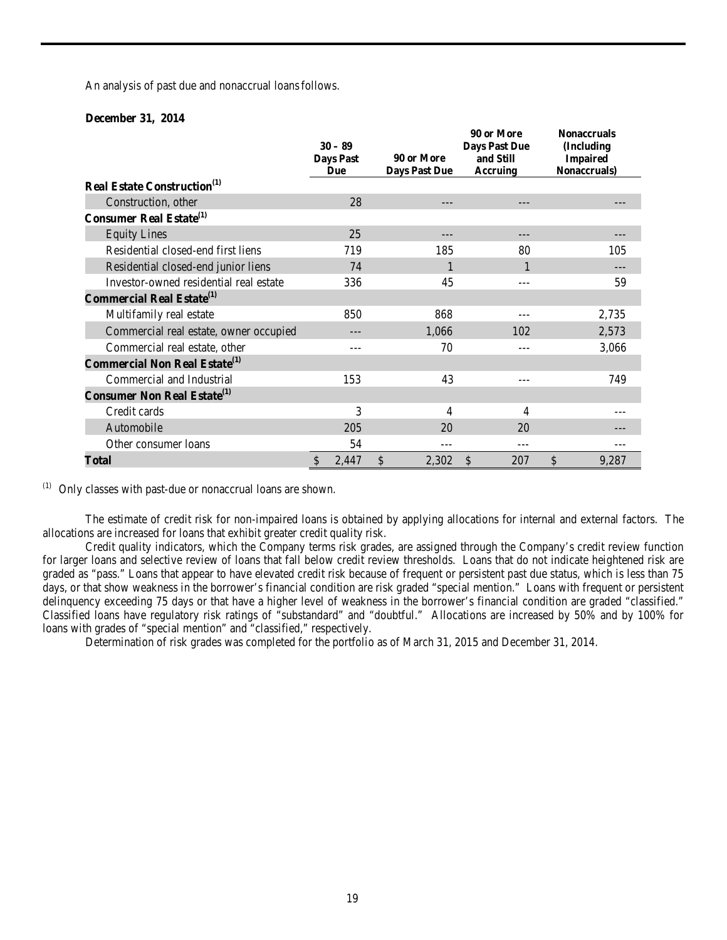An analysis of past due and nonaccrual loansfollows.

# **December 31, 2014**

|                                                  |               | $30 - 89$<br><b>Days Past</b><br>Due |               | 90 or More<br><b>Days Past Due</b> | 90 or More<br><b>Days Past Due</b><br>and Still<br>Accruing | <b>Nonaccruals</b><br>(Including<br><b>Impaired</b><br>Nonaccruals) |
|--------------------------------------------------|---------------|--------------------------------------|---------------|------------------------------------|-------------------------------------------------------------|---------------------------------------------------------------------|
| <b>Real Estate Construction</b> <sup>(1)</sup>   |               |                                      |               |                                    |                                                             |                                                                     |
| Construction, other                              |               | 28                                   |               | ---                                |                                                             |                                                                     |
| <b>Consumer Real Estate</b> <sup>(1)</sup>       |               |                                      |               |                                    |                                                             |                                                                     |
| <b>Equity Lines</b>                              |               | 25                                   |               |                                    |                                                             |                                                                     |
| Residential closed-end first liens               |               | 719                                  |               | 185                                | 80                                                          | 105                                                                 |
| Residential closed-end junior liens              |               | 74                                   |               |                                    |                                                             |                                                                     |
| Investor-owned residential real estate           |               | 336                                  |               | 45                                 | ---                                                         | 59                                                                  |
| <b>Commercial Real Estate</b> <sup>(1)</sup>     |               |                                      |               |                                    |                                                             |                                                                     |
| Multifamily real estate                          |               | 850                                  |               | 868                                |                                                             | 2,735                                                               |
| Commercial real estate, owner occupied           |               |                                      |               | 1,066                              | 102                                                         | 2,573                                                               |
| Commercial real estate, other                    |               | ---                                  |               | 70                                 |                                                             | 3,066                                                               |
| <b>Commercial Non Real Estate</b> <sup>(1)</sup> |               |                                      |               |                                    |                                                             |                                                                     |
| Commercial and Industrial                        |               | 153                                  |               | 43                                 |                                                             | 749                                                                 |
| <b>Consumer Non Real Estate</b> <sup>(1)</sup>   |               |                                      |               |                                    |                                                             |                                                                     |
| Credit cards                                     |               | 3                                    |               | 4                                  | 4                                                           |                                                                     |
| Automobile                                       |               | 205                                  |               | 20                                 | 20                                                          |                                                                     |
| Other consumer loans                             |               | 54                                   |               | ---                                |                                                             |                                                                     |
| Total                                            | $\mathcal{S}$ | 2,447                                | $\mathcal{S}$ | 2,302                              | \$<br>207                                                   | \$<br>9,287                                                         |

(1) Only classes with past-due or nonaccrual loans are shown.

The estimate of credit risk for non-impaired loans is obtained by applying allocations for internal and external factors. The allocations are increased for loans that exhibit greater credit quality risk.

Credit quality indicators, which the Company terms risk grades, are assigned through the Company's credit review function for larger loans and selective review of loans that fall below credit review thresholds. Loans that do not indicate heightened risk are graded as "pass." Loans that appear to have elevated credit risk because of frequent or persistent past due status, which is less than 75 days, or that show weakness in the borrower's financial condition are risk graded "special mention." Loans with frequent or persistent delinquency exceeding 75 days or that have a higher level of weakness in the borrower's financial condition are graded "classified." Classified loans have regulatory risk ratings of "substandard" and "doubtful." Allocations are increased by 50% and by 100% for loans with grades of "special mention" and "classified," respectively.

Determination of risk grades was completed for the portfolio as of March 31, 2015 and December 31, 2014.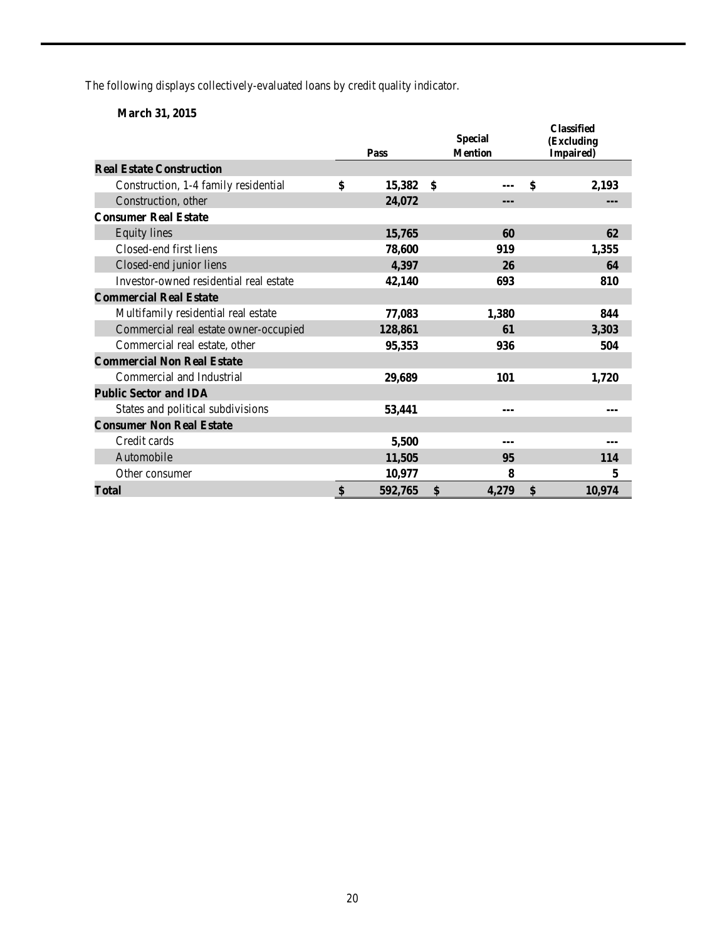The following displays collectively-evaluated loans by credit quality indicator.

# **March 31, 2015**

|                                        | Pass          | <b>Special</b><br><b>Mention</b> | <b>Classified</b><br>(Excluding<br>Impaired) |
|----------------------------------------|---------------|----------------------------------|----------------------------------------------|
| <b>Real Estate Construction</b>        |               |                                  |                                              |
| Construction, 1-4 family residential   | \$<br>15,382  | \$                               | \$<br>2,193                                  |
| Construction, other                    | 24,072        | ---                              |                                              |
| <b>Consumer Real Estate</b>            |               |                                  |                                              |
| <b>Equity</b> lines                    | 15,765        | 60                               | 62                                           |
| Closed-end first liens                 | 78,600        | 919                              | 1,355                                        |
| Closed-end junior liens                | 4,397         | 26                               | 64                                           |
| Investor-owned residential real estate | 42,140        | 693                              | 810                                          |
| <b>Commercial Real Estate</b>          |               |                                  |                                              |
| Multifamily residential real estate    | 77,083        | 1,380                            | 844                                          |
| Commercial real estate owner-occupied  | 128,861       | 61                               | 3,303                                        |
| Commercial real estate, other          | 95,353        | 936                              | 504                                          |
| <b>Commercial Non Real Estate</b>      |               |                                  |                                              |
| Commercial and Industrial              | 29,689        | 101                              | 1,720                                        |
| <b>Public Sector and IDA</b>           |               |                                  |                                              |
| States and political subdivisions      | 53,441        | ---                              | ---                                          |
| <b>Consumer Non Real Estate</b>        |               |                                  |                                              |
| Credit cards                           | 5,500         |                                  |                                              |
| Automobile                             | 11,505        | 95                               | 114                                          |
| Other consumer                         | 10,977        | 8                                | 5                                            |
| <b>Total</b>                           | \$<br>592,765 | \$<br>4,279                      | \$<br>10,974                                 |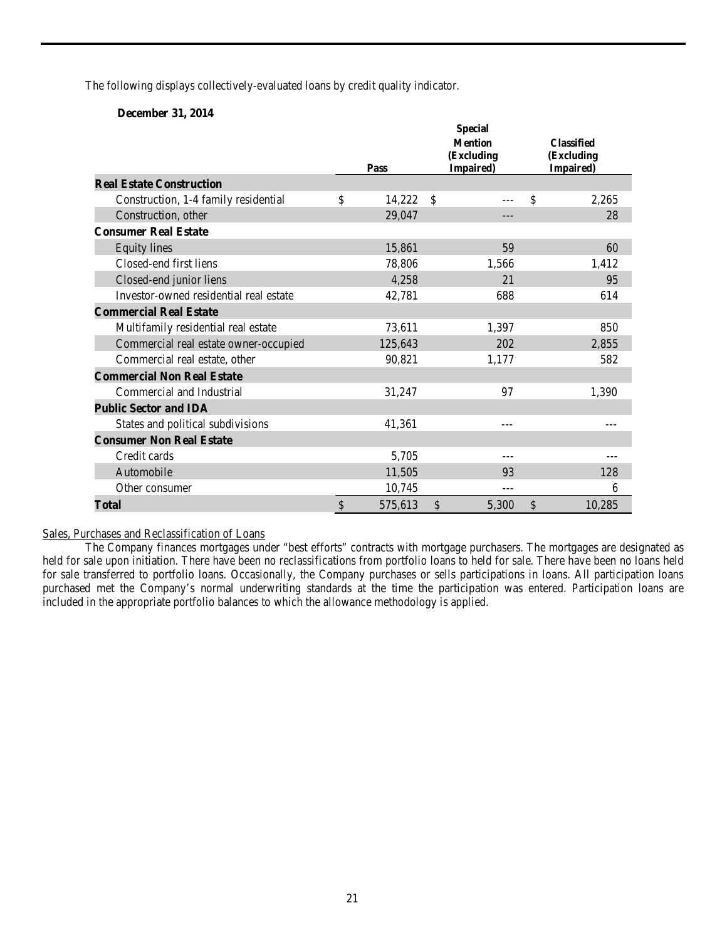The following displays collectively-evaluated loans by credit quality indicator.

# **December 31, 2014**

|                                        |               | <b>Special</b> |                                              |           |               |        |  |  |  |
|----------------------------------------|---------------|----------------|----------------------------------------------|-----------|---------------|--------|--|--|--|
|                                        |               | Pass           | <b>Classified</b><br>(Excluding<br>Impaired) |           |               |        |  |  |  |
| <b>Real Estate Construction</b>        |               |                |                                              | Impaired) |               |        |  |  |  |
| Construction, 1-4 family residential   | \$            | 14,222         | $\mathcal{S}$                                |           | \$            | 2,265  |  |  |  |
| Construction, other                    |               | 29,047         |                                              | ---       |               | 28     |  |  |  |
| <b>Consumer Real Estate</b>            |               |                |                                              |           |               |        |  |  |  |
| <b>Equity</b> lines                    |               | 15,861         |                                              | 59        |               | 60     |  |  |  |
| Closed-end first liens                 |               | 78,806         |                                              | 1,566     |               | 1,412  |  |  |  |
| Closed-end junior liens                |               | 4,258          |                                              | 21        |               | 95     |  |  |  |
| Investor-owned residential real estate |               | 42,781         |                                              | 688       |               | 614    |  |  |  |
| <b>Commercial Real Estate</b>          |               |                |                                              |           |               |        |  |  |  |
| Multifamily residential real estate    |               | 73,611         |                                              | 1,397     |               | 850    |  |  |  |
| Commercial real estate owner-occupied  |               | 125,643        |                                              | 202       |               | 2,855  |  |  |  |
| Commercial real estate, other          |               | 90,821         |                                              | 1,177     |               | 582    |  |  |  |
| <b>Commercial Non Real Estate</b>      |               |                |                                              |           |               |        |  |  |  |
| Commercial and Industrial              |               | 31,247         |                                              | 97        |               | 1,390  |  |  |  |
| <b>Public Sector and IDA</b>           |               |                |                                              |           |               |        |  |  |  |
| States and political subdivisions      |               | 41,361         |                                              | $- - -$   |               |        |  |  |  |
| <b>Consumer Non Real Estate</b>        |               |                |                                              |           |               |        |  |  |  |
| Credit cards                           |               | 5,705          |                                              | ---       |               |        |  |  |  |
| Automobile                             |               | 11,505         |                                              | 93        |               | 128    |  |  |  |
| Other consumer                         |               | 10,745         |                                              | ---       |               | 6      |  |  |  |
| Total                                  | $\mathcal{S}$ | 575,613        | $\mathbb{S}$                                 | 5,300     | $\mathcal{S}$ | 10,285 |  |  |  |

#### Sales, Purchases and Reclassification of Loans

The Company finances mortgages under "best efforts" contracts with mortgage purchasers. The mortgages are designated as held for sale upon initiation. There have been no reclassifications from portfolio loans to held for sale. There have been no loans held for sale transferred to portfolio loans. Occasionally, the Company purchases or sells participations in loans. All participation loans purchased met the Company's normal underwriting standards at the time the participation was entered. Participation loans are included in the appropriate portfolio balances to which the allowance methodology is applied.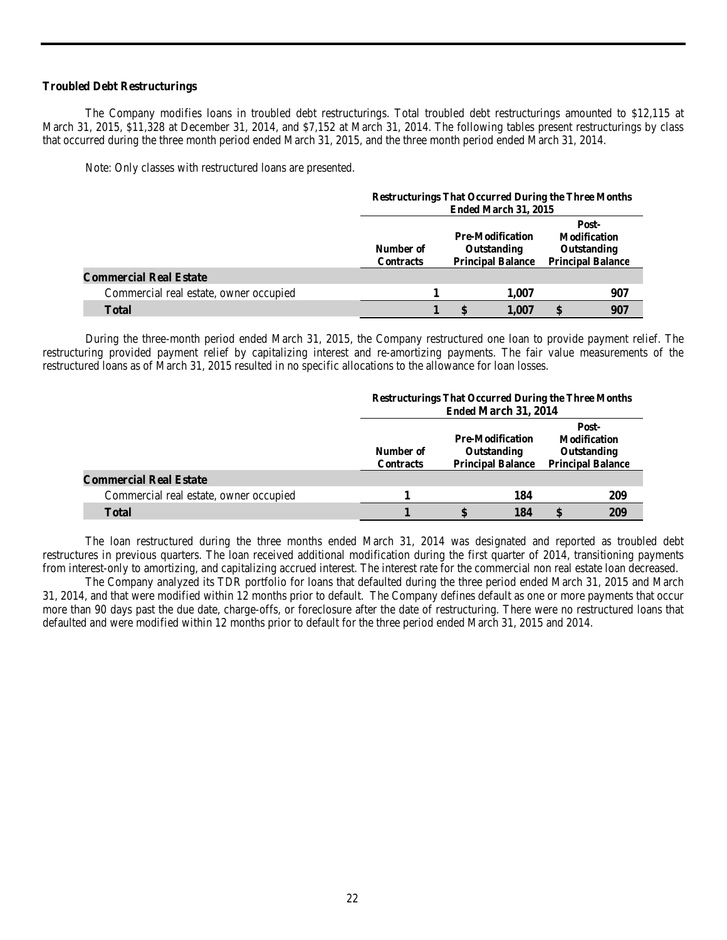# **Troubled Debt Restructurings**

The Company modifies loans in troubled debt restructurings. Total troubled debt restructurings amounted to \$12,115 at March 31, 2015, \$11,328 at December 31, 2014, and \$7,152 at March 31, 2014. The following tables present restructurings by class that occurred during the three month period ended March 31, 2015, and the three month period ended March 31, 2014.

Note: Only classes with restructured loans are presented.

|                                        |                               | <b>Restructurings That Occurred During the Three Months</b><br>Ended March 31, 2015 |                                                                    |                                                                         |     |  |  |  |
|----------------------------------------|-------------------------------|-------------------------------------------------------------------------------------|--------------------------------------------------------------------|-------------------------------------------------------------------------|-----|--|--|--|
|                                        | Number of<br><b>Contracts</b> |                                                                                     | <b>Pre-Modification</b><br>Outstanding<br><b>Principal Balance</b> | Post-<br><b>Modification</b><br>Outstanding<br><b>Principal Balance</b> |     |  |  |  |
| <b>Commercial Real Estate</b>          |                               |                                                                                     |                                                                    |                                                                         |     |  |  |  |
| Commercial real estate, owner occupied |                               |                                                                                     | 1.007                                                              |                                                                         | 907 |  |  |  |
| <b>Total</b>                           |                               |                                                                                     | 1.007                                                              | S                                                                       | 907 |  |  |  |

During the three-month period ended March 31, 2015, the Company restructured one loan to provide payment relief. The restructuring provided payment relief by capitalizing interest and re-amortizing payments. The fair value measurements of the restructured loans as of March 31, 2015 resulted in no specific allocations to the allowance for loan losses.

|                                        |                               | <b>Restructurings That Occurred During the Three Months</b><br>Ended March 31, 2014 |     |                                                                         |     |  |  |  |
|----------------------------------------|-------------------------------|-------------------------------------------------------------------------------------|-----|-------------------------------------------------------------------------|-----|--|--|--|
|                                        | Number of<br><b>Contracts</b> | <b>Pre-Modification</b><br>Outstanding<br><b>Principal Balance</b>                  |     | Post-<br><b>Modification</b><br>Outstanding<br><b>Principal Balance</b> |     |  |  |  |
| <b>Commercial Real Estate</b>          |                               |                                                                                     |     |                                                                         |     |  |  |  |
| Commercial real estate, owner occupied |                               |                                                                                     | 184 |                                                                         | 209 |  |  |  |
| <b>Total</b>                           |                               |                                                                                     | 184 | <b>S</b>                                                                | 209 |  |  |  |

The loan restructured during the three months ended March 31, 2014 was designated and reported as troubled debt restructures in previous quarters. The loan received additional modification during the first quarter of 2014, transitioning payments from interest-only to amortizing, and capitalizing accrued interest. The interest rate for the commercial non real estate loan decreased.

The Company analyzed its TDR portfolio for loans that defaulted during the three period ended March 31, 2015 and March 31, 2014, and that were modified within 12 months prior to default. The Company defines default as one or more payments that occur more than 90 days past the due date, charge-offs, or foreclosure after the date of restructuring. There were no restructured loans that defaulted and were modified within 12 months prior to default for the three period ended March 31, 2015 and 2014.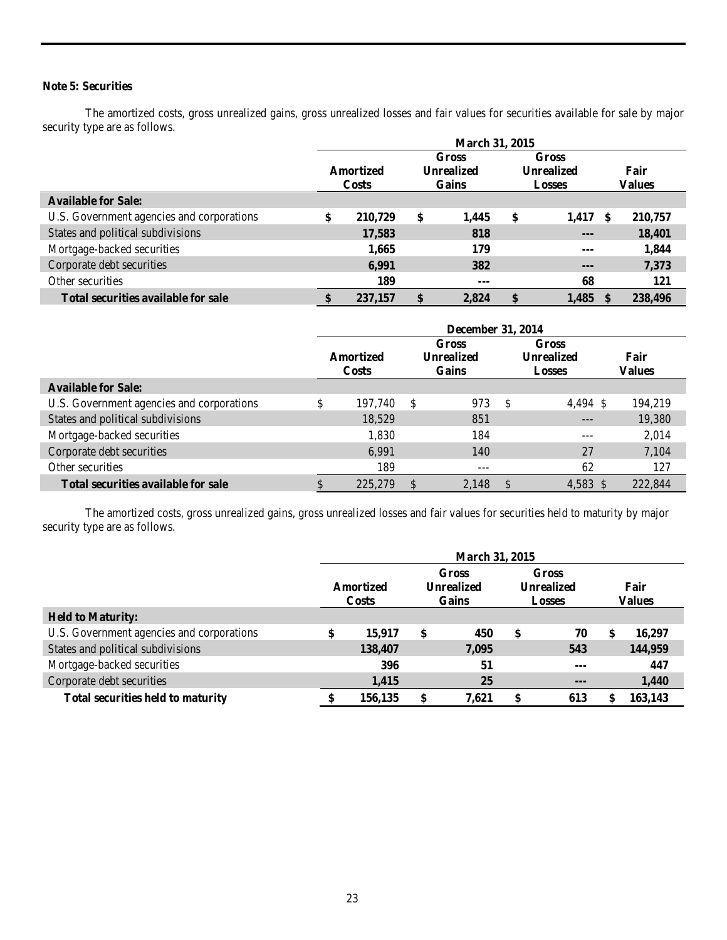# **Note 5: Securities**

The amortized costs, gross unrealized gains, gross unrealized losses and fair values for securities available for sale by major security type are as follows.

|                                           | <b>March 31, 2015</b> |              |            |              |                                    |         |      |               |  |  |
|-------------------------------------------|-----------------------|--------------|------------|--------------|------------------------------------|---------|------|---------------|--|--|
|                                           |                       |              |            | Gross        | Gross                              |         |      |               |  |  |
|                                           |                       | Amortized    | Unrealized |              | <b>Unrealized</b><br><b>Losses</b> |         |      | Fair          |  |  |
|                                           |                       | <b>Costs</b> |            | <b>Gains</b> |                                    |         |      | <b>Values</b> |  |  |
| <b>Available for Sale:</b>                |                       |              |            |              |                                    |         |      |               |  |  |
| U.S. Government agencies and corporations | \$                    | 210,729      | \$         | 1,445        | \$                                 | 1,417   | - \$ | 210,757       |  |  |
| States and political subdivisions         |                       | 17,583       |            | 818          |                                    | $- - -$ |      | 18,401        |  |  |
| Mortgage-backed securities                |                       | 1,665        |            | 179          |                                    | $- - -$ |      | 1,844         |  |  |
| Corporate debt securities                 |                       | 6,991        |            | 382          |                                    | $- - -$ |      | 7,373         |  |  |
| Other securities                          |                       | 189          |            | ---          |                                    | 68      |      | 121           |  |  |
| Total securities available for sale       |                       | 237,157      |            | 2,824        | \$                                 | 1,485   |      | 238,496       |  |  |

|                                           | December 31, 2014 |                                                           |   |       |    |                                                    |                       |  |  |  |
|-------------------------------------------|-------------------|-----------------------------------------------------------|---|-------|----|----------------------------------------------------|-----------------------|--|--|--|
|                                           |                   | Gross<br>Unrealized<br>Amortized<br>Gains<br><b>Costs</b> |   |       |    | <b>Gross</b><br><b>Unrealized</b><br><b>Losses</b> | Fair<br><b>Values</b> |  |  |  |
| <b>Available for Sale:</b>                |                   |                                                           |   |       |    |                                                    |                       |  |  |  |
| U.S. Government agencies and corporations | \$                | 197.740                                                   | S | 973   | -S | $4.494 \text{ }$ \$                                | 194,219               |  |  |  |
| States and political subdivisions         |                   | 18,529                                                    |   | 851   |    | $---$                                              | 19,380                |  |  |  |
| Mortgage-backed securities                |                   | 1,830                                                     |   | 184   |    | ---                                                | 2,014                 |  |  |  |
| Corporate debt securities                 |                   | 6,991                                                     |   | 140   |    | 27                                                 | 7,104                 |  |  |  |
| Other securities                          |                   | 189                                                       |   | ---   |    | 62                                                 | 127                   |  |  |  |
| Total securities available for sale       |                   | 225,279                                                   |   | 2,148 |    | 4,583 \$                                           | 222,844               |  |  |  |

The amortized costs, gross unrealized gains, gross unrealized losses and fair values for securities held to maturity by major security type are as follows.

|                                           | <b>March 31, 2015</b>     |    |                                     |                                                    |         |    |                |  |  |  |
|-------------------------------------------|---------------------------|----|-------------------------------------|----------------------------------------------------|---------|----|----------------|--|--|--|
|                                           | Amortized<br><b>Costs</b> |    | Gross<br><b>Unrealized</b><br>Gains | <b>Gross</b><br><b>Unrealized</b><br><b>Losses</b> |         |    | Fair<br>Values |  |  |  |
| <b>Held to Maturity:</b>                  |                           |    |                                     |                                                    |         |    |                |  |  |  |
| U.S. Government agencies and corporations | \$<br>15,917              | \$ | 450                                 | S                                                  | 70      | \$ | 16.297         |  |  |  |
| States and political subdivisions         | 138,407                   |    | 7,095                               |                                                    | 543     |    | 144,959        |  |  |  |
| Mortgage-backed securities                | 396                       |    | 51                                  |                                                    | $- - -$ |    | 447            |  |  |  |
| Corporate debt securities                 | 1,415                     |    | 25                                  |                                                    | $- - -$ |    | 1,440          |  |  |  |
| <b>Total securities held to maturity</b>  | 156,135                   | \$ | 7.621                               | \$                                                 | 613     | \$ | 163,143        |  |  |  |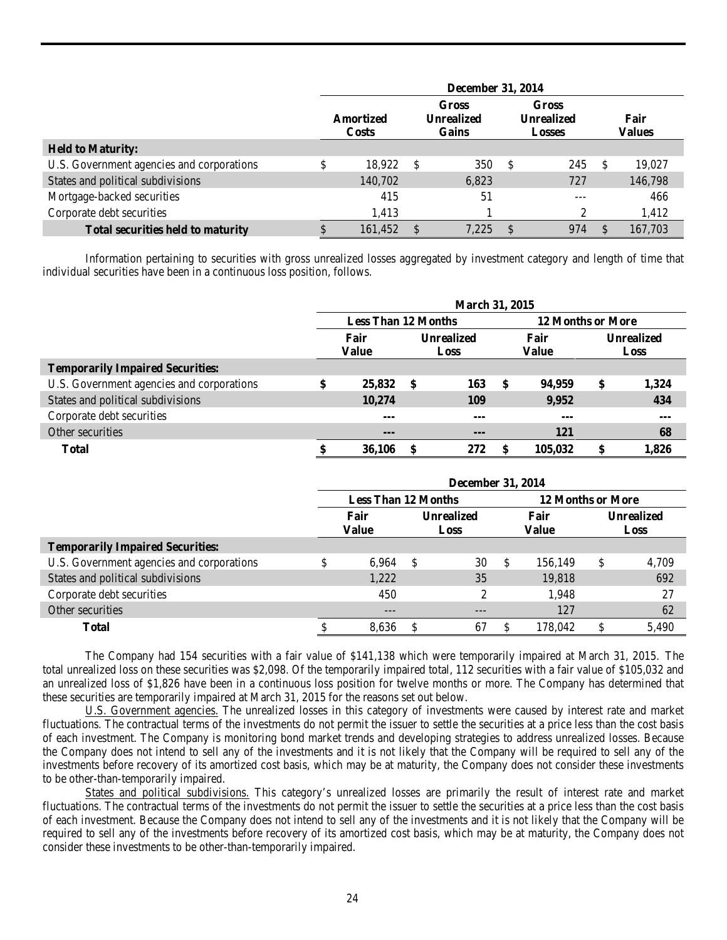|                                           | <b>December 31, 2014</b>  |         |   |                                            |                                                    |     |    |                       |  |  |  |
|-------------------------------------------|---------------------------|---------|---|--------------------------------------------|----------------------------------------------------|-----|----|-----------------------|--|--|--|
|                                           | Amortized<br><b>Costs</b> |         |   | <b>Gross</b><br><b>Unrealized</b><br>Gains | <b>Gross</b><br><b>Unrealized</b><br><b>Losses</b> |     |    | Fair<br><b>Values</b> |  |  |  |
| <b>Held to Maturity:</b>                  |                           |         |   |                                            |                                                    |     |    |                       |  |  |  |
| U.S. Government agencies and corporations | \$                        | 18,922  | S | 350                                        | S                                                  | 245 | -S | 19,027                |  |  |  |
| States and political subdivisions         |                           | 140,702 |   | 6,823                                      |                                                    | 727 |    | 146,798               |  |  |  |
| Mortgage-backed securities                |                           | 415     |   | 51                                         |                                                    | --- |    | 466                   |  |  |  |
| Corporate debt securities                 |                           | 1,413   |   |                                            |                                                    | ↑   |    | 1,412                 |  |  |  |
| <b>Total securities held to maturity</b>  |                           | 161,452 |   | 7.225                                      | <sup>\$</sup>                                      | 974 |    | 167.703               |  |  |  |

Information pertaining to securities with gross unrealized losses aggregated by investment category and length of time that individual securities have been in a continuous loss position, follows.

|                                           | March 31, 2015                                  |         |      |                           |    |               |                           |       |  |  |  |  |
|-------------------------------------------|-------------------------------------------------|---------|------|---------------------------|----|---------------|---------------------------|-------|--|--|--|--|
|                                           | <b>Less Than 12 Months</b><br>12 Months or More |         |      |                           |    |               |                           |       |  |  |  |  |
|                                           | Fair<br>Value                                   |         |      | <b>Unrealized</b><br>Loss |    | Fair<br>Value | <b>Unrealized</b><br>Loss |       |  |  |  |  |
| <b>Temporarily Impaired Securities:</b>   |                                                 |         |      |                           |    |               |                           |       |  |  |  |  |
| U.S. Government agencies and corporations | \$                                              | 25,832  | - \$ | 163                       | -S | 94,959        | \$                        | 1,324 |  |  |  |  |
| States and political subdivisions         |                                                 | 10,274  |      | 109                       |    | 9,952         |                           | 434   |  |  |  |  |
| Corporate debt securities                 |                                                 | $- - -$ |      | ---                       |    | $--$          |                           | $--$  |  |  |  |  |
| Other securities                          |                                                 | $--$    |      | $--$                      |    | 121           |                           | 68    |  |  |  |  |
| <b>Total</b>                              |                                                 | 36,106  |      | 272                       |    | 105,032       |                           | 1,826 |  |  |  |  |

|                                           | <b>December 31, 2014</b> |                            |    |                           |                          |               |                    |       |  |  |  |  |
|-------------------------------------------|--------------------------|----------------------------|----|---------------------------|--------------------------|---------------|--------------------|-------|--|--|--|--|
|                                           |                          | <b>Less Than 12 Months</b> |    |                           | <b>12 Months or More</b> |               |                    |       |  |  |  |  |
|                                           | Fair<br>Value            |                            |    | <b>Unrealized</b><br>Loss |                          | Fair<br>Value | Unrealized<br>Loss |       |  |  |  |  |
| <b>Temporarily Impaired Securities:</b>   |                          |                            |    |                           |                          |               |                    |       |  |  |  |  |
| U.S. Government agencies and corporations | \$                       | 6,964                      | -S | 30                        | <sup>\$</sup>            | 156,149       | S                  | 4,709 |  |  |  |  |
| States and political subdivisions         |                          | 1,222                      |    | 35                        |                          | 19,818        |                    | 692   |  |  |  |  |
| Corporate debt securities                 |                          | 450                        |    | 2                         |                          | 1,948         |                    | 27    |  |  |  |  |
| Other securities                          |                          | $---$                      |    | $- - -$                   |                          | 127           |                    | 62    |  |  |  |  |
| Total                                     |                          | 8,636                      |    | 67                        | <b>S</b>                 | 178.042       | S                  | 5.490 |  |  |  |  |

The Company had 154 securities with a fair value of \$141,138 which were temporarily impaired at March 31, 2015. The total unrealized loss on these securities was \$2,098. Of the temporarily impaired total, 112 securities with a fair value of \$105,032 and an unrealized loss of \$1,826 have been in a continuous loss position for twelve months or more. The Company has determined that these securities are temporarily impaired at March 31, 2015 for the reasons set out below.

U.S. Government agencies. The unrealized losses in this category of investments were caused by interest rate and market fluctuations. The contractual terms of the investments do not permit the issuer to settle the securities at a price less than the cost basis of each investment. The Company is monitoring bond market trends and developing strategies to address unrealized losses. Because the Company does not intend to sell any of the investments and it is not likely that the Company will be required to sell any of the investments before recovery of its amortized cost basis, which may be at maturity, the Company does not consider these investments to be other-than-temporarily impaired.

States and political subdivisions. This category's unrealized losses are primarily the result of interest rate and market fluctuations. The contractual terms of the investments do not permit the issuer to settle the securities at a price less than the cost basis of each investment. Because the Company does not intend to sell any of the investments and it is not likely that the Company will be required to sell any of the investments before recovery of its amortized cost basis, which may be at maturity, the Company does not consider these investments to be other-than-temporarily impaired.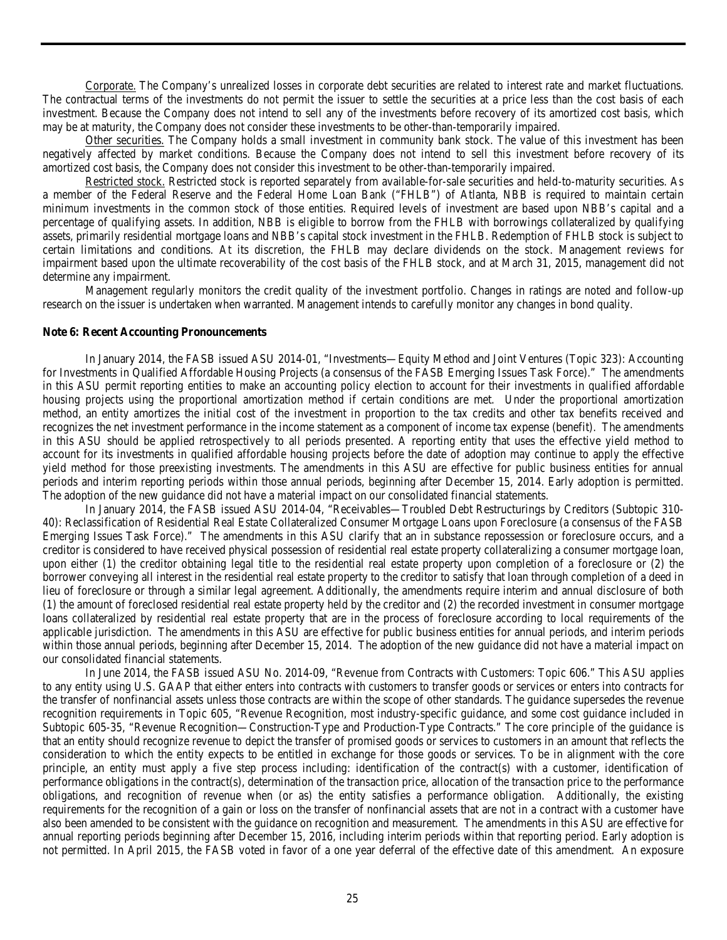Corporate. The Company's unrealized losses in corporate debt securities are related to interest rate and market fluctuations. The contractual terms of the investments do not permit the issuer to settle the securities at a price less than the cost basis of each investment. Because the Company does not intend to sell any of the investments before recovery of its amortized cost basis, which may be at maturity, the Company does not consider these investments to be other-than-temporarily impaired.

Other securities. The Company holds a small investment in community bank stock. The value of this investment has been negatively affected by market conditions. Because the Company does not intend to sell this investment before recovery of its amortized cost basis, the Company does not consider this investment to be other-than-temporarily impaired.

Restricted stock. Restricted stock is reported separately from available-for-sale securities and held-to-maturity securities. As a member of the Federal Reserve and the Federal Home Loan Bank ("FHLB") of Atlanta, NBB is required to maintain certain minimum investments in the common stock of those entities. Required levels of investment are based upon NBB's capital and a percentage of qualifying assets. In addition, NBB is eligible to borrow from the FHLB with borrowings collateralized by qualifying assets, primarily residential mortgage loans and NBB's capital stock investment in the FHLB. Redemption of FHLB stock is subject to certain limitations and conditions. At its discretion, the FHLB may declare dividends on the stock. Management reviews for impairment based upon the ultimate recoverability of the cost basis of the FHLB stock, and at March 31, 2015, management did not determine any impairment.

Management regularly monitors the credit quality of the investment portfolio. Changes in ratings are noted and follow-up research on the issuer is undertaken when warranted. Management intends to carefully monitor any changes in bond quality.

#### **Note 6: Recent Accounting Pronouncements**

In January 2014, the FASB issued ASU 2014-01, "Investments—Equity Method and Joint Ventures (Topic 323): Accounting for Investments in Qualified Affordable Housing Projects (a consensus of the FASB Emerging Issues Task Force)." The amendments in this ASU permit reporting entities to make an accounting policy election to account for their investments in qualified affordable housing projects using the proportional amortization method if certain conditions are met. Under the proportional amortization method, an entity amortizes the initial cost of the investment in proportion to the tax credits and other tax benefits received and recognizes the net investment performance in the income statement as a component of income tax expense (benefit). The amendments in this ASU should be applied retrospectively to all periods presented. A reporting entity that uses the effective yield method to account for its investments in qualified affordable housing projects before the date of adoption may continue to apply the effective yield method for those preexisting investments. The amendments in this ASU are effective for public business entities for annual periods and interim reporting periods within those annual periods, beginning after December 15, 2014. Early adoption is permitted. The adoption of the new guidance did not have a material impact on our consolidated financial statements.

In January 2014, the FASB issued ASU 2014-04, "Receivables—Troubled Debt Restructurings by Creditors (Subtopic 310- 40): Reclassification of Residential Real Estate Collateralized Consumer Mortgage Loans upon Foreclosure (a consensus of the FASB Emerging Issues Task Force)." The amendments in this ASU clarify that an in substance repossession or foreclosure occurs, and a creditor is considered to have received physical possession of residential real estate property collateralizing a consumer mortgage loan, upon either (1) the creditor obtaining legal title to the residential real estate property upon completion of a foreclosure or (2) the borrower conveying all interest in the residential real estate property to the creditor to satisfy that loan through completion of a deed in lieu of foreclosure or through a similar legal agreement. Additionally, the amendments require interim and annual disclosure of both (1) the amount of foreclosed residential real estate property held by the creditor and (2) the recorded investment in consumer mortgage loans collateralized by residential real estate property that are in the process of foreclosure according to local requirements of the applicable jurisdiction. The amendments in this ASU are effective for public business entities for annual periods, and interim periods within those annual periods, beginning after December 15, 2014. The adoption of the new guidance did not have a material impact on our consolidated financial statements.

In June 2014, the FASB issued ASU No. 2014-09, "Revenue from Contracts with Customers: Topic 606." This ASU applies to any entity using U.S. GAAP that either enters into contracts with customers to transfer goods or services or enters into contracts for the transfer of nonfinancial assets unless those contracts are within the scope of other standards. The guidance supersedes the revenue recognition requirements in Topic 605, "Revenue Recognition, most industry-specific guidance, and some cost guidance included in Subtopic 605-35, "Revenue Recognition—Construction-Type and Production-Type Contracts." The core principle of the guidance is that an entity should recognize revenue to depict the transfer of promised goods or services to customers in an amount that reflects the consideration to which the entity expects to be entitled in exchange for those goods or services. To be in alignment with the core principle, an entity must apply a five step process including: identification of the contract(s) with a customer, identification of performance obligations in the contract(s), determination of the transaction price, allocation of the transaction price to the performance obligations, and recognition of revenue when (or as) the entity satisfies a performance obligation. Additionally, the existing requirements for the recognition of a gain or loss on the transfer of nonfinancial assets that are not in a contract with a customer have also been amended to be consistent with the guidance on recognition and measurement. The amendments in this ASU are effective for annual reporting periods beginning after December 15, 2016, including interim periods within that reporting period. Early adoption is not permitted. In April 2015, the FASB voted in favor of a one year deferral of the effective date of this amendment. An exposure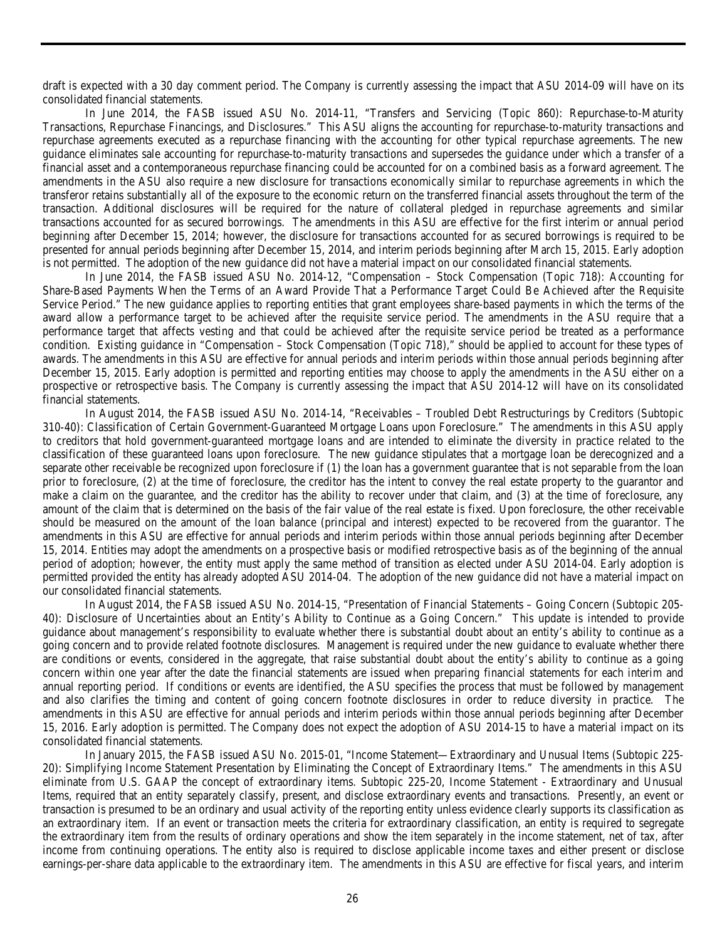draft is expected with a 30 day comment period. The Company is currently assessing the impact that ASU 2014-09 will have on its consolidated financial statements.

In June 2014, the FASB issued ASU No. 2014-11, "Transfers and Servicing (Topic 860): Repurchase-to-Maturity Transactions, Repurchase Financings, and Disclosures." This ASU aligns the accounting for repurchase-to-maturity transactions and repurchase agreements executed as a repurchase financing with the accounting for other typical repurchase agreements. The new guidance eliminates sale accounting for repurchase-to-maturity transactions and supersedes the guidance under which a transfer of a financial asset and a contemporaneous repurchase financing could be accounted for on a combined basis as a forward agreement. The amendments in the ASU also require a new disclosure for transactions economically similar to repurchase agreements in which the transferor retains substantially all of the exposure to the economic return on the transferred financial assets throughout the term of the transaction. Additional disclosures will be required for the nature of collateral pledged in repurchase agreements and similar transactions accounted for as secured borrowings. The amendments in this ASU are effective for the first interim or annual period beginning after December 15, 2014; however, the disclosure for transactions accounted for as secured borrowings is required to be presented for annual periods beginning after December 15, 2014, and interim periods beginning after March 15, 2015. Early adoption is not permitted. The adoption of the new guidance did not have a material impact on our consolidated financial statements.

In June 2014, the FASB issued ASU No. 2014-12, "Compensation – Stock Compensation (Topic 718): Accounting for Share-Based Payments When the Terms of an Award Provide That a Performance Target Could Be Achieved after the Requisite Service Period." The new guidance applies to reporting entities that grant employees share-based payments in which the terms of the award allow a performance target to be achieved after the requisite service period. The amendments in the ASU require that a performance target that affects vesting and that could be achieved after the requisite service period be treated as a performance condition. Existing guidance in "Compensation – Stock Compensation (Topic 718)," should be applied to account for these types of awards. The amendments in this ASU are effective for annual periods and interim periods within those annual periods beginning after December 15, 2015. Early adoption is permitted and reporting entities may choose to apply the amendments in the ASU either on a prospective or retrospective basis. The Company is currently assessing the impact that ASU 2014-12 will have on its consolidated financial statements.

In August 2014, the FASB issued ASU No. 2014-14, "Receivables – Troubled Debt Restructurings by Creditors (Subtopic 310-40): Classification of Certain Government-Guaranteed Mortgage Loans upon Foreclosure." The amendments in this ASU apply to creditors that hold government-guaranteed mortgage loans and are intended to eliminate the diversity in practice related to the classification of these guaranteed loans upon foreclosure. The new guidance stipulates that a mortgage loan be derecognized and a separate other receivable be recognized upon foreclosure if (1) the loan has a government guarantee that is not separable from the loan prior to foreclosure, (2) at the time of foreclosure, the creditor has the intent to convey the real estate property to the guarantor and make a claim on the guarantee, and the creditor has the ability to recover under that claim, and (3) at the time of foreclosure, any amount of the claim that is determined on the basis of the fair value of the real estate is fixed. Upon foreclosure, the other receivable should be measured on the amount of the loan balance (principal and interest) expected to be recovered from the guarantor. The amendments in this ASU are effective for annual periods and interim periods within those annual periods beginning after December 15, 2014. Entities may adopt the amendments on a prospective basis or modified retrospective basis as of the beginning of the annual period of adoption; however, the entity must apply the same method of transition as elected under ASU 2014-04. Early adoption is permitted provided the entity has already adopted ASU 2014-04. The adoption of the new guidance did not have a material impact on our consolidated financial statements.

In August 2014, the FASB issued ASU No. 2014-15, "Presentation of Financial Statements – Going Concern (Subtopic 205- 40): Disclosure of Uncertainties about an Entity's Ability to Continue as a Going Concern." This update is intended to provide guidance about management's responsibility to evaluate whether there is substantial doubt about an entity's ability to continue as a going concern and to provide related footnote disclosures. Management is required under the new guidance to evaluate whether there are conditions or events, considered in the aggregate, that raise substantial doubt about the entity's ability to continue as a going concern within one year after the date the financial statements are issued when preparing financial statements for each interim and annual reporting period. If conditions or events are identified, the ASU specifies the process that must be followed by management and also clarifies the timing and content of going concern footnote disclosures in order to reduce diversity in practice. The amendments in this ASU are effective for annual periods and interim periods within those annual periods beginning after December 15, 2016. Early adoption is permitted. The Company does not expect the adoption of ASU 2014-15 to have a material impact on its consolidated financial statements.

In January 2015, the FASB issued ASU No. 2015-01, "Income Statement—Extraordinary and Unusual Items (Subtopic 225- 20): Simplifying Income Statement Presentation by Eliminating the Concept of Extraordinary Items." The amendments in this ASU eliminate from U.S. GAAP the concept of extraordinary items. Subtopic 225-20, Income Statement - Extraordinary and Unusual Items, required that an entity separately classify, present, and disclose extraordinary events and transactions. Presently, an event or transaction is presumed to be an ordinary and usual activity of the reporting entity unless evidence clearly supports its classification as an extraordinary item. If an event or transaction meets the criteria for extraordinary classification, an entity is required to segregate the extraordinary item from the results of ordinary operations and show the item separately in the income statement, net of tax, after income from continuing operations. The entity also is required to disclose applicable income taxes and either present or disclose earnings-per-share data applicable to the extraordinary item. The amendments in this ASU are effective for fiscal years, and interim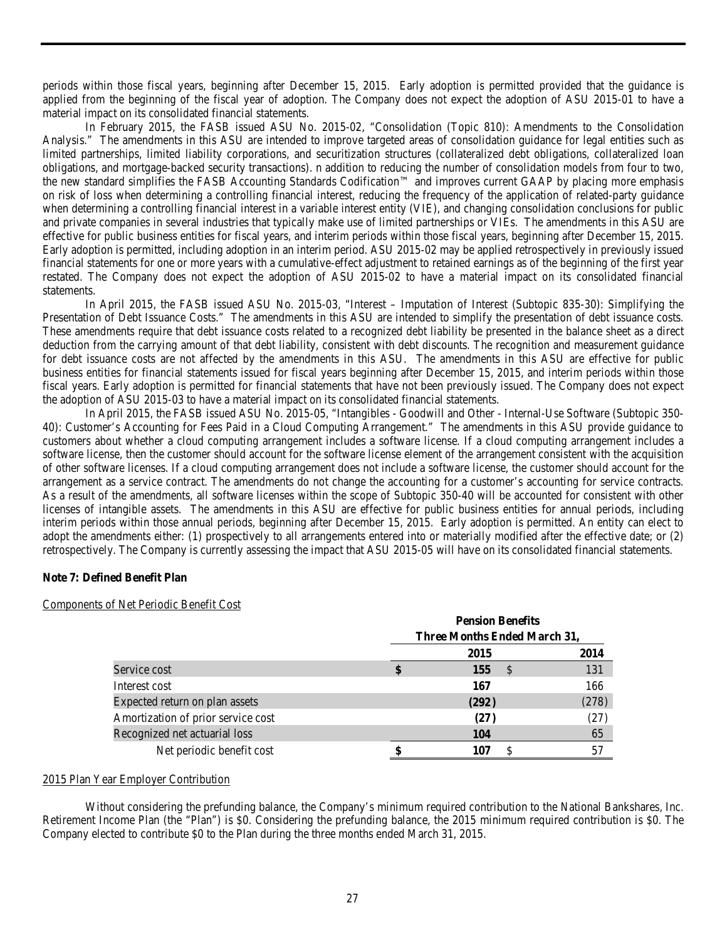periods within those fiscal years, beginning after December 15, 2015. Early adoption is permitted provided that the guidance is applied from the beginning of the fiscal year of adoption. The Company does not expect the adoption of ASU 2015-01 to have a material impact on its consolidated financial statements.

In February 2015, the FASB issued ASU No. 2015-02, "Consolidation (Topic 810): Amendments to the Consolidation Analysis." The amendments in this ASU are intended to improve targeted areas of consolidation guidance for legal entities such as limited partnerships, limited liability corporations, and securitization structures (collateralized debt obligations, collateralized loan obligations, and mortgage-backed security transactions). n addition to reducing the number of consolidation models from four to two, the new standard simplifies the FASB Accounting Standards Codification™ and improves current GAAP by placing more emphasis on risk of loss when determining a controlling financial interest, reducing the frequency of the application of related-party guidance when determining a controlling financial interest in a variable interest entity (VIE), and changing consolidation conclusions for public and private companies in several industries that typically make use of limited partnerships or VIEs. The amendments in this ASU are effective for public business entities for fiscal years, and interim periods within those fiscal years, beginning after December 15, 2015. Early adoption is permitted, including adoption in an interim period. ASU 2015-02 may be applied retrospectively in previously issued financial statements for one or more years with a cumulative-effect adjustment to retained earnings as of the beginning of the first year restated. The Company does not expect the adoption of ASU 2015-02 to have a material impact on its consolidated financial statements.

In April 2015, the FASB issued ASU No. 2015-03, "Interest – Imputation of Interest (Subtopic 835-30): Simplifying the Presentation of Debt Issuance Costs." The amendments in this ASU are intended to simplify the presentation of debt issuance costs. These amendments require that debt issuance costs related to a recognized debt liability be presented in the balance sheet as a direct deduction from the carrying amount of that debt liability, consistent with debt discounts. The recognition and measurement guidance for debt issuance costs are not affected by the amendments in this ASU. The amendments in this ASU are effective for public business entities for financial statements issued for fiscal years beginning after December 15, 2015, and interim periods within those fiscal years. Early adoption is permitted for financial statements that have not been previously issued. The Company does not expect the adoption of ASU 2015-03 to have a material impact on its consolidated financial statements.

In April 2015, the FASB issued ASU No. 2015-05, "Intangibles - Goodwill and Other - Internal-Use Software (Subtopic 350- 40): Customer's Accounting for Fees Paid in a Cloud Computing Arrangement." The amendments in this ASU provide guidance to customers about whether a cloud computing arrangement includes a software license. If a cloud computing arrangement includes a software license, then the customer should account for the software license element of the arrangement consistent with the acquisition of other software licenses. If a cloud computing arrangement does not include a software license, the customer should account for the arrangement as a service contract. The amendments do not change the accounting for a customer's accounting for service contracts. As a result of the amendments, all software licenses within the scope of Subtopic 350-40 will be accounted for consistent with other licenses of intangible assets. The amendments in this ASU are effective for public business entities for annual periods, including interim periods within those annual periods, beginning after December 15, 2015. Early adoption is permitted. An entity can elect to adopt the amendments either: (1) prospectively to all arrangements entered into or materially modified after the effective date; or (2) retrospectively. The Company is currently assessing the impact that ASU 2015-05 will have on its consolidated financial statements.

# **Note 7: Defined Benefit Plan**

#### Components of Net Periodic Benefit Cost

|                                    |                              | <b>Pension Benefits</b> |       |  |  |  |  |  |  |
|------------------------------------|------------------------------|-------------------------|-------|--|--|--|--|--|--|
|                                    | Three Months Ended March 31, |                         |       |  |  |  |  |  |  |
|                                    |                              | 2015                    | 2014  |  |  |  |  |  |  |
| Service cost                       | S                            | 155                     | 131   |  |  |  |  |  |  |
| Interest cost                      |                              | 167                     | 166   |  |  |  |  |  |  |
| Expected return on plan assets     |                              | (292)                   | (278) |  |  |  |  |  |  |
| Amortization of prior service cost |                              | (27)                    | (27)  |  |  |  |  |  |  |
| Recognized net actuarial loss      |                              | <b>104</b>              | 65    |  |  |  |  |  |  |
| Net periodic benefit cost          |                              | 107                     | 57    |  |  |  |  |  |  |

#### 2015 Plan Year Employer Contribution

Without considering the prefunding balance, the Company's minimum required contribution to the National Bankshares, Inc. Retirement Income Plan (the "Plan") is \$0. Considering the prefunding balance, the 2015 minimum required contribution is \$0. The Company elected to contribute \$0 to the Plan during the three months ended March 31, 2015.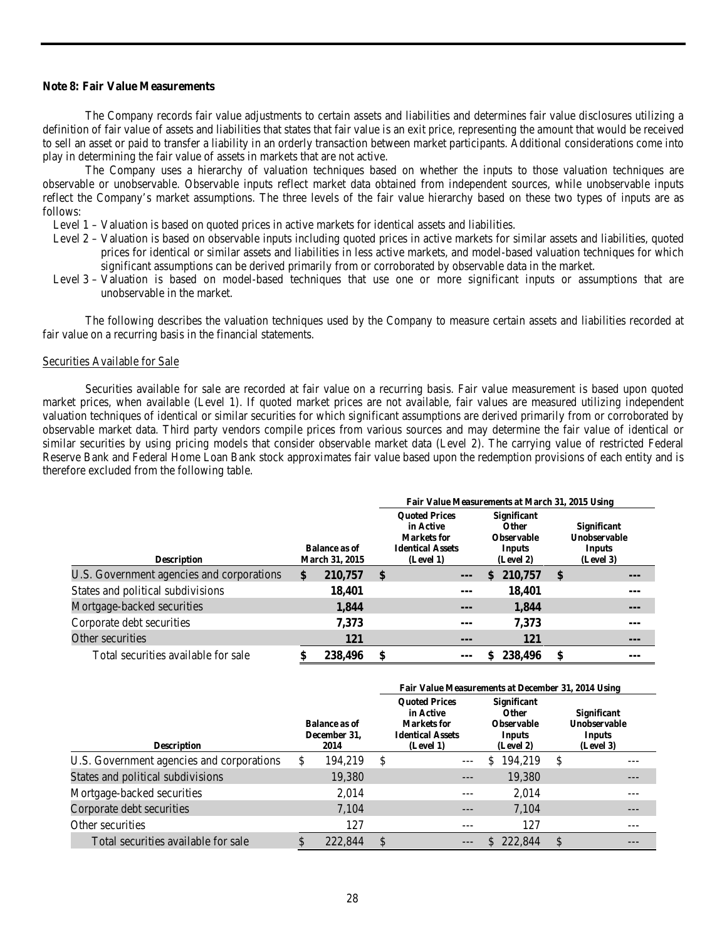# **Note 8: Fair Value Measurements**

The Company records fair value adjustments to certain assets and liabilities and determines fair value disclosures utilizing a definition of fair value of assets and liabilities that states that fair value is an exit price, representing the amount that would be received to sell an asset or paid to transfer a liability in an orderly transaction between market participants. Additional considerations come into play in determining the fair value of assets in markets that are not active.

The Company uses a hierarchy of valuation techniques based on whether the inputs to those valuation techniques are observable or unobservable. Observable inputs reflect market data obtained from independent sources, while unobservable inputs reflect the Company's market assumptions. The three levels of the fair value hierarchy based on these two types of inputs are as follows:

Level 1 – Valuation is based on quoted prices in active markets for identical assets and liabilities.

- Level 2 Valuation is based on observable inputs including quoted prices in active markets for similar assets and liabilities, quoted prices for identical or similar assets and liabilities in less active markets, and model-based valuation techniques for which significant assumptions can be derived primarily from or corroborated by observable data in the market.
- Level 3 Valuation is based on model-based techniques that use one or more significant inputs or assumptions that are unobservable in the market.

The following describes the valuation techniques used by the Company to measure certain assets and liabilities recorded at fair value on a recurring basis in the financial statements.

#### Securities Available for Sale

Securities available for sale are recorded at fair value on a recurring basis. Fair value measurement is based upon quoted market prices, when available (Level 1). If quoted market prices are not available, fair values are measured utilizing independent valuation techniques of identical or similar securities for which significant assumptions are derived primarily from or corroborated by observable market data. Third party vendors compile prices from various sources and may determine the fair value of identical or similar securities by using pricing models that consider observable market data (Level 2). The carrying value of restricted Federal Reserve Bank and Federal Home Loan Bank stock approximates fair value based upon the redemption provisions of each entity and is therefore excluded from the following table.

|                                           |                                        | Fair Value Measurements at March 31, 2015 Using                                                                                                                            |         |  |            |                                                           |       |  |  |
|-------------------------------------------|----------------------------------------|----------------------------------------------------------------------------------------------------------------------------------------------------------------------------|---------|--|------------|-----------------------------------------------------------|-------|--|--|
| <b>Description</b>                        | <b>Balance as of</b><br>March 31, 2015 | <b>Ouoted Prices</b><br><b>Significant</b><br>in Active<br><b>Other</b><br><b>Observable</b><br>Markets for<br><b>Identical Assets</b><br>Inputs<br>(Level 1)<br>(Level 2) |         |  |            | <b>Significant</b><br>Unobservable<br>Inputs<br>(Level 3) |       |  |  |
| U.S. Government agencies and corporations | \$<br>210,757                          | \$                                                                                                                                                                         | $---$   |  | \$210,757  | \$                                                        | ---   |  |  |
| States and political subdivisions         | 18,401                                 |                                                                                                                                                                            | ---     |  | 18,401     |                                                           |       |  |  |
| Mortgage-backed securities                | 1,844                                  |                                                                                                                                                                            | $---$   |  | 1,844      |                                                           | $---$ |  |  |
| Corporate debt securities                 | 7,373                                  |                                                                                                                                                                            | $- - -$ |  | 7,373      |                                                           | ---   |  |  |
| Other securities                          | <b>121</b>                             |                                                                                                                                                                            | $---$   |  | <b>121</b> |                                                           | ---   |  |  |
| Total securities available for sale       | 238,496                                | \$                                                                                                                                                                         |         |  | 238,496    | \$                                                        |       |  |  |

|                                           |   |                                              | Fair Value Measurements at December 31, 2014 Using |                                                                                          |                                                                                       |                                                           |
|-------------------------------------------|---|----------------------------------------------|----------------------------------------------------|------------------------------------------------------------------------------------------|---------------------------------------------------------------------------------------|-----------------------------------------------------------|
| <b>Description</b>                        |   | <b>Balance as of</b><br>December 31,<br>2014 |                                                    | <b>Ouoted Prices</b><br>in Active<br>Markets for<br><b>Identical Assets</b><br>(Level 1) | <b>Significant</b><br><b>Other</b><br><b>Observable</b><br><b>Inputs</b><br>(Level 2) | <b>Significant</b><br>Unobservable<br>Inputs<br>(Level 3) |
| U.S. Government agencies and corporations | S | 194,219                                      | <sup>\$</sup>                                      |                                                                                          | \$<br>194,219                                                                         | \$                                                        |
| States and political subdivisions         |   | 19,380                                       |                                                    | ---                                                                                      | 19,380                                                                                | ---                                                       |
| Mortgage-backed securities                |   | 2.014                                        |                                                    | ---                                                                                      | 2,014                                                                                 |                                                           |
| Corporate debt securities                 |   | 7,104                                        |                                                    | ---                                                                                      | 7,104                                                                                 |                                                           |
| Other securities                          |   | 127                                          |                                                    | ---                                                                                      | 127                                                                                   |                                                           |
| Total securities available for sale       |   | 222,844                                      | \$                                                 |                                                                                          | \$222,844                                                                             | \$                                                        |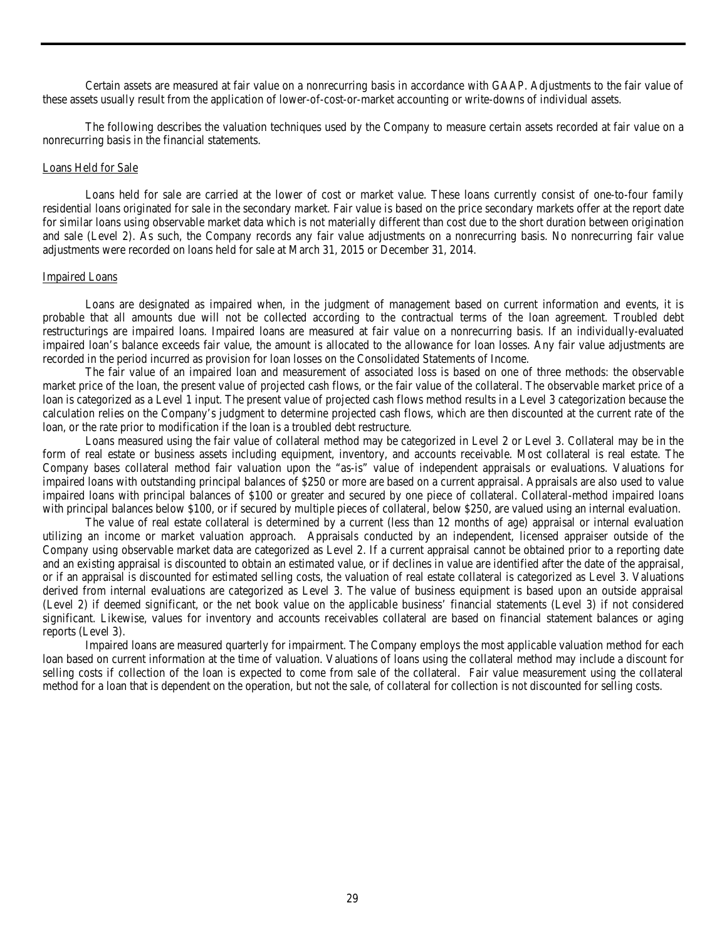Certain assets are measured at fair value on a nonrecurring basis in accordance with GAAP. Adjustments to the fair value of these assets usually result from the application of lower-of-cost-or-market accounting or write-downs of individual assets.

The following describes the valuation techniques used by the Company to measure certain assets recorded at fair value on a nonrecurring basis in the financial statements.

#### Loans Held for Sale

Loans held for sale are carried at the lower of cost or market value. These loans currently consist of one-to-four family residential loans originated for sale in the secondary market. Fair value is based on the price secondary markets offer at the report date for similar loans using observable market data which is not materially different than cost due to the short duration between origination and sale (Level 2). As such, the Company records any fair value adjustments on a nonrecurring basis. No nonrecurring fair value adjustments were recorded on loans held for sale at March 31, 2015 or December 31, 2014.

#### Impaired Loans

Loans are designated as impaired when, in the judgment of management based on current information and events, it is probable that all amounts due will not be collected according to the contractual terms of the loan agreement. Troubled debt restructurings are impaired loans. Impaired loans are measured at fair value on a nonrecurring basis. If an individually-evaluated impaired loan's balance exceeds fair value, the amount is allocated to the allowance for loan losses. Any fair value adjustments are recorded in the period incurred as provision for loan losses on the Consolidated Statements of Income.

The fair value of an impaired loan and measurement of associated loss is based on one of three methods: the observable market price of the loan, the present value of projected cash flows, or the fair value of the collateral. The observable market price of a loan is categorized as a Level 1 input. The present value of projected cash flows method results in a Level 3 categorization because the calculation relies on the Company's judgment to determine projected cash flows, which are then discounted at the current rate of the loan, or the rate prior to modification if the loan is a troubled debt restructure.

Loans measured using the fair value of collateral method may be categorized in Level 2 or Level 3. Collateral may be in the form of real estate or business assets including equipment, inventory, and accounts receivable. Most collateral is real estate. The Company bases collateral method fair valuation upon the "as-is" value of independent appraisals or evaluations. Valuations for impaired loans with outstanding principal balances of \$250 or more are based on a current appraisal. Appraisals are also used to value impaired loans with principal balances of \$100 or greater and secured by one piece of collateral. Collateral-method impaired loans with principal balances below \$100, or if secured by multiple pieces of collateral, below \$250, are valued using an internal evaluation.

The value of real estate collateral is determined by a current (less than 12 months of age) appraisal or internal evaluation utilizing an income or market valuation approach. Appraisals conducted by an independent, licensed appraiser outside of the Company using observable market data are categorized as Level 2. If a current appraisal cannot be obtained prior to a reporting date and an existing appraisal is discounted to obtain an estimated value, or if declines in value are identified after the date of the appraisal, or if an appraisal is discounted for estimated selling costs, the valuation of real estate collateral is categorized as Level 3. Valuations derived from internal evaluations are categorized as Level 3. The value of business equipment is based upon an outside appraisal (Level 2) if deemed significant, or the net book value on the applicable business' financial statements (Level 3) if not considered significant. Likewise, values for inventory and accounts receivables collateral are based on financial statement balances or aging reports (Level 3).

Impaired loans are measured quarterly for impairment. The Company employs the most applicable valuation method for each loan based on current information at the time of valuation. Valuations of loans using the collateral method may include a discount for selling costs if collection of the loan is expected to come from sale of the collateral. Fair value measurement using the collateral method for a loan that is dependent on the operation, but not the sale, of collateral for collection is not discounted for selling costs.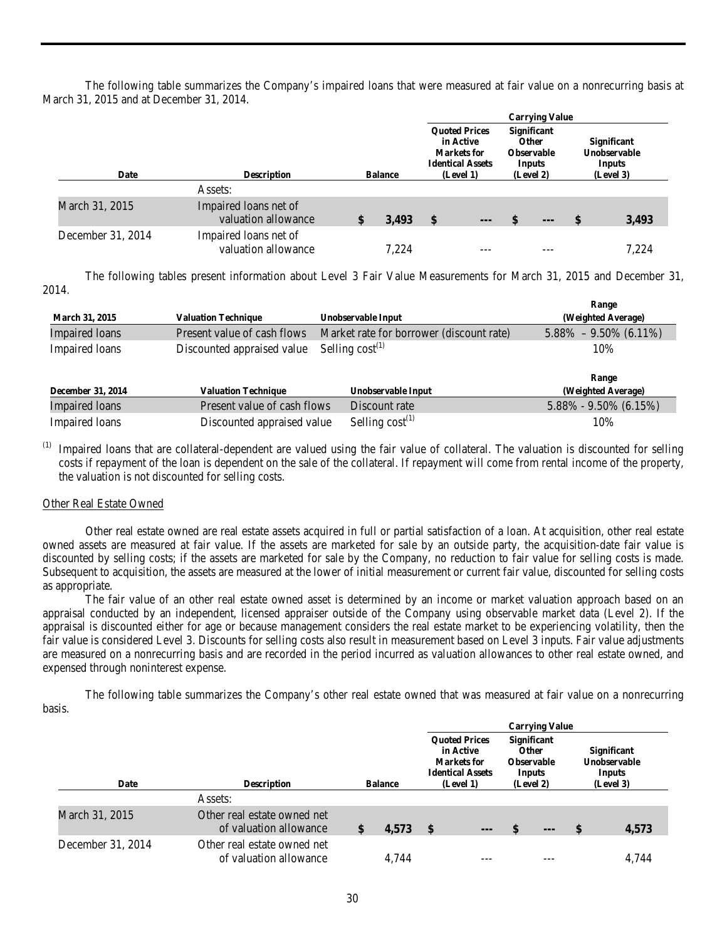The following table summarizes the Company's impaired loans that were measured at fair value on a nonrecurring basis at March 31, 2015 and at December 31, 2014.

|                   |                                              |                |       |                                                                                                 |     |                                                                                | <b>Carrying Value</b>  |              |                                                           |
|-------------------|----------------------------------------------|----------------|-------|-------------------------------------------------------------------------------------------------|-----|--------------------------------------------------------------------------------|------------------------|--------------|-----------------------------------------------------------|
| Date              | <b>Description</b>                           | <b>Balance</b> |       | <b>Ouoted Prices</b><br>in Active<br><b>Markets</b> for<br><b>Identical Assets</b><br>(Level 1) |     | <b>Significant</b><br><b>Other</b><br><b>Observable</b><br>Inputs<br>(Level 2) |                        |              | <b>Significant</b><br>Unobservable<br>Inputs<br>(Level 3) |
|                   | Assets:                                      |                |       |                                                                                                 |     |                                                                                |                        |              |                                                           |
| March 31, 2015    | Impaired loans net of<br>valuation allowance |                | 3,493 | $\sqrt[6]{\frac{1}{2}}$                                                                         | --- |                                                                                | $\qquad \qquad \cdots$ | $\mathbf{s}$ | 3,493                                                     |
| December 31, 2014 | Impaired loans net of<br>valuation allowance |                | 7.224 |                                                                                                 |     |                                                                                |                        |              | 7.224                                                     |

The following tables present information about Level 3 Fair Value Measurements for March 31, 2015 and December 31, 2014.

|                          |                             |                                          | Range                     |
|--------------------------|-----------------------------|------------------------------------------|---------------------------|
| <b>March 31, 2015</b>    | <b>Valuation Technique</b>  | Unobservable Input                       | (Weighted Average)        |
| <b>Impaired</b> loans    | Present value of cash flows | Market rate for borrower (discount rate) | $5.88\% - 9.50\%$ (6.11%) |
| Impaired loans           | Discounted appraised value  | Selling $cost^{(1)}$                     | 10%                       |
|                          |                             |                                          |                           |
|                          |                             |                                          |                           |
|                          |                             |                                          | Range                     |
| <b>December 31, 2014</b> | <b>Valuation Technique</b>  | Unobservable Input                       | (Weighted Average)        |
| <b>Impaired</b> loans    | Present value of cash flows | Discount rate                            | $5.88\% - 9.50\%$ (6.15%) |

(1) Impaired loans that are collateral-dependent are valued using the fair value of collateral. The valuation is discounted for selling costs if repayment of the loan is dependent on the sale of the collateral. If repayment will come from rental income of the property, the valuation is not discounted for selling costs.

# Other Real Estate Owned

Other real estate owned are real estate assets acquired in full or partial satisfaction of a loan. At acquisition, other real estate owned assets are measured at fair value. If the assets are marketed for sale by an outside party, the acquisition-date fair value is discounted by selling costs; if the assets are marketed for sale by the Company, no reduction to fair value for selling costs is made. Subsequent to acquisition, the assets are measured at the lower of initial measurement or current fair value, discounted for selling costs as appropriate.

The fair value of an other real estate owned asset is determined by an income or market valuation approach based on an appraisal conducted by an independent, licensed appraiser outside of the Company using observable market data (Level 2). If the appraisal is discounted either for age or because management considers the real estate market to be experiencing volatility, then the fair value is considered Level 3. Discounts for selling costs also result in measurement based on Level 3 inputs. Fair value adjustments are measured on a nonrecurring basis and are recorded in the period incurred as valuation allowances to other real estate owned, and expensed through noninterest expense.

The following table summarizes the Company's other real estate owned that was measured at fair value on a nonrecurring basis.

|                   |                                                       |                |       |                                                                                                 |     |                                                                                | <b>Carrying Value</b> |                                                           |       |
|-------------------|-------------------------------------------------------|----------------|-------|-------------------------------------------------------------------------------------------------|-----|--------------------------------------------------------------------------------|-----------------------|-----------------------------------------------------------|-------|
| Date              | <b>Description</b>                                    | <b>Balance</b> |       | <b>Ouoted Prices</b><br>in Active<br><b>Markets</b> for<br><b>Identical Assets</b><br>(Level 1) |     | <b>Significant</b><br><b>Other</b><br><b>Observable</b><br>Inputs<br>(Level 2) |                       | <b>Significant</b><br>Unobservable<br>Inputs<br>(Level 3) |       |
|                   | Assets:                                               |                |       |                                                                                                 |     |                                                                                |                       |                                                           |       |
| March 31, 2015    | Other real estate owned net<br>of valuation allowance |                | 4,573 | $\mathbf{s}$                                                                                    | --- | \$                                                                             | $\cdots$              | -S                                                        | 4,573 |
| December 31, 2014 | Other real estate owned net<br>of valuation allowance |                | 4.744 |                                                                                                 |     |                                                                                |                       |                                                           | 4.744 |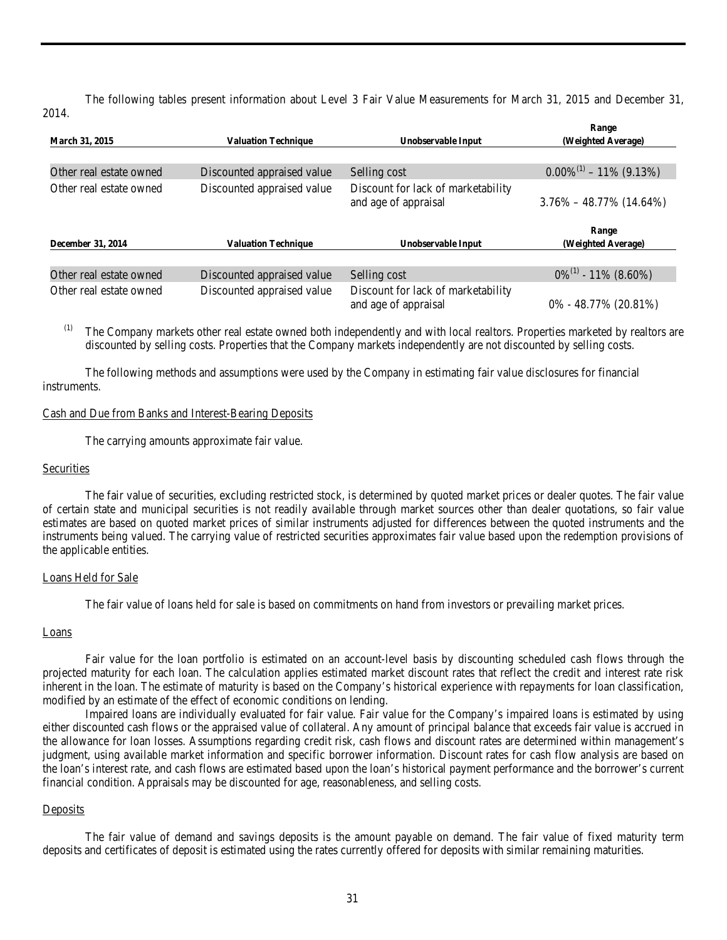The following tables present information about Level 3 Fair Value Measurements for March 31, 2015 and December 31, 2014.

|                         |                            |                                                            | Range                         |
|-------------------------|----------------------------|------------------------------------------------------------|-------------------------------|
| <b>March 31, 2015</b>   | <b>Valuation Technique</b> | Unobservable Input                                         | (Weighted Average)            |
|                         |                            |                                                            |                               |
| Other real estate owned | Discounted appraised value | Selling cost                                               | $0.00\%^{(1)} - 11\%$ (9.13%) |
| Other real estate owned | Discounted appraised value | Discount for lack of marketability<br>and age of appraisal | $3.76\% - 48.77\%$ (14.64%)   |
| December 31, 2014       | <b>Valuation Technique</b> | Unobservable Input                                         | Range<br>(Weighted Average)   |
|                         |                            |                                                            |                               |
| Other real estate owned | Discounted appraised value | Selling cost                                               | $0\%^{(1)}$ - 11% (8.60%)     |
| Other real estate owned | Discounted appraised value | Discount for lack of marketability<br>and age of appraisal | $0\% - 48.77\%$ (20.81%)      |

The Company markets other real estate owned both independently and with local realtors. Properties marketed by realtors are discounted by selling costs. Properties that the Company markets independently are not discounted by selling costs.

The following methods and assumptions were used by the Company in estimating fair value disclosures for financial instruments.

#### Cash and Due from Banks and Interest-Bearing Deposits

The carrying amounts approximate fair value.

# **Securities**

The fair value of securities, excluding restricted stock, is determined by quoted market prices or dealer quotes. The fair value of certain state and municipal securities is not readily available through market sources other than dealer quotations, so fair value estimates are based on quoted market prices of similar instruments adjusted for differences between the quoted instruments and the instruments being valued. The carrying value of restricted securities approximates fair value based upon the redemption provisions of the applicable entities.

#### Loans Held for Sale

The fair value of loans held for sale is based on commitments on hand from investors or prevailing market prices.

#### Loans

Fair value for the loan portfolio is estimated on an account-level basis by discounting scheduled cash flows through the projected maturity for each loan. The calculation applies estimated market discount rates that reflect the credit and interest rate risk inherent in the loan. The estimate of maturity is based on the Company's historical experience with repayments for loan classification, modified by an estimate of the effect of economic conditions on lending.

Impaired loans are individually evaluated for fair value. Fair value for the Company's impaired loans is estimated by using either discounted cash flows or the appraised value of collateral. Any amount of principal balance that exceeds fair value is accrued in the allowance for loan losses. Assumptions regarding credit risk, cash flows and discount rates are determined within management's judgment, using available market information and specific borrower information. Discount rates for cash flow analysis are based on the loan's interest rate, and cash flows are estimated based upon the loan's historical payment performance and the borrower's current financial condition. Appraisals may be discounted for age, reasonableness, and selling costs.

# **Deposits**

The fair value of demand and savings deposits is the amount payable on demand. The fair value of fixed maturity term deposits and certificates of deposit is estimated using the rates currently offered for deposits with similar remaining maturities.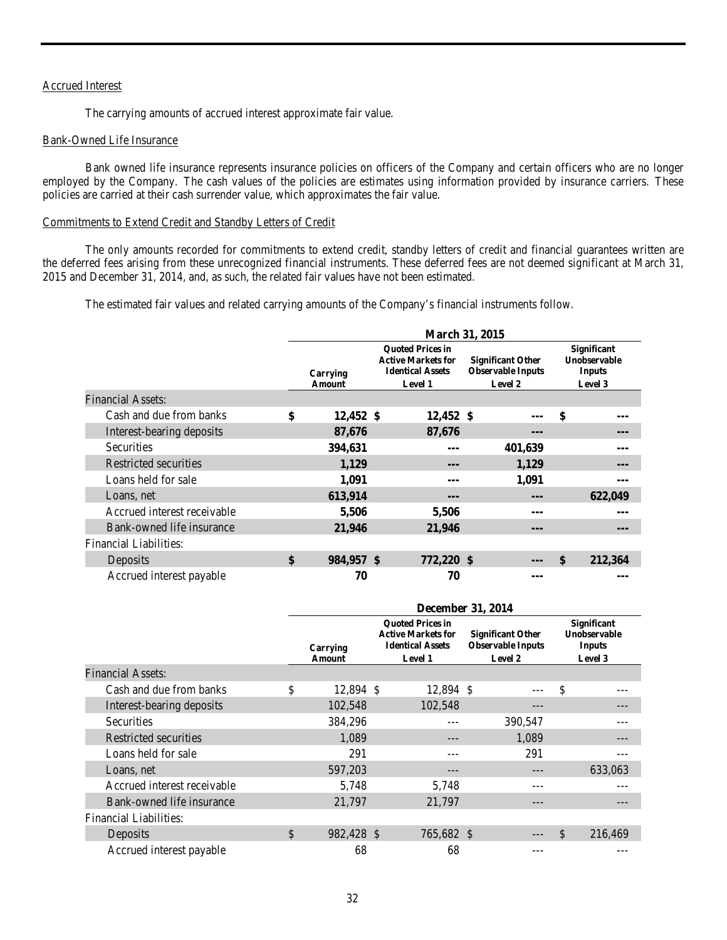# Accrued Interest

The carrying amounts of accrued interest approximate fair value.

#### Bank-Owned Life Insurance

Bank owned life insurance represents insurance policies on officers of the Company and certain officers who are no longer employed by the Company. The cash values of the policies are estimates using information provided by insurance carriers. These policies are carried at their cash surrender value, which approximates the fair value.

# Commitments to Extend Credit and Standby Letters of Credit

The only amounts recorded for commitments to extend credit, standby letters of credit and financial guarantees written are the deferred fees arising from these unrecognized financial instruments. These deferred fees are not deemed significant at March 31, 2015 and December 31, 2014, and, as such, the related fair values have not been estimated.

The estimated fair values and related carrying amounts of the Company's financial instruments follow.

|                               |                                                                                                                                |            |  | March 31, 2015 |                                                                 |                                                                |               |
|-------------------------------|--------------------------------------------------------------------------------------------------------------------------------|------------|--|----------------|-----------------------------------------------------------------|----------------------------------------------------------------|---------------|
|                               | <b>Ouoted Prices in</b><br><b>Active Markets for</b><br><b>Identical Assets</b><br>Carrying<br><b>Level 1</b><br><b>Amount</b> |            |  |                | <b>Significant Other</b><br><b>Observable Inputs</b><br>Level 2 | <b>Significant</b><br>Unobservable<br><b>Inputs</b><br>Level 3 |               |
| <b>Financial Assets:</b>      |                                                                                                                                |            |  |                |                                                                 |                                                                |               |
| Cash and due from banks       | \$                                                                                                                             | 12,452 \$  |  | 12,452 \$      |                                                                 |                                                                | \$            |
| Interest-bearing deposits     |                                                                                                                                | 87,676     |  | 87,676         |                                                                 |                                                                |               |
| <b>Securities</b>             |                                                                                                                                | 394,631    |  | ---            |                                                                 | 401,639                                                        | ---           |
| Restricted securities         |                                                                                                                                | 1,129      |  | ---            |                                                                 | 1,129                                                          | ---           |
| Loans held for sale           |                                                                                                                                | 1,091      |  | ---            |                                                                 | 1,091                                                          | ---           |
| Loans, net                    |                                                                                                                                | 613,914    |  | ---            |                                                                 | ---                                                            | 622,049       |
| Accrued interest receivable   |                                                                                                                                | 5,506      |  | 5,506          |                                                                 | ---                                                            | ---           |
| Bank-owned life insurance     |                                                                                                                                | 21,946     |  | 21,946         |                                                                 | ---                                                            | ---           |
| <b>Financial Liabilities:</b> |                                                                                                                                |            |  |                |                                                                 |                                                                |               |
| Deposits                      | \$                                                                                                                             | 984,957 \$ |  | 772,220 \$     |                                                                 |                                                                | \$<br>212,364 |
| Accrued interest payable      |                                                                                                                                | 70         |  | 70             |                                                                 |                                                                |               |

|                               |                                                                                                                                                                                            |  | <b>December 31, 2014</b> |  |         |                                                                       |         |  |
|-------------------------------|--------------------------------------------------------------------------------------------------------------------------------------------------------------------------------------------|--|--------------------------|--|---------|-----------------------------------------------------------------------|---------|--|
|                               | <b>Ouoted Prices in</b><br><b>Active Markets for</b><br><b>Significant Other</b><br><b>Identical Assets</b><br><b>Observable Inputs</b><br>Carrying<br>Level 2<br><b>Level 1</b><br>Amount |  |                          |  |         | <b>Significant</b><br><b>Unobservable</b><br><b>Inputs</b><br>Level 3 |         |  |
| <b>Financial Assets:</b>      |                                                                                                                                                                                            |  |                          |  |         |                                                                       |         |  |
| Cash and due from banks       | \$<br>12,894 \$                                                                                                                                                                            |  | 12,894 \$                |  |         | \$                                                                    |         |  |
| Interest-bearing deposits     | 102,548                                                                                                                                                                                    |  | 102,548                  |  |         |                                                                       |         |  |
| Securities                    | 384,296                                                                                                                                                                                    |  |                          |  | 390,547 |                                                                       |         |  |
| Restricted securities         | 1,089                                                                                                                                                                                      |  |                          |  | 1,089   |                                                                       |         |  |
| Loans held for sale           | 291                                                                                                                                                                                        |  |                          |  | 291     |                                                                       |         |  |
| Loans, net                    | 597,203                                                                                                                                                                                    |  |                          |  |         |                                                                       | 633.063 |  |
| Accrued interest receivable   | 5,748                                                                                                                                                                                      |  | 5,748                    |  |         |                                                                       |         |  |
| Bank-owned life insurance     | 21,797                                                                                                                                                                                     |  | 21,797                   |  | ---     |                                                                       |         |  |
| <b>Financial Liabilities:</b> |                                                                                                                                                                                            |  |                          |  |         |                                                                       |         |  |
| Deposits                      | \$<br>982,428 \$                                                                                                                                                                           |  | 765,682 \$               |  |         | \$                                                                    | 216,469 |  |
| Accrued interest payable      | 68                                                                                                                                                                                         |  | 68                       |  |         |                                                                       |         |  |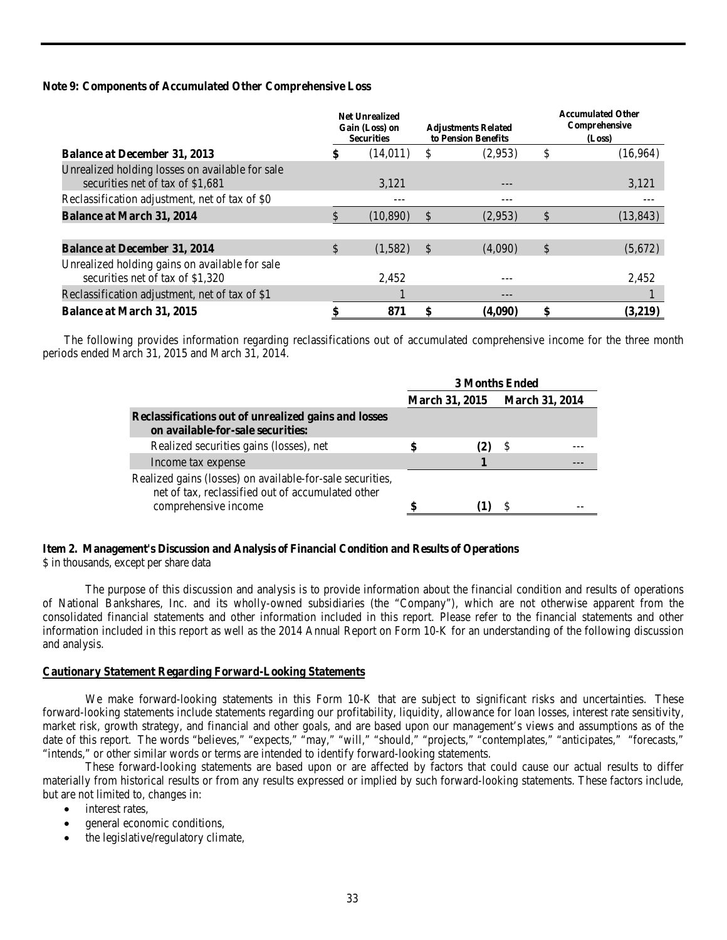# **Note 9: Components of Accumulated Other Comprehensive Loss**

|                                                                                     |              | <b>Net Unrealized</b><br>Gain (Loss) on<br><b>Securities</b> |    | <b>Adjustments Related</b><br>to Pension Benefits | <b>Accumulated Other</b><br>Comprehensive<br>(Loss) |           |  |  |
|-------------------------------------------------------------------------------------|--------------|--------------------------------------------------------------|----|---------------------------------------------------|-----------------------------------------------------|-----------|--|--|
| <b>Balance at December 31, 2013</b>                                                 | \$           | (14,011)                                                     | S  | (2,953)                                           | \$                                                  | (16,964)  |  |  |
| Unrealized holding losses on available for sale<br>securities net of tax of \$1,681 |              | 3.121                                                        |    | ---                                               |                                                     | 3,121     |  |  |
| Reclassification adjustment, net of tax of \$0                                      |              | ---                                                          |    | ---                                               |                                                     |           |  |  |
| <b>Balance at March 31, 2014</b>                                                    | \$           | (10, 890)                                                    | \$ | (2,953)                                           | \$                                                  | (13, 843) |  |  |
|                                                                                     |              |                                                              |    |                                                   |                                                     |           |  |  |
| <b>Balance at December 31, 2014</b>                                                 | $\mathbb{S}$ | (1,582)                                                      | S  | (4,090)                                           | \$                                                  | (5,672)   |  |  |
| Unrealized holding gains on available for sale<br>securities net of tax of \$1,320  |              | 2,452                                                        |    | ---                                               |                                                     | 2,452     |  |  |
| Reclassification adjustment, net of tax of \$1                                      |              |                                                              |    | ---                                               |                                                     |           |  |  |
| <b>Balance at March 31, 2015</b>                                                    | \$           | 871                                                          | \$ | (4,090)                                           | \$                                                  | (3,219)   |  |  |

The following provides information regarding reclassifications out of accumulated comprehensive income for the three month periods ended March 31, 2015 and March 31, 2014.

|                                                                                                                                        | <b>3 Months Ended</b> |                       |    |                       |  |
|----------------------------------------------------------------------------------------------------------------------------------------|-----------------------|-----------------------|----|-----------------------|--|
|                                                                                                                                        |                       | <b>March 31, 2015</b> |    | <b>March 31, 2014</b> |  |
| Reclassifications out of unrealized gains and losses<br>on available-for-sale securities:                                              |                       |                       |    |                       |  |
| Realized securities gains (losses), net                                                                                                |                       |                       | -8 |                       |  |
| Income tax expense                                                                                                                     |                       |                       |    |                       |  |
| Realized gains (losses) on available-for-sale securities,<br>net of tax, reclassified out of accumulated other<br>comprehensive income |                       |                       |    |                       |  |

# <span id="page-32-0"></span>**Item 2. Management's Discussion and Analysis of Financial Condition and Results of Operations**

\$ in thousands, except per share data

The purpose of this discussion and analysis is to provide information about the financial condition and results of operations of National Bankshares, Inc. and its wholly-owned subsidiaries (the "Company"), which are not otherwise apparent from the consolidated financial statements and other information included in this report. Please refer to the financial statements and other information included in this report as well as the 2014 Annual Report on Form 10-K for an understanding of the following discussion and analysis.

# **Cautionary Statement Regarding Forward-Looking Statements**

We make forward-looking statements in this Form 10-K that are subject to significant risks and uncertainties. These forward-looking statements include statements regarding our profitability, liquidity, allowance for loan losses, interest rate sensitivity, market risk, growth strategy, and financial and other goals, and are based upon our management's views and assumptions as of the date of this report. The words "believes," "expects," "may," "will," "should," "projects," "contemplates," "anticipates," "forecasts," "intends," or other similar words or terms are intended to identify forward-looking statements.

These forward-looking statements are based upon or are affected by factors that could cause our actual results to differ materially from historical results or from any results expressed or implied by such forward-looking statements. These factors include, but are not limited to, changes in:

- interest rates.
- general economic conditions,
- the legislative/regulatory climate,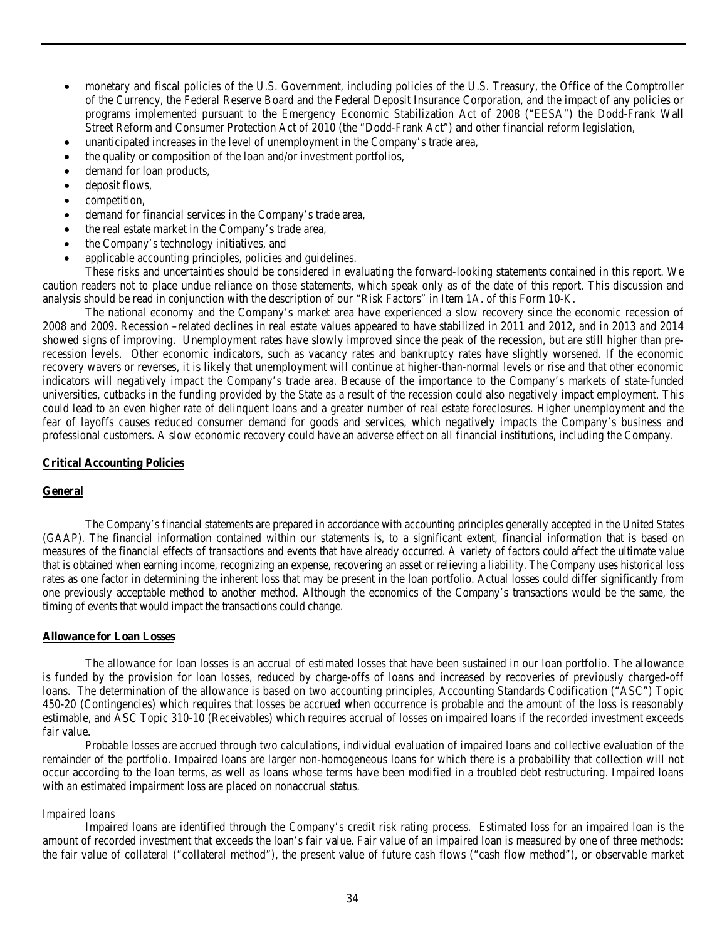- monetary and fiscal policies of the U.S. Government, including policies of the U.S. Treasury, the Office of the Comptroller of the Currency, the Federal Reserve Board and the Federal Deposit Insurance Corporation, and the impact of any policies or programs implemented pursuant to the Emergency Economic Stabilization Act of 2008 ("EESA") the Dodd-Frank Wall Street Reform and Consumer Protection Act of 2010 (the "Dodd-Frank Act") and other financial reform legislation,
- unanticipated increases in the level of unemployment in the Company's trade area,
- the quality or composition of the loan and/or investment portfolios,
- demand for loan products,
- deposit flows,
- competition,
- demand for financial services in the Company's trade area,
- the real estate market in the Company's trade area,
- the Company's technology initiatives, and
- applicable accounting principles, policies and guidelines.

These risks and uncertainties should be considered in evaluating the forward-looking statements contained in this report. We caution readers not to place undue reliance on those statements, which speak only as of the date of this report. This discussion and analysis should be read in conjunction with the description of our "Risk Factors" in Item 1A. of this Form 10-K.

The national economy and the Company's market area have experienced a slow recovery since the economic recession of 2008 and 2009. Recession –related declines in real estate values appeared to have stabilized in 2011 and 2012, and in 2013 and 2014 showed signs of improving. Unemployment rates have slowly improved since the peak of the recession, but are still higher than prerecession levels. Other economic indicators, such as vacancy rates and bankruptcy rates have slightly worsened. If the economic recovery wavers or reverses, it is likely that unemployment will continue at higher-than-normal levels or rise and that other economic indicators will negatively impact the Company's trade area. Because of the importance to the Company's markets of state-funded universities, cutbacks in the funding provided by the State as a result of the recession could also negatively impact employment. This could lead to an even higher rate of delinquent loans and a greater number of real estate foreclosures. Higher unemployment and the fear of layoffs causes reduced consumer demand for goods and services, which negatively impacts the Company's business and professional customers. A slow economic recovery could have an adverse effect on all financial institutions, including the Company.

#### **Critical Accounting Policies**

#### **General**

The Company's financial statements are prepared in accordance with accounting principles generally accepted in the United States (GAAP). The financial information contained within our statements is, to a significant extent, financial information that is based on measures of the financial effects of transactions and events that have already occurred. A variety of factors could affect the ultimate value that is obtained when earning income, recognizing an expense, recovering an asset or relieving a liability. The Company uses historical loss rates as one factor in determining the inherent loss that may be present in the loan portfolio. Actual losses could differ significantly from one previously acceptable method to another method. Although the economics of the Company's transactions would be the same, the timing of events that would impact the transactions could change.

#### **Allowance for Loan Losses**

The allowance for loan losses is an accrual of estimated losses that have been sustained in our loan portfolio. The allowance is funded by the provision for loan losses, reduced by charge-offs of loans and increased by recoveries of previously charged-off loans. The determination of the allowance is based on two accounting principles, Accounting Standards Codification ("ASC") Topic 450-20 (Contingencies) which requires that losses be accrued when occurrence is probable and the amount of the loss is reasonably estimable, and ASC Topic 310-10 (Receivables) which requires accrual of losses on impaired loans if the recorded investment exceeds fair value.

Probable losses are accrued through two calculations, individual evaluation of impaired loans and collective evaluation of the remainder of the portfolio. Impaired loans are larger non-homogeneous loans for which there is a probability that collection will not occur according to the loan terms, as well as loans whose terms have been modified in a troubled debt restructuring. Impaired loans with an estimated impairment loss are placed on nonaccrual status.

#### *Impaired loans*

Impaired loans are identified through the Company's credit risk rating process. Estimated loss for an impaired loan is the amount of recorded investment that exceeds the loan's fair value. Fair value of an impaired loan is measured by one of three methods: the fair value of collateral ("collateral method"), the present value of future cash flows ("cash flow method"), or observable market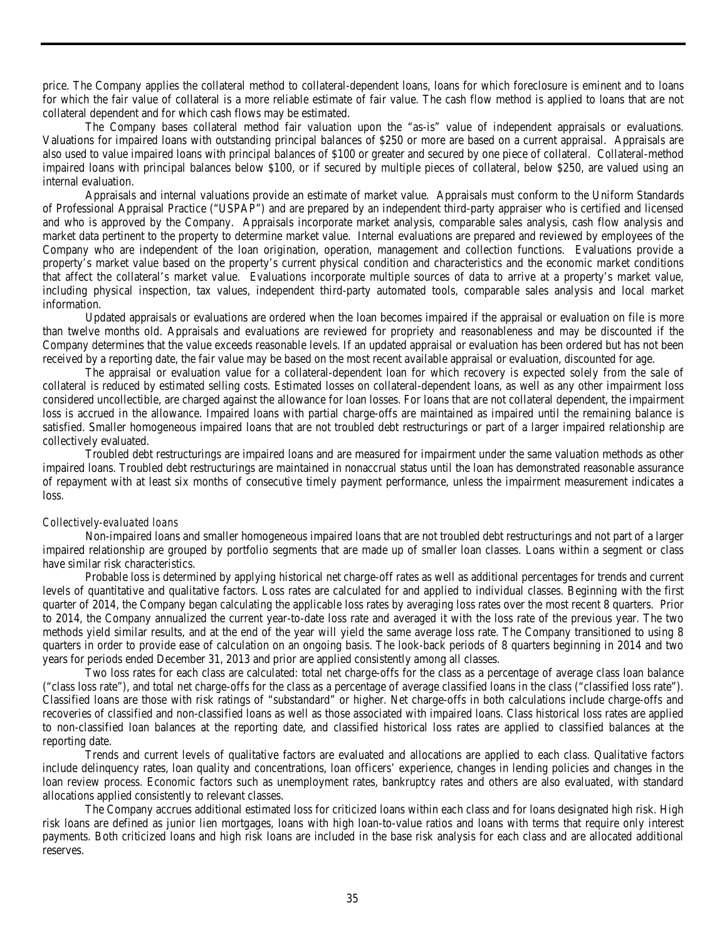price. The Company applies the collateral method to collateral-dependent loans, loans for which foreclosure is eminent and to loans for which the fair value of collateral is a more reliable estimate of fair value. The cash flow method is applied to loans that are not collateral dependent and for which cash flows may be estimated.

The Company bases collateral method fair valuation upon the "as-is" value of independent appraisals or evaluations. Valuations for impaired loans with outstanding principal balances of \$250 or more are based on a current appraisal. Appraisals are also used to value impaired loans with principal balances of \$100 or greater and secured by one piece of collateral. Collateral-method impaired loans with principal balances below \$100, or if secured by multiple pieces of collateral, below \$250, are valued using an internal evaluation.

Appraisals and internal valuations provide an estimate of market value. Appraisals must conform to the Uniform Standards of Professional Appraisal Practice ("USPAP") and are prepared by an independent third-party appraiser who is certified and licensed and who is approved by the Company. Appraisals incorporate market analysis, comparable sales analysis, cash flow analysis and market data pertinent to the property to determine market value. Internal evaluations are prepared and reviewed by employees of the Company who are independent of the loan origination, operation, management and collection functions. Evaluations provide a property's market value based on the property's current physical condition and characteristics and the economic market conditions that affect the collateral's market value. Evaluations incorporate multiple sources of data to arrive at a property's market value, including physical inspection, tax values, independent third-party automated tools, comparable sales analysis and local market information.

Updated appraisals or evaluations are ordered when the loan becomes impaired if the appraisal or evaluation on file is more than twelve months old. Appraisals and evaluations are reviewed for propriety and reasonableness and may be discounted if the Company determines that the value exceeds reasonable levels. If an updated appraisal or evaluation has been ordered but has not been received by a reporting date, the fair value may be based on the most recent available appraisal or evaluation, discounted for age.

The appraisal or evaluation value for a collateral-dependent loan for which recovery is expected solely from the sale of collateral is reduced by estimated selling costs. Estimated losses on collateral-dependent loans, as well as any other impairment loss considered uncollectible, are charged against the allowance for loan losses. For loans that are not collateral dependent, the impairment loss is accrued in the allowance. Impaired loans with partial charge-offs are maintained as impaired until the remaining balance is satisfied. Smaller homogeneous impaired loans that are not troubled debt restructurings or part of a larger impaired relationship are collectively evaluated.

Troubled debt restructurings are impaired loans and are measured for impairment under the same valuation methods as other impaired loans. Troubled debt restructurings are maintained in nonaccrual status until the loan has demonstrated reasonable assurance of repayment with at least six months of consecutive timely payment performance, unless the impairment measurement indicates a loss.

#### *Collectively-evaluated loans*

Non-impaired loans and smaller homogeneous impaired loans that are not troubled debt restructurings and not part of a larger impaired relationship are grouped by portfolio segments that are made up of smaller loan classes. Loans within a segment or class have similar risk characteristics.

Probable loss is determined by applying historical net charge-off rates as well as additional percentages for trends and current levels of quantitative and qualitative factors. Loss rates are calculated for and applied to individual classes. Beginning with the first quarter of 2014, the Company began calculating the applicable loss rates by averaging loss rates over the most recent 8 quarters. Prior to 2014, the Company annualized the current year-to-date loss rate and averaged it with the loss rate of the previous year. The two methods yield similar results, and at the end of the year will yield the same average loss rate. The Company transitioned to using 8 quarters in order to provide ease of calculation on an ongoing basis. The look-back periods of 8 quarters beginning in 2014 and two years for periods ended December 31, 2013 and prior are applied consistently among all classes.

Two loss rates for each class are calculated: total net charge-offs for the class as a percentage of average class loan balance ("class loss rate"), and total net charge-offs for the class as a percentage of average classified loans in the class ("classified loss rate"). Classified loans are those with risk ratings of "substandard" or higher. Net charge-offs in both calculations include charge-offs and recoveries of classified and non-classified loans as well as those associated with impaired loans. Class historical loss rates are applied to non-classified loan balances at the reporting date, and classified historical loss rates are applied to classified balances at the reporting date.

Trends and current levels of qualitative factors are evaluated and allocations are applied to each class. Qualitative factors include delinquency rates, loan quality and concentrations, loan officers' experience, changes in lending policies and changes in the loan review process. Economic factors such as unemployment rates, bankruptcy rates and others are also evaluated, with standard allocations applied consistently to relevant classes.

The Company accrues additional estimated loss for criticized loans within each class and for loans designated high risk. High risk loans are defined as junior lien mortgages, loans with high loan-to-value ratios and loans with terms that require only interest payments. Both criticized loans and high risk loans are included in the base risk analysis for each class and are allocated additional reserves.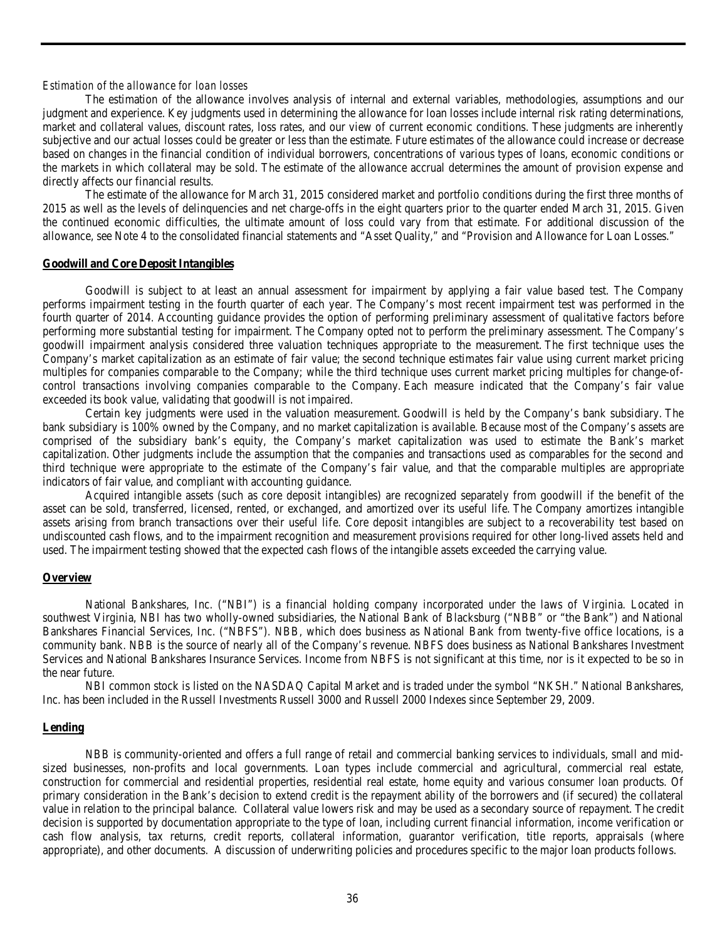#### *Estimation of the allowance for loan losses*

The estimation of the allowance involves analysis of internal and external variables, methodologies, assumptions and our judgment and experience. Key judgments used in determining the allowance for loan losses include internal risk rating determinations, market and collateral values, discount rates, loss rates, and our view of current economic conditions. These judgments are inherently subjective and our actual losses could be greater or less than the estimate. Future estimates of the allowance could increase or decrease based on changes in the financial condition of individual borrowers, concentrations of various types of loans, economic conditions or the markets in which collateral may be sold. The estimate of the allowance accrual determines the amount of provision expense and directly affects our financial results.

The estimate of the allowance for March 31, 2015 considered market and portfolio conditions during the first three months of 2015 as well as the levels of delinquencies and net charge-offs in the eight quarters prior to the quarter ended March 31, 2015. Given the continued economic difficulties, the ultimate amount of loss could vary from that estimate. For additional discussion of the allowance, see Note 4 to the consolidated financial statements and "Asset Quality," and "Provision and Allowance for Loan Losses."

#### **Goodwill and Core Deposit Intangibles**

Goodwill is subject to at least an annual assessment for impairment by applying a fair value based test. The Company performs impairment testing in the fourth quarter of each year. The Company's most recent impairment test was performed in the fourth quarter of 2014. Accounting guidance provides the option of performing preliminary assessment of qualitative factors before performing more substantial testing for impairment. The Company opted not to perform the preliminary assessment. The Company's goodwill impairment analysis considered three valuation techniques appropriate to the measurement. The first technique uses the Company's market capitalization as an estimate of fair value; the second technique estimates fair value using current market pricing multiples for companies comparable to the Company; while the third technique uses current market pricing multiples for change-ofcontrol transactions involving companies comparable to the Company. Each measure indicated that the Company's fair value exceeded its book value, validating that goodwill is not impaired.

Certain key judgments were used in the valuation measurement. Goodwill is held by the Company's bank subsidiary. The bank subsidiary is 100% owned by the Company, and no market capitalization is available. Because most of the Company's assets are comprised of the subsidiary bank's equity, the Company's market capitalization was used to estimate the Bank's market capitalization. Other judgments include the assumption that the companies and transactions used as comparables for the second and third technique were appropriate to the estimate of the Company's fair value, and that the comparable multiples are appropriate indicators of fair value, and compliant with accounting guidance.

Acquired intangible assets (such as core deposit intangibles) are recognized separately from goodwill if the benefit of the asset can be sold, transferred, licensed, rented, or exchanged, and amortized over its useful life. The Company amortizes intangible assets arising from branch transactions over their useful life. Core deposit intangibles are subject to a recoverability test based on undiscounted cash flows, and to the impairment recognition and measurement provisions required for other long-lived assets held and used. The impairment testing showed that the expected cash flows of the intangible assets exceeded the carrying value.

#### **Overview**

National Bankshares, Inc. ("NBI") is a financial holding company incorporated under the laws of Virginia. Located in southwest Virginia, NBI has two wholly-owned subsidiaries, the National Bank of Blacksburg ("NBB" or "the Bank") and National Bankshares Financial Services, Inc. ("NBFS"). NBB, which does business as National Bank from twenty-five office locations, is a community bank. NBB is the source of nearly all of the Company's revenue. NBFS does business as National Bankshares Investment Services and National Bankshares Insurance Services. Income from NBFS is not significant at this time, nor is it expected to be so in the near future.

NBI common stock is listed on the NASDAQ Capital Market and is traded under the symbol "NKSH." National Bankshares, Inc. has been included in the Russell Investments Russell 3000 and Russell 2000 Indexes since September 29, 2009.

#### **Lending**

NBB is community-oriented and offers a full range of retail and commercial banking services to individuals, small and midsized businesses, non-profits and local governments. Loan types include commercial and agricultural, commercial real estate, construction for commercial and residential properties, residential real estate, home equity and various consumer loan products. Of primary consideration in the Bank's decision to extend credit is the repayment ability of the borrowers and (if secured) the collateral value in relation to the principal balance. Collateral value lowers risk and may be used as a secondary source of repayment. The credit decision is supported by documentation appropriate to the type of loan, including current financial information, income verification or cash flow analysis, tax returns, credit reports, collateral information, guarantor verification, title reports, appraisals (where appropriate), and other documents. A discussion of underwriting policies and procedures specific to the major loan products follows.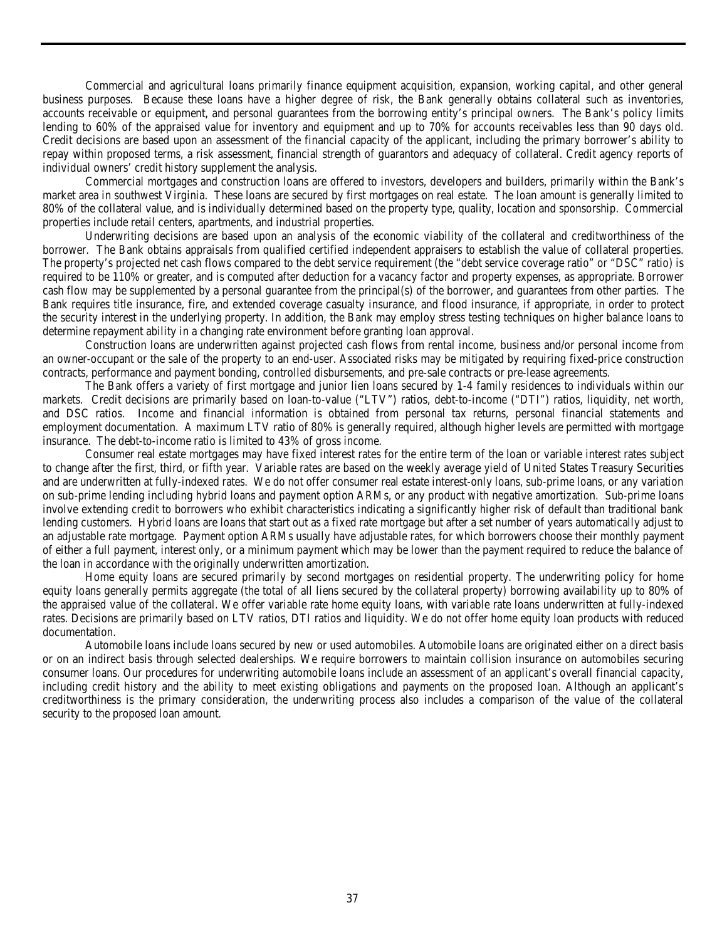Commercial and agricultural loans primarily finance equipment acquisition, expansion, working capital, and other general business purposes. Because these loans have a higher degree of risk, the Bank generally obtains collateral such as inventories, accounts receivable or equipment, and personal guarantees from the borrowing entity's principal owners. The Bank's policy limits lending to 60% of the appraised value for inventory and equipment and up to 70% for accounts receivables less than 90 days old. Credit decisions are based upon an assessment of the financial capacity of the applicant, including the primary borrower's ability to repay within proposed terms, a risk assessment, financial strength of guarantors and adequacy of collateral. Credit agency reports of individual owners' credit history supplement the analysis.

Commercial mortgages and construction loans are offered to investors, developers and builders, primarily within the Bank's market area in southwest Virginia. These loans are secured by first mortgages on real estate. The loan amount is generally limited to 80% of the collateral value, and is individually determined based on the property type, quality, location and sponsorship. Commercial properties include retail centers, apartments, and industrial properties.

Underwriting decisions are based upon an analysis of the economic viability of the collateral and creditworthiness of the borrower. The Bank obtains appraisals from qualified certified independent appraisers to establish the value of collateral properties. The property's projected net cash flows compared to the debt service requirement (the "debt service coverage ratio" or "DSC" ratio) is required to be 110% or greater, and is computed after deduction for a vacancy factor and property expenses, as appropriate. Borrower cash flow may be supplemented by a personal guarantee from the principal(s) of the borrower, and guarantees from other parties. The Bank requires title insurance, fire, and extended coverage casualty insurance, and flood insurance, if appropriate, in order to protect the security interest in the underlying property. In addition, the Bank may employ stress testing techniques on higher balance loans to determine repayment ability in a changing rate environment before granting loan approval.

Construction loans are underwritten against projected cash flows from rental income, business and/or personal income from an owner-occupant or the sale of the property to an end-user. Associated risks may be mitigated by requiring fixed-price construction contracts, performance and payment bonding, controlled disbursements, and pre-sale contracts or pre-lease agreements.

The Bank offers a variety of first mortgage and junior lien loans secured by 1-4 family residences to individuals within our markets. Credit decisions are primarily based on loan-to-value ("LTV") ratios, debt-to-income ("DTI") ratios, liquidity, net worth, and DSC ratios. Income and financial information is obtained from personal tax returns, personal financial statements and employment documentation. A maximum LTV ratio of 80% is generally required, although higher levels are permitted with mortgage insurance. The debt-to-income ratio is limited to 43% of gross income.

Consumer real estate mortgages may have fixed interest rates for the entire term of the loan or variable interest rates subject to change after the first, third, or fifth year. Variable rates are based on the weekly average yield of United States Treasury Securities and are underwritten at fully-indexed rates. We do not offer consumer real estate interest-only loans, sub-prime loans, or any variation on sub-prime lending including hybrid loans and payment option ARMs, or any product with negative amortization. Sub-prime loans involve extending credit to borrowers who exhibit characteristics indicating a significantly higher risk of default than traditional bank lending customers. Hybrid loans are loans that start out as a fixed rate mortgage but after a set number of years automatically adjust to an adjustable rate mortgage. Payment option ARMs usually have adjustable rates, for which borrowers choose their monthly payment of either a full payment, interest only, or a minimum payment which may be lower than the payment required to reduce the balance of the loan in accordance with the originally underwritten amortization.

Home equity loans are secured primarily by second mortgages on residential property. The underwriting policy for home equity loans generally permits aggregate (the total of all liens secured by the collateral property) borrowing availability up to 80% of the appraised value of the collateral. We offer variable rate home equity loans, with variable rate loans underwritten at fully-indexed rates. Decisions are primarily based on LTV ratios, DTI ratios and liquidity. We do not offer home equity loan products with reduced documentation.

Automobile loans include loans secured by new or used automobiles. Automobile loans are originated either on a direct basis or on an indirect basis through selected dealerships. We require borrowers to maintain collision insurance on automobiles securing consumer loans. Our procedures for underwriting automobile loans include an assessment of an applicant's overall financial capacity, including credit history and the ability to meet existing obligations and payments on the proposed loan. Although an applicant's creditworthiness is the primary consideration, the underwriting process also includes a comparison of the value of the collateral security to the proposed loan amount.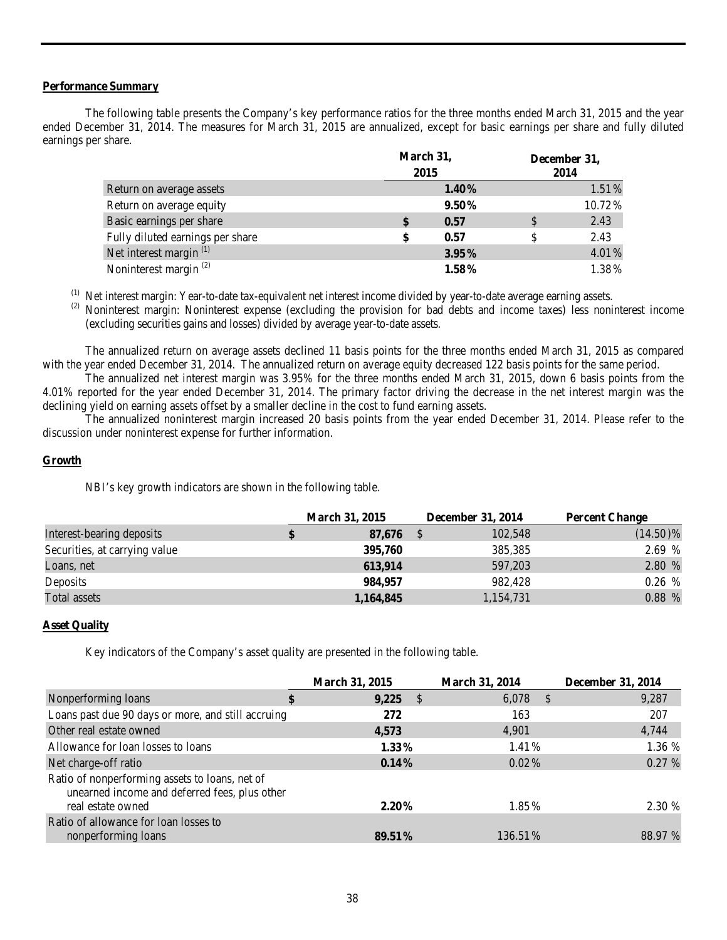# **Performance Summary**

The following table presents the Company's key performance ratios for the three months ended March 31, 2015 and the year ended December 31, 2014. The measures for March 31, 2015 are annualized, except for basic earnings per share and fully diluted earnings per share.

|                                    | March 31,<br>2015 |          | December 31,<br>2014 |          |  |
|------------------------------------|-------------------|----------|----------------------|----------|--|
| Return on average assets           |                   | $1.40\%$ |                      | $1.51\%$ |  |
| Return on average equity           |                   | $9.50\%$ |                      | 10.72%   |  |
| Basic earnings per share           |                   | 0.57     | \$                   | 2.43     |  |
| Fully diluted earnings per share   | \$                | 0.57     | \$                   | 2.43     |  |
| Net interest margin <sup>(1)</sup> |                   | $3.95\%$ |                      | 4.01%    |  |
| Noninterest margin <sup>(2)</sup>  |                   | $1.58\%$ |                      | 1.38%    |  |

(1) Net interest margin: Year-to-date tax-equivalent net interest income divided by year-to-date average earning assets.<br>(2) Noninterest margin: Noninterest expense (excluding the provision for bad debts and income taxes) (excluding securities gains and losses) divided by average year-to-date assets.

The annualized return on average assets declined 11 basis points for the three months ended March 31, 2015 as compared with the year ended December 31, 2014. The annualized return on average equity decreased 122 basis points for the same period.

The annualized net interest margin was 3.95% for the three months ended March 31, 2015, down 6 basis points from the 4.01% reported for the year ended December 31, 2014. The primary factor driving the decrease in the net interest margin was the declining yield on earning assets offset by a smaller decline in the cost to fund earning assets.

The annualized noninterest margin increased 20 basis points from the year ended December 31, 2014. Please refer to the discussion under noninterest expense for further information.

# **Growth**

NBI's key growth indicators are shown in the following table.

|                               | <b>March 31, 2015</b> |  | December 31, 2014 | <b>Percent Change</b> |  |
|-------------------------------|-----------------------|--|-------------------|-----------------------|--|
| Interest-bearing deposits     | 87,676                |  | 102,548           | $(14.50)\%$           |  |
| Securities, at carrying value | 395,760               |  | 385,385           | 2.69 %                |  |
| Loans, net                    | 613,914               |  | 597,203           | 2.80 %                |  |
| Deposits                      | 984,957               |  | 982.428           | 0.26 %                |  |
| Total assets                  | 1,164,845             |  | 1,154,731         | 0.88 %                |  |

# **Asset Quality**

Key indicators of the Company's asset quality are presented in the following table.

|                                                                                                 | <b>March 31, 2015</b> | <b>March 31, 2014</b> | <b>December 31, 2014</b> |
|-------------------------------------------------------------------------------------------------|-----------------------|-----------------------|--------------------------|
| Nonperforming loans<br>\$                                                                       | 9,225<br>- S          | 6,078<br>$\sqrt{s}$   | 9,287                    |
| Loans past due 90 days or more, and still accruing                                              | 272                   | 163                   | 207                      |
| Other real estate owned                                                                         | 4,573                 | 4,901                 | 4,744                    |
| Allowance for loan losses to loans                                                              | $1.33\%$              | 1.41%                 | 1.36 %                   |
| Net charge-off ratio                                                                            | $0.14\%$              | $0.02\%$              | 0.27 %                   |
| Ratio of nonperforming assets to loans, net of<br>unearned income and deferred fees, plus other |                       |                       |                          |
| real estate owned                                                                               | $2.20\%$              | 1.85%                 | 2.30 %                   |
| Ratio of allowance for loan losses to                                                           |                       |                       |                          |
| nonperforming loans                                                                             | 89.51 %               | 136.51%               | 88.97 %                  |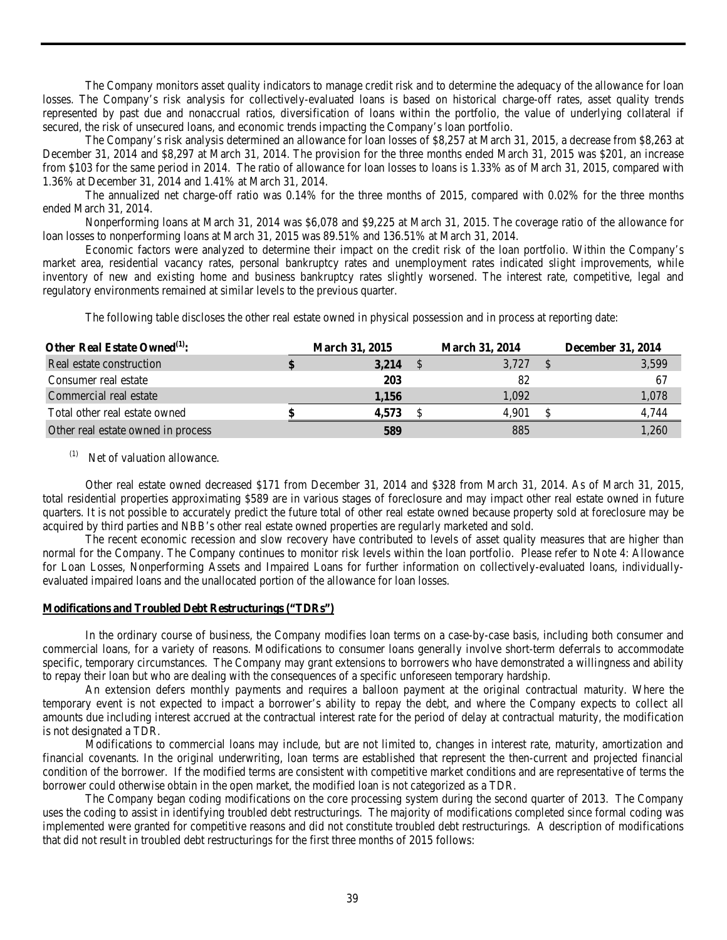The Company monitors asset quality indicators to manage credit risk and to determine the adequacy of the allowance for loan losses. The Company's risk analysis for collectively-evaluated loans is based on historical charge-off rates, asset quality trends represented by past due and nonaccrual ratios, diversification of loans within the portfolio, the value of underlying collateral if secured, the risk of unsecured loans, and economic trends impacting the Company's loan portfolio.

The Company's risk analysis determined an allowance for loan losses of \$8,257 at March 31, 2015, a decrease from \$8,263 at December 31, 2014 and \$8,297 at March 31, 2014. The provision for the three months ended March 31, 2015 was \$201, an increase from \$103 for the same period in 2014. The ratio of allowance for loan losses to loans is 1.33% as of March 31, 2015, compared with 1.36% at December 31, 2014 and 1.41% at March 31, 2014.

The annualized net charge-off ratio was 0.14% for the three months of 2015, compared with 0.02% for the three months ended March 31, 2014.

Nonperforming loans at March 31, 2014 was \$6,078 and \$9,225 at March 31, 2015. The coverage ratio of the allowance for loan losses to nonperforming loans at March 31, 2015 was 89.51% and 136.51% at March 31, 2014.

Economic factors were analyzed to determine their impact on the credit risk of the loan portfolio. Within the Company's market area, residential vacancy rates, personal bankruptcy rates and unemployment rates indicated slight improvements, while inventory of new and existing home and business bankruptcy rates slightly worsened. The interest rate, competitive, legal and regulatory environments remained at similar levels to the previous quarter.

The following table discloses the other real estate owned in physical possession and in process at reporting date:

| Other Real Estate Owned <sup>(1)</sup> : | <b>March 31, 2015</b> | <b>March 31, 2014</b> | <b>December 31, 2014</b> |       |
|------------------------------------------|-----------------------|-----------------------|--------------------------|-------|
| Real estate construction                 | 3,214                 | 3,727                 |                          | 3,599 |
| Consumer real estate                     | 203                   | 82                    |                          |       |
| Commercial real estate                   | 1.156                 | 1.092                 |                          | 1.078 |
| Total other real estate owned            | 4.573                 | 4.901                 |                          | 4.744 |
| Other real estate owned in process       | 589                   | 885                   |                          | 1.260 |

 $(1)$  Net of valuation allowance.

Other real estate owned decreased \$171 from December 31, 2014 and \$328 from March 31, 2014. As of March 31, 2015, total residential properties approximating \$589 are in various stages of foreclosure and may impact other real estate owned in future quarters. It is not possible to accurately predict the future total of other real estate owned because property sold at foreclosure may be acquired by third parties and NBB's other real estate owned properties are regularly marketed and sold.

The recent economic recession and slow recovery have contributed to levels of asset quality measures that are higher than normal for the Company. The Company continues to monitor risk levels within the loan portfolio. Please refer to Note 4: Allowance for Loan Losses, Nonperforming Assets and Impaired Loans for further information on collectively-evaluated loans, individuallyevaluated impaired loans and the unallocated portion of the allowance for loan losses.

#### **Modifications and Troubled Debt Restructurings ("TDRs")**

In the ordinary course of business, the Company modifies loan terms on a case-by-case basis, including both consumer and commercial loans, for a variety of reasons. Modifications to consumer loans generally involve short-term deferrals to accommodate specific, temporary circumstances. The Company may grant extensions to borrowers who have demonstrated a willingness and ability to repay their loan but who are dealing with the consequences of a specific unforeseen temporary hardship.

An extension defers monthly payments and requires a balloon payment at the original contractual maturity. Where the temporary event is not expected to impact a borrower's ability to repay the debt, and where the Company expects to collect all amounts due including interest accrued at the contractual interest rate for the period of delay at contractual maturity, the modification is not designated a TDR.

Modifications to commercial loans may include, but are not limited to, changes in interest rate, maturity, amortization and financial covenants. In the original underwriting, loan terms are established that represent the then-current and projected financial condition of the borrower. If the modified terms are consistent with competitive market conditions and are representative of terms the borrower could otherwise obtain in the open market, the modified loan is not categorized as a TDR.

The Company began coding modifications on the core processing system during the second quarter of 2013. The Company uses the coding to assist in identifying troubled debt restructurings. The majority of modifications completed since formal coding was implemented were granted for competitive reasons and did not constitute troubled debt restructurings. A description of modifications that did not result in troubled debt restructurings for the first three months of 2015 follows: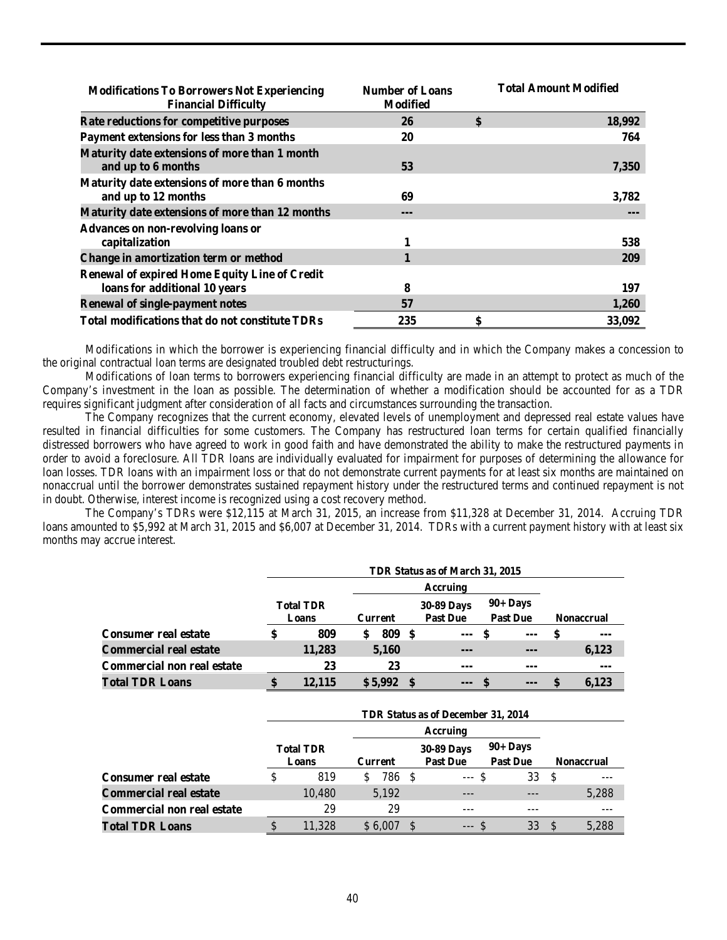| <b>Modifications To Borrowers Not Experiencing</b><br><b>Financial Difficulty</b> | <b>Number of Loans</b><br><b>Modified</b> | <b>Total Amount Modified</b> |
|-----------------------------------------------------------------------------------|-------------------------------------------|------------------------------|
| Rate reductions for competitive purposes                                          | 26                                        | \$<br>18,992                 |
| Payment extensions for less than 3 months                                         | 20                                        | 764                          |
| Maturity date extensions of more than 1 month<br>and up to 6 months               | 53                                        | 7,350                        |
| Maturity date extensions of more than 6 months<br>and up to 12 months             | 69                                        | 3,782                        |
| Maturity date extensions of more than 12 months                                   | $---$                                     |                              |
| <b>Advances on non-revolving loans or</b>                                         |                                           |                              |
| capitalization                                                                    |                                           | 538                          |
| Change in amortization term or method                                             |                                           | 209                          |
| <b>Renewal of expired Home Equity Line of Credit</b>                              |                                           |                              |
| loans for additional 10 years                                                     | 8                                         | 197                          |
| <b>Renewal of single-payment notes</b>                                            | 57                                        | 1,260                        |
| <b>Total modifications that do not constitute TDRs</b>                            | 235                                       | \$<br>33,092                 |

Modifications in which the borrower is experiencing financial difficulty and in which the Company makes a concession to the original contractual loan terms are designated troubled debt restructurings.

Modifications of loan terms to borrowers experiencing financial difficulty are made in an attempt to protect as much of the Company's investment in the loan as possible. The determination of whether a modification should be accounted for as a TDR requires significant judgment after consideration of all facts and circumstances surrounding the transaction.

The Company recognizes that the current economy, elevated levels of unemployment and depressed real estate values have resulted in financial difficulties for some customers. The Company has restructured loan terms for certain qualified financially distressed borrowers who have agreed to work in good faith and have demonstrated the ability to make the restructured payments in order to avoid a foreclosure. All TDR loans are individually evaluated for impairment for purposes of determining the allowance for loan losses. TDR loans with an impairment loss or that do not demonstrate current payments for at least six months are maintained on nonaccrual until the borrower demonstrates sustained repayment history under the restructured terms and continued repayment is not in doubt. Otherwise, interest income is recognized using a cost recovery method.

The Company's TDRs were \$12,115 at March 31, 2015, an increase from \$11,328 at December 31, 2014. Accruing TDR loans amounted to \$5,992 at March 31, 2015 and \$6,007 at December 31, 2014. TDRs with a current payment history with at least six months may accrue interest.

|                               |    |                           |                |    | TDR Status as of March 31, 2015      |  |                                |                   |       |
|-------------------------------|----|---------------------------|----------------|----|--------------------------------------|--|--------------------------------|-------------------|-------|
|                               |    |                           |                |    |                                      |  |                                |                   |       |
|                               |    | <b>Total TDR</b><br>Loans | <b>Current</b> |    | <b>30-89 Days</b><br><b>Past Due</b> |  | $90 +$ Days<br><b>Past Due</b> | <b>Nonaccrual</b> |       |
| <b>Consumer real estate</b>   | \$ | 809                       | 809<br>\$      | -8 | $---$                                |  | ---                            |                   | $--$  |
| <b>Commercial real estate</b> |    | 11.283                    | 5,160          |    | ---                                  |  | ---                            |                   | 6,123 |
| Commercial non real estate    |    | 23                        | 23             |    | $--$                                 |  | ---                            |                   | $--$  |
| <b>Total TDR Loans</b>        | S  | 12,115                    | \$5,992        |    | $\overline{a}$                       |  | $\cdots$                       |                   | 6.123 |

|                                   |    |                           |             | TDR Status as of December 31, 2014 |                                      |                                |                   |       |  |  |  |  |
|-----------------------------------|----|---------------------------|-------------|------------------------------------|--------------------------------------|--------------------------------|-------------------|-------|--|--|--|--|
|                                   |    |                           |             |                                    |                                      |                                |                   |       |  |  |  |  |
|                                   |    | <b>Total TDR</b><br>Loans | Current     |                                    | <b>30-89 Days</b><br><b>Past Due</b> | $90 +$ Days<br><b>Past Due</b> | <b>Nonaccrual</b> |       |  |  |  |  |
| <b>Consumer real estate</b>       | \$ | 819                       | 786 \$<br>S |                                    | $--$ \$                              | 33                             | -S                |       |  |  |  |  |
| <b>Commercial real estate</b>     |    | 10,480                    | 5,192       |                                    | ---                                  |                                |                   | 5,288 |  |  |  |  |
| <b>Commercial non real estate</b> |    | 29                        | 29          |                                    | ---                                  |                                |                   |       |  |  |  |  |
| <b>Total TDR Loans</b>            | S  | .328                      | \$ 6.00     |                                    | $--$ \$                              | 33                             | <sup>\$</sup>     | 5.288 |  |  |  |  |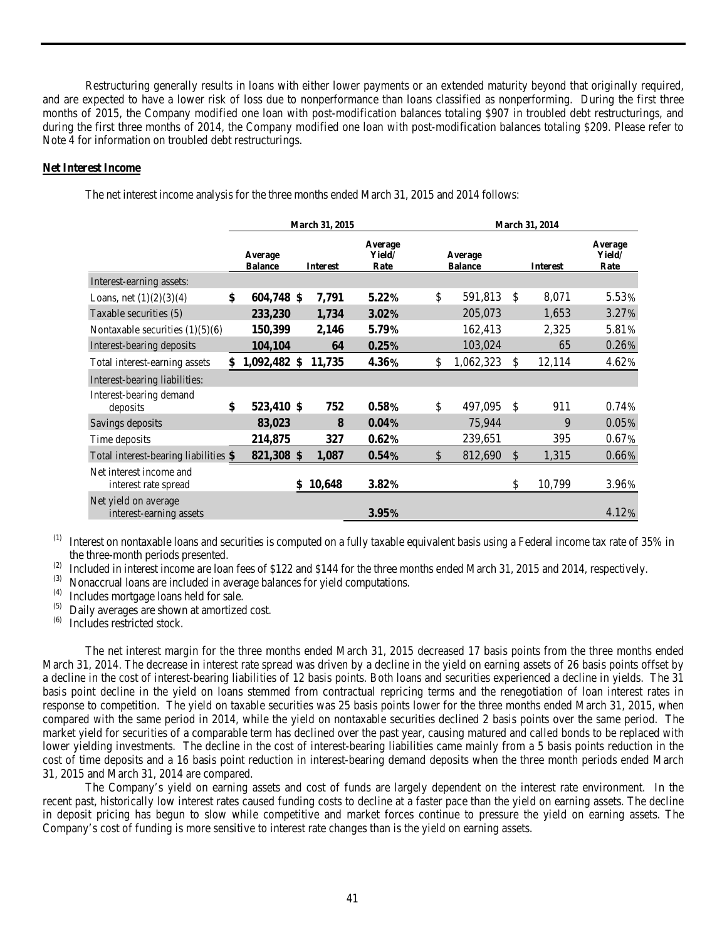Restructuring generally results in loans with either lower payments or an extended maturity beyond that originally required, and are expected to have a lower risk of loss due to nonperformance than loans classified as nonperforming. During the first three months of 2015, the Company modified one loan with post-modification balances totaling \$907 in troubled debt restructurings, and during the first three months of 2014, the Company modified one loan with post-modification balances totaling \$209. Please refer to Note 4 for information on troubled debt restructurings.

# **Net Interest Income**

|                                                 | March 31, 2015            |  |                 | <b>March 31, 2014</b>     |                           |               |                 |                           |  |
|-------------------------------------------------|---------------------------|--|-----------------|---------------------------|---------------------------|---------------|-----------------|---------------------------|--|
|                                                 | Average<br><b>Balance</b> |  | <b>Interest</b> | Average<br>Yield/<br>Rate | Average<br><b>Balance</b> |               | <b>Interest</b> | Average<br>Yield/<br>Rate |  |
| Interest-earning assets:                        |                           |  |                 |                           |                           |               |                 |                           |  |
| Loans, net $(1)(2)(3)(4)$                       | \$<br>604,748 \$          |  | 7,791           | $5.22\%$                  | \$<br>591,813             | \$            | 8,071           | 5.53%                     |  |
| Taxable securities (5)                          | 233,230                   |  | 1,734           | $3.02\%$                  | 205,073                   |               | 1,653           | 3.27%                     |  |
| Nontaxable securities $(1)(5)(6)$               | 150,399                   |  | 2,146           | 5.79%                     | 162,413                   |               | 2,325           | 5.81%                     |  |
| Interest-bearing deposits                       | 104,104                   |  | 64              | 0.25%                     | 103,024                   |               | 65              | 0.26%                     |  |
| Total interest-earning assets                   | \$<br>1,092,482 \$        |  | 11,735          | 4.36%                     | \$<br>1,062,323           | \$            | 12,114          | 4.62%                     |  |
| Interest-bearing liabilities:                   |                           |  |                 |                           |                           |               |                 |                           |  |
| Interest-bearing demand<br>deposits             | \$<br>523,410 \$          |  | 752             | 0.58%                     | \$<br>497,095             | <sup>\$</sup> | 911             | 0.74%                     |  |
| Savings deposits                                | 83,023                    |  | 8               | $0.04\%$                  | 75,944                    |               | 9               | 0.05%                     |  |
| Time deposits                                   | 214,875                   |  | 327             | $0.62\%$                  | 239,651                   |               | 395             | 0.67%                     |  |
| Total interest-bearing liabilities \$           | 821,308 \$                |  | 1,087           | 0.54%                     | \$<br>812,690             | $\mathcal{S}$ | 1,315           | 0.66%                     |  |
| Net interest income and<br>interest rate spread |                           |  | 10,648          | $3.82\%$                  |                           | \$            | 10,799          | 3.96%                     |  |
| Net yield on average<br>interest-earning assets |                           |  |                 | 3.95%                     |                           |               |                 | 4.12%                     |  |

The net interest income analysis for the three months ended March 31, 2015 and 2014 follows:

 $<sup>(1)</sup>$  Interest on nontaxable loans and securities is computed on a fully taxable equivalent basis using a Federal income tax rate of 35% in</sup> the three-month periods presented.

(2) Included in interest income are loan fees of \$122 and \$144 for the three months ended March 31, 2015 and 2014, respectively.<br>(3) Nonogariial loans are included in average belances for viald commutations.

 $(3)$  Nonaccrual loans are included in average balances for yield computations.<br> $(4)$  Includes mortgage loans hald for sale.

 $(4)$  Includes mortgage loans held for sale.<br> $(5)$  Daily averages are shown at amortized

- $(5)$  Daily averages are shown at amortized cost.<br> $(6)$  Includes restricted stock
- Includes restricted stock.

The net interest margin for the three months ended March 31, 2015 decreased 17 basis points from the three months ended March 31, 2014. The decrease in interest rate spread was driven by a decline in the yield on earning assets of 26 basis points offset by a decline in the cost of interest-bearing liabilities of 12 basis points. Both loans and securities experienced a decline in yields. The 31 basis point decline in the yield on loans stemmed from contractual repricing terms and the renegotiation of loan interest rates in response to competition. The yield on taxable securities was 25 basis points lower for the three months ended March 31, 2015, when compared with the same period in 2014, while the yield on nontaxable securities declined 2 basis points over the same period. The market yield for securities of a comparable term has declined over the past year, causing matured and called bonds to be replaced with lower yielding investments. The decline in the cost of interest-bearing liabilities came mainly from a 5 basis points reduction in the cost of time deposits and a 16 basis point reduction in interest-bearing demand deposits when the three month periods ended March 31, 2015 and March 31, 2014 are compared.

The Company's yield on earning assets and cost of funds are largely dependent on the interest rate environment. In the recent past, historically low interest rates caused funding costs to decline at a faster pace than the yield on earning assets. The decline in deposit pricing has begun to slow while competitive and market forces continue to pressure the yield on earning assets. The Company's cost of funding is more sensitive to interest rate changes than is the yield on earning assets.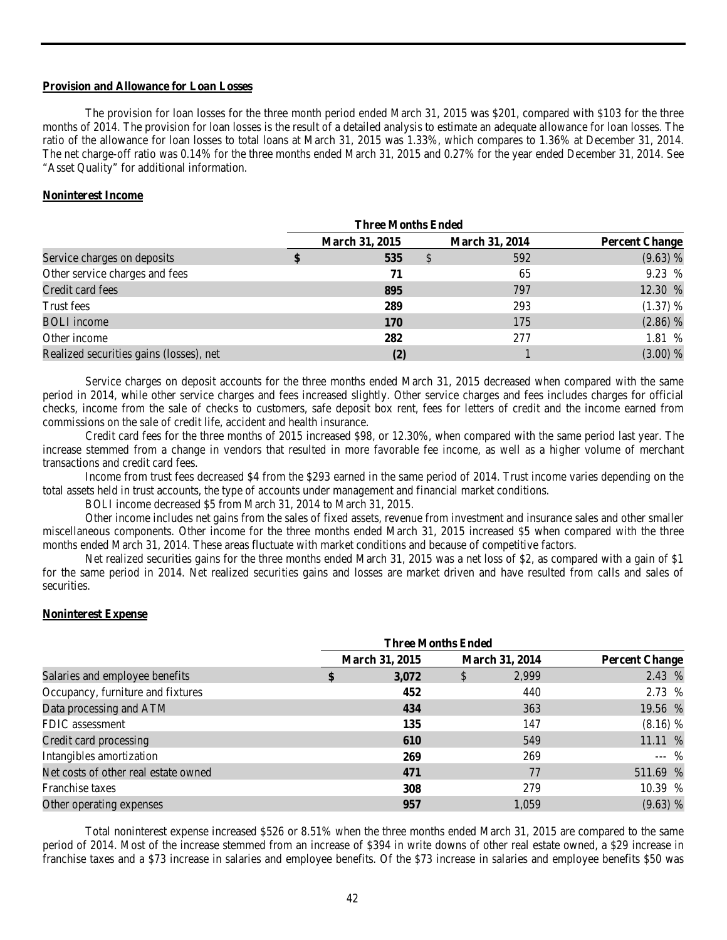#### **Provision and Allowance for Loan Losses**

The provision for loan losses for the three month period ended March 31, 2015 was \$201, compared with \$103 for the three months of 2014. The provision for loan losses is the result of a detailed analysis to estimate an adequate allowance for loan losses. The ratio of the allowance for loan losses to total loans at March 31, 2015 was 1.33%, which compares to 1.36% at December 31, 2014. The net charge-off ratio was 0.14% for the three months ended March 31, 2015 and 0.27% for the year ended December 31, 2014. See "Asset Quality" for additional information.

# **Noninterest Income**

|                                         | <b>Three Months Ended</b> |                       |                       |     |                       |  |  |
|-----------------------------------------|---------------------------|-----------------------|-----------------------|-----|-----------------------|--|--|
|                                         |                           | <b>March 31, 2015</b> | <b>March 31, 2014</b> |     | <b>Percent Change</b> |  |  |
| Service charges on deposits             |                           | 535                   | D                     | 592 | (9.63) %              |  |  |
| Other service charges and fees          |                           | 71                    |                       | 65  | 9.23 %                |  |  |
| Credit card fees                        |                           | 895                   |                       | 797 | 12.30 %               |  |  |
| Trust fees                              |                           | 289                   |                       | 293 | $(1.37)$ %            |  |  |
| <b>BOLI</b> income                      |                           | <b>170</b>            |                       | 175 | $(2.86)$ %            |  |  |
| Other income                            |                           | 282                   |                       | 277 | 1.81 %                |  |  |
| Realized securities gains (losses), net |                           | (2)                   |                       |     | (3.00) %              |  |  |

Service charges on deposit accounts for the three months ended March 31, 2015 decreased when compared with the same period in 2014, while other service charges and fees increased slightly. Other service charges and fees includes charges for official checks, income from the sale of checks to customers, safe deposit box rent, fees for letters of credit and the income earned from commissions on the sale of credit life, accident and health insurance.

Credit card fees for the three months of 2015 increased \$98, or 12.30%, when compared with the same period last year. The increase stemmed from a change in vendors that resulted in more favorable fee income, as well as a higher volume of merchant transactions and credit card fees.

Income from trust fees decreased \$4 from the \$293 earned in the same period of 2014. Trust income varies depending on the total assets held in trust accounts, the type of accounts under management and financial market conditions.

BOLI income decreased \$5 from March 31, 2014 to March 31, 2015.

Other income includes net gains from the sales of fixed assets, revenue from investment and insurance sales and other smaller miscellaneous components. Other income for the three months ended March 31, 2015 increased \$5 when compared with the three months ended March 31, 2014. These areas fluctuate with market conditions and because of competitive factors.

Net realized securities gains for the three months ended March 31, 2015 was a net loss of \$2, as compared with a gain of \$1 for the same period in 2014. Net realized securities gains and losses are market driven and have resulted from calls and sales of securities.

#### **Noninterest Expense**

|                                      | March 31, 2015 | <b>March 31, 2014</b> | <b>Percent Change</b> |
|--------------------------------------|----------------|-----------------------|-----------------------|
| Salaries and employee benefits       | 3,072          | \$<br>2,999           | 2.43 %                |
| Occupancy, furniture and fixtures    | 452            | 440                   | 2.73 %                |
| Data processing and ATM              | 434            | 363                   | 19.56 %               |
| FDIC assessment                      | 135            | 147                   | $(8.16)$ %            |
| Credit card processing               | 610            | 549                   | 11.11 %               |
| Intangibles amortization             | 269            | 269                   | $---$ %               |
| Net costs of other real estate owned | 471            | 77                    | 511.69 %              |
| Franchise taxes                      | 308            | 279                   | 10.39 %               |
| Other operating expenses             | 957            | 1,059                 | $(9.63)$ %            |

Total noninterest expense increased \$526 or 8.51% when the three months ended March 31, 2015 are compared to the same period of 2014. Most of the increase stemmed from an increase of \$394 in write downs of other real estate owned, a \$29 increase in franchise taxes and a \$73 increase in salaries and employee benefits. Of the \$73 increase in salaries and employee benefits \$50 was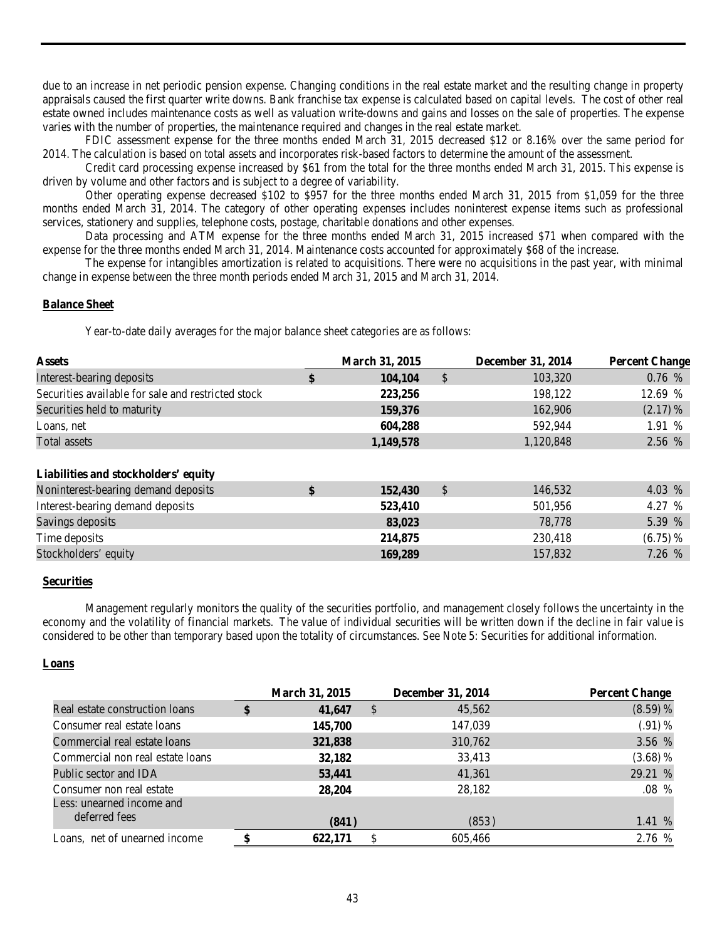due to an increase in net periodic pension expense. Changing conditions in the real estate market and the resulting change in property appraisals caused the first quarter write downs. Bank franchise tax expense is calculated based on capital levels. The cost of other real estate owned includes maintenance costs as well as valuation write-downs and gains and losses on the sale of properties. The expense varies with the number of properties, the maintenance required and changes in the real estate market.

FDIC assessment expense for the three months ended March 31, 2015 decreased \$12 or 8.16% over the same period for 2014. The calculation is based on total assets and incorporates risk-based factors to determine the amount of the assessment.

Credit card processing expense increased by \$61 from the total for the three months ended March 31, 2015. This expense is driven by volume and other factors and is subject to a degree of variability.

Other operating expense decreased \$102 to \$957 for the three months ended March 31, 2015 from \$1,059 for the three months ended March 31, 2014. The category of other operating expenses includes noninterest expense items such as professional services, stationery and supplies, telephone costs, postage, charitable donations and other expenses.

Data processing and ATM expense for the three months ended March 31, 2015 increased \$71 when compared with the expense for the three months ended March 31, 2014. Maintenance costs accounted for approximately \$68 of the increase.

The expense for intangibles amortization is related to acquisitions. There were no acquisitions in the past year, with minimal change in expense between the three month periods ended March 31, 2015 and March 31, 2014.

#### **Balance Sheet**

Year-to-date daily averages for the major balance sheet categories are as follows:

| <b>March 31, 2015</b> |               | <b>December 31, 2014</b> | <b>Percent Change</b> |
|-----------------------|---------------|--------------------------|-----------------------|
| 104,104               | $\mathcal{S}$ | 103,320                  | 0.76%                 |
| 223,256               |               | 198,122                  | 12.69 %               |
| 159,376               |               | 162,906                  | $(2.17)$ %            |
| 604,288               |               | 592,944                  | 1.91 %                |
| 1,149,578             |               | 1,120,848                | 2.56 %                |
|                       |               |                          |                       |
| 152,430               | \$            | 146,532                  | 4.03 %                |
| 523,410               |               | 501,956                  | 4.27 %                |
| 83,023                |               | 78,778                   | 5.39 %                |
| 214,875               |               | 230,418                  | $(6.75)$ %            |
| 169,289               |               | 157,832                  | 7.26 %                |
|                       |               |                          |                       |

# **Securities**

Management regularly monitors the quality of the securities portfolio, and management closely follows the uncertainty in the economy and the volatility of financial markets. The value of individual securities will be written down if the decline in fair value is considered to be other than temporary based upon the totality of circumstances. See Note 5: Securities for additional information.

# **Loans**

|                                  | <b>March 31, 2015</b> |               | <b>December 31, 2014</b> | <b>Percent Change</b> |
|----------------------------------|-----------------------|---------------|--------------------------|-----------------------|
| Real estate construction loans   | 41,647                | $\mathcal{S}$ | 45,562                   | $(8.59)$ %            |
| Consumer real estate loans       | 145,700               |               | 147,039                  | $(0.91)$ %            |
| Commercial real estate loans     | 321,838               |               | 310,762                  | 3.56 %                |
| Commercial non real estate loans | 32,182                |               | 33,413                   | $(3.68)$ %            |
| Public sector and IDA            | 53,441                |               | 41,361                   | 29.21 %               |
| Consumer non real estate         | 28,204                |               | 28,182                   | $.08\%$               |
| Less: unearned income and        |                       |               |                          |                       |
| deferred fees                    | (841)                 |               | (853)                    | 1.41 %                |
| Loans, net of unearned income    | 622,171               |               | 605,466                  | 2.76 %                |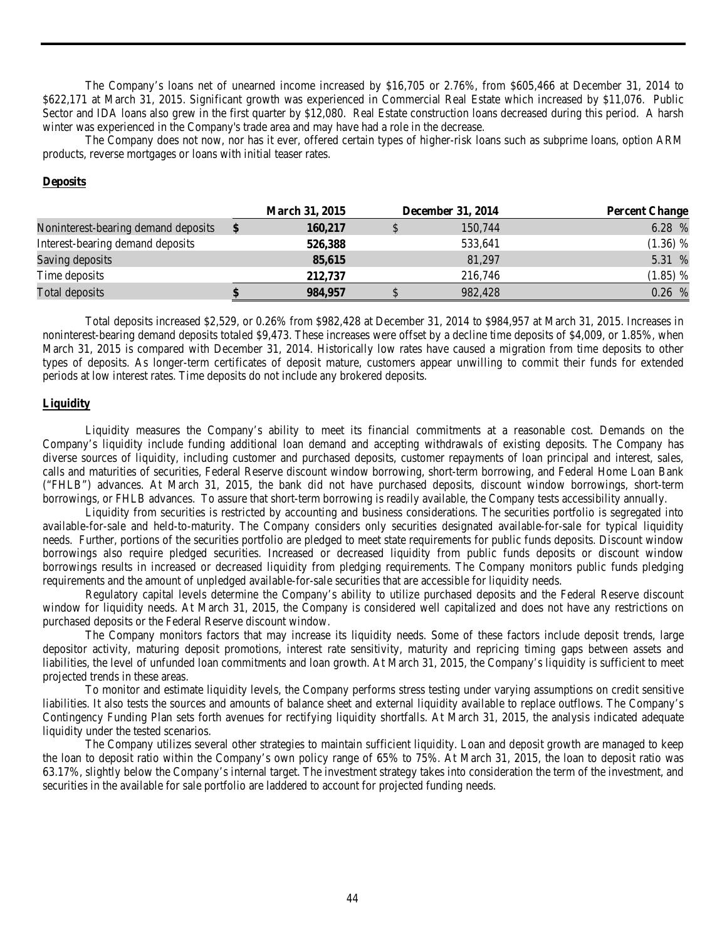The Company's loans net of unearned income increased by \$16,705 or 2.76%, from \$605,466 at December 31, 2014 to \$622,171 at March 31, 2015. Significant growth was experienced in Commercial Real Estate which increased by \$11,076. Public Sector and IDA loans also grew in the first quarter by \$12,080. Real Estate construction loans decreased during this period. A harsh winter was experienced in the Company's trade area and may have had a role in the decrease.

The Company does not now, nor has it ever, offered certain types of higher-risk loans such as subprime loans, option ARM products, reverse mortgages or loans with initial teaser rates.

# **Deposits**

| 6.28 %<br>Noninterest-bearing demand deposits<br>150,744<br>160,217<br>Interest-bearing demand deposits<br>$(1.36)$ %<br>526,388<br>533,641 | <b>Percent Change</b> |
|---------------------------------------------------------------------------------------------------------------------------------------------|-----------------------|
|                                                                                                                                             |                       |
|                                                                                                                                             |                       |
| 5.31 %<br>Saving deposits<br>81,297<br>85,615                                                                                               |                       |
| Time deposits<br>$(1.85)$ %<br>216,746<br>212,737                                                                                           |                       |
| 0.26 %<br>982,428<br>Total deposits<br>984,957                                                                                              |                       |

Total deposits increased \$2,529, or 0.26% from \$982,428 at December 31, 2014 to \$984,957 at March 31, 2015. Increases in noninterest-bearing demand deposits totaled \$9,473. These increases were offset by a decline time deposits of \$4,009, or 1.85%, when March 31, 2015 is compared with December 31, 2014. Historically low rates have caused a migration from time deposits to other types of deposits. As longer-term certificates of deposit mature, customers appear unwilling to commit their funds for extended periods at low interest rates. Time deposits do not include any brokered deposits.

#### **Liquidity**

Liquidity measures the Company's ability to meet its financial commitments at a reasonable cost. Demands on the Company's liquidity include funding additional loan demand and accepting withdrawals of existing deposits. The Company has diverse sources of liquidity, including customer and purchased deposits, customer repayments of loan principal and interest, sales, calls and maturities of securities, Federal Reserve discount window borrowing, short-term borrowing, and Federal Home Loan Bank ("FHLB") advances. At March 31, 2015, the bank did not have purchased deposits, discount window borrowings, short-term borrowings, or FHLB advances. To assure that short-term borrowing is readily available, the Company tests accessibility annually.

Liquidity from securities is restricted by accounting and business considerations. The securities portfolio is segregated into available-for-sale and held-to-maturity. The Company considers only securities designated available-for-sale for typical liquidity needs. Further, portions of the securities portfolio are pledged to meet state requirements for public funds deposits. Discount window borrowings also require pledged securities. Increased or decreased liquidity from public funds deposits or discount window borrowings results in increased or decreased liquidity from pledging requirements. The Company monitors public funds pledging requirements and the amount of unpledged available-for-sale securities that are accessible for liquidity needs.

Regulatory capital levels determine the Company's ability to utilize purchased deposits and the Federal Reserve discount window for liquidity needs. At March 31, 2015, the Company is considered well capitalized and does not have any restrictions on purchased deposits or the Federal Reserve discount window.

The Company monitors factors that may increase its liquidity needs. Some of these factors include deposit trends, large depositor activity, maturing deposit promotions, interest rate sensitivity, maturity and repricing timing gaps between assets and liabilities, the level of unfunded loan commitments and loan growth. At March 31, 2015, the Company's liquidity is sufficient to meet projected trends in these areas.

To monitor and estimate liquidity levels, the Company performs stress testing under varying assumptions on credit sensitive liabilities. It also tests the sources and amounts of balance sheet and external liquidity available to replace outflows. The Company's Contingency Funding Plan sets forth avenues for rectifying liquidity shortfalls. At March 31, 2015, the analysis indicated adequate liquidity under the tested scenarios.

The Company utilizes several other strategies to maintain sufficient liquidity. Loan and deposit growth are managed to keep the loan to deposit ratio within the Company's own policy range of 65% to 75%. At March 31, 2015, the loan to deposit ratio was 63.17%, slightly below the Company's internal target. The investment strategy takes into consideration the term of the investment, and securities in the available for sale portfolio are laddered to account for projected funding needs.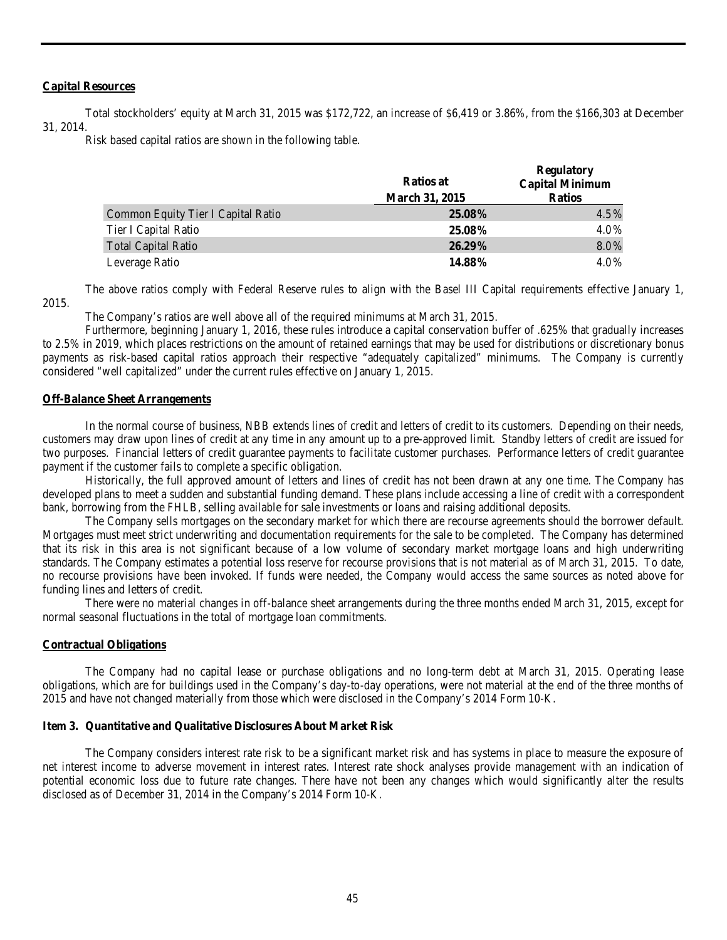#### **Capital Resources**

Total stockholders' equity at March 31, 2015 was \$172,722, an increase of \$6,419 or 3.86%, from the \$166,303 at December 31, 2014.

Risk based capital ratios are shown in the following table.

|                                    | <b>Ratios at</b><br><b>March 31, 2015</b> | <b>Regulatory</b><br><b>Capital Minimum</b><br><b>Ratios</b> |
|------------------------------------|-------------------------------------------|--------------------------------------------------------------|
| Common Equity Tier I Capital Ratio | $25.08\%$                                 | 4.5%                                                         |
| Tier I Capital Ratio               | 25.08%                                    | 4.0%                                                         |
| <b>Total Capital Ratio</b>         | $26.29\%$                                 | 8.0%                                                         |
| Leverage Ratio                     | 14.88%                                    | 4.0%                                                         |

The above ratios comply with Federal Reserve rules to align with the Basel III Capital requirements effective January 1, 2015.

The Company's ratios are well above all of the required minimums at March 31, 2015.

Furthermore, beginning January 1, 2016, these rules introduce a capital conservation buffer of .625% that gradually increases to 2.5% in 2019, which places restrictions on the amount of retained earnings that may be used for distributions or discretionary bonus payments as risk-based capital ratios approach their respective "adequately capitalized" minimums. The Company is currently considered "well capitalized" under the current rules effective on January 1, 2015.

#### **Off-Balance Sheet Arrangements**

In the normal course of business, NBB extends lines of credit and letters of credit to its customers. Depending on their needs, customers may draw upon lines of credit at any time in any amount up to a pre-approved limit. Standby letters of credit are issued for two purposes. Financial letters of credit guarantee payments to facilitate customer purchases. Performance letters of credit guarantee payment if the customer fails to complete a specific obligation.

Historically, the full approved amount of letters and lines of credit has not been drawn at any one time. The Company has developed plans to meet a sudden and substantial funding demand. These plans include accessing a line of credit with a correspondent bank, borrowing from the FHLB, selling available for sale investments or loans and raising additional deposits.

The Company sells mortgages on the secondary market for which there are recourse agreements should the borrower default. Mortgages must meet strict underwriting and documentation requirements for the sale to be completed. The Company has determined that its risk in this area is not significant because of a low volume of secondary market mortgage loans and high underwriting standards. The Company estimates a potential loss reserve for recourse provisions that is not material as of March 31, 2015. To date, no recourse provisions have been invoked. If funds were needed, the Company would access the same sources as noted above for funding lines and letters of credit.

There were no material changes in off-balance sheet arrangements during the three months ended March 31, 2015, except for normal seasonal fluctuations in the total of mortgage loan commitments.

#### **Contractual Obligations**

The Company had no capital lease or purchase obligations and no long-term debt at March 31, 2015. Operating lease obligations, which are for buildings used in the Company's day-to-day operations, were not material at the end of the three months of 2015 and have not changed materially from those which were disclosed in the Company's 2014 Form 10-K.

#### <span id="page-44-0"></span>**Item 3. Quantitative and Qualitative Disclosures About Market Risk**

The Company considers interest rate risk to be a significant market risk and has systems in place to measure the exposure of net interest income to adverse movement in interest rates. Interest rate shock analyses provide management with an indication of potential economic loss due to future rate changes. There have not been any changes which would significantly alter the results disclosed as of December 31, 2014 in the Company's 2014 Form 10-K.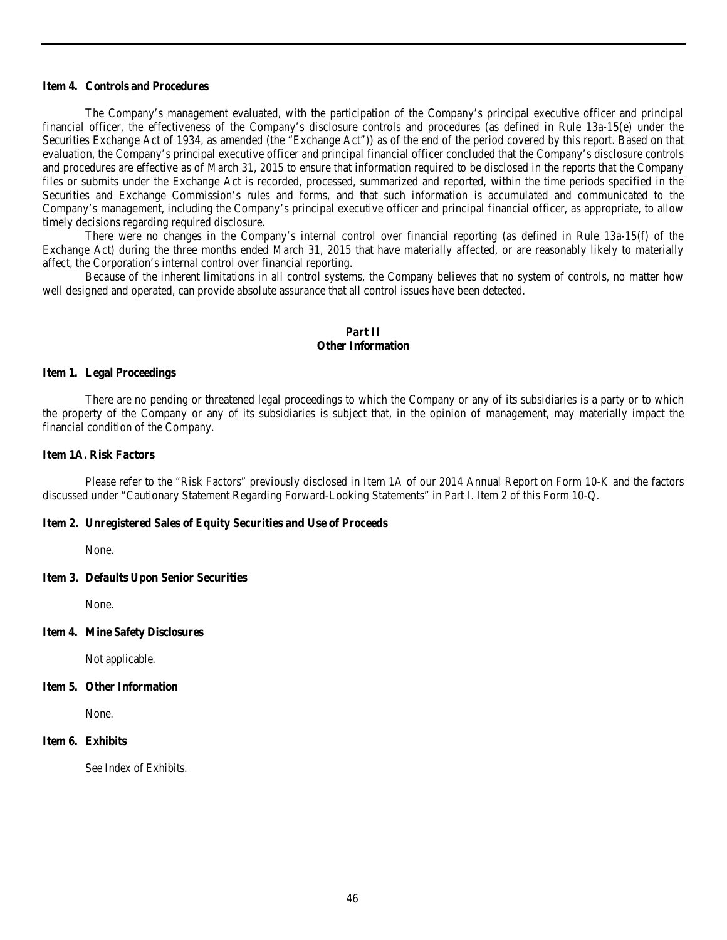## <span id="page-45-0"></span>**Item 4. Controls and Procedures**

The Company's management evaluated, with the participation of the Company's principal executive officer and principal financial officer, the effectiveness of the Company's disclosure controls and procedures (as defined in Rule 13a-15(e) under the Securities Exchange Act of 1934, as amended (the "Exchange Act")) as of the end of the period covered by this report. Based on that evaluation, the Company's principal executive officer and principal financial officer concluded that the Company's disclosure controls and procedures are effective as of March 31, 2015 to ensure that information required to be disclosed in the reports that the Company files or submits under the Exchange Act is recorded, processed, summarized and reported, within the time periods specified in the Securities and Exchange Commission's rules and forms, and that such information is accumulated and communicated to the Company's management, including the Company's principal executive officer and principal financial officer, as appropriate, to allow timely decisions regarding required disclosure.

There were no changes in the Company's internal control over financial reporting (as defined in Rule 13a-15(f) of the Exchange Act) during the three months ended March 31, 2015 that have materially affected, or are reasonably likely to materially affect, the Corporation's internal control over financial reporting.

Because of the inherent limitations in all control systems, the Company believes that no system of controls, no matter how well designed and operated, can provide absolute assurance that all control issues have been detected.

# **Part II Other Information**

#### <span id="page-45-2"></span><span id="page-45-1"></span>**Item 1. Legal Proceedings**

There are no pending or threatened legal proceedings to which the Company or any of its subsidiaries is a party or to which the property of the Company or any of its subsidiaries is subject that, in the opinion of management, may materially impact the financial condition of the Company.

## <span id="page-45-3"></span>**Item 1A. Risk Factors**

Please refer to the "Risk Factors" previously disclosed in Item 1A of our 2014 Annual Report on Form 10-K and the factors discussed under "Cautionary Statement Regarding Forward-Looking Statements" in Part I. Item 2 of this Form 10-Q.

#### <span id="page-45-4"></span>**Item 2. Unregistered Sales of Equity Securities and Use of Proceeds**

None.

#### <span id="page-45-5"></span>**Item 3. Defaults Upon Senior Securities**

None.

#### <span id="page-45-6"></span>**Item 4. Mine Safety Disclosures**

Not applicable.

# <span id="page-45-7"></span>**Item 5. Other Information**

None.

#### <span id="page-45-8"></span>**Item 6. Exhibits**

See Index of Exhibits.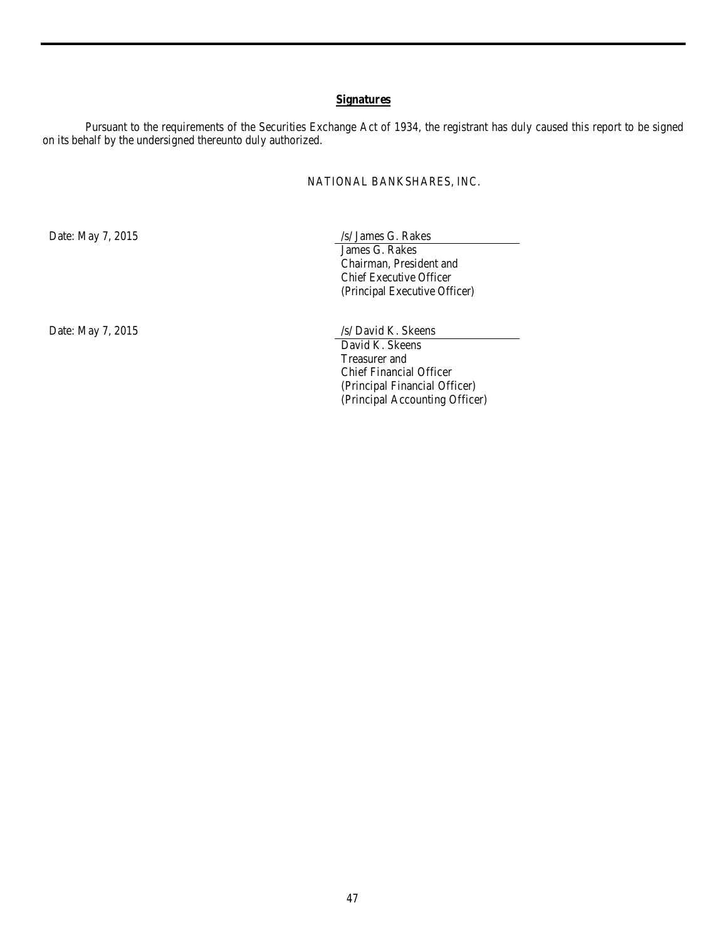# **Signatures**

<span id="page-46-0"></span>Pursuant to the requirements of the Securities Exchange Act of 1934, the registrant has duly caused this report to be signed on its behalf by the undersigned thereunto duly authorized.

NATIONAL BANKSHARES, INC.

Date: May 7, 2015 /s/ James G. Rakes James G. Rakes Chairman, President and Chief Executive Officer (Principal Executive Officer)

Date: May 7, 2015 /s/ David K. Skeens David K. Skeens Treasurer and Chief Financial Officer (Principal Financial Officer) (Principal Accounting Officer)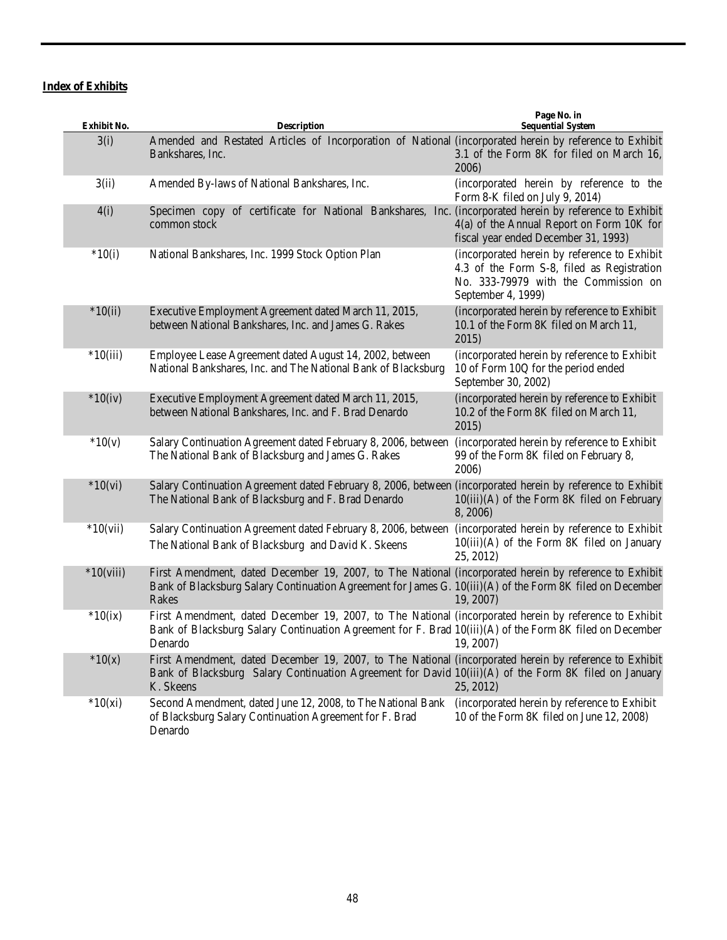# <span id="page-47-0"></span>**Index of Exhibits**

| Exhibit No. | <b>Description</b>                                                                                                                                                                                                            | Page No. in<br><b>Sequential System</b>                                                                                                                  |
|-------------|-------------------------------------------------------------------------------------------------------------------------------------------------------------------------------------------------------------------------------|----------------------------------------------------------------------------------------------------------------------------------------------------------|
| 3(i)        | Amended and Restated Articles of Incorporation of National (incorporated herein by reference to Exhibit<br>Bankshares, Inc.                                                                                                   | 3.1 of the Form 8K for filed on March 16,<br>2006)                                                                                                       |
| 3(ii)       | Amended By-laws of National Bankshares, Inc.                                                                                                                                                                                  | (incorporated herein by reference to the<br>Form 8-K filed on July 9, 2014)                                                                              |
| 4(i)        | Specimen copy of certificate for National Bankshares, Inc. (incorporated herein by reference to Exhibit<br>common stock                                                                                                       | 4(a) of the Annual Report on Form 10K for<br>fiscal year ended December 31, 1993)                                                                        |
| $*10(i)$    | National Bankshares, Inc. 1999 Stock Option Plan                                                                                                                                                                              | (incorporated herein by reference to Exhibit<br>4.3 of the Form S-8, filed as Registration<br>No. 333-79979 with the Commission on<br>September 4, 1999) |
| $*10(ii)$   | Executive Employment Agreement dated March 11, 2015,<br>between National Bankshares, Inc. and James G. Rakes                                                                                                                  | (incorporated herein by reference to Exhibit<br>10.1 of the Form 8K filed on March 11,<br>2015)                                                          |
| $*10(iii)$  | Employee Lease Agreement dated August 14, 2002, between<br>National Bankshares, Inc. and The National Bank of Blacksburg                                                                                                      | (incorporated herein by reference to Exhibit<br>10 of Form 10Q for the period ended<br>September 30, 2002)                                               |
| $*10(iv)$   | Executive Employment Agreement dated March 11, 2015,<br>between National Bankshares, Inc. and F. Brad Denardo                                                                                                                 | (incorporated herein by reference to Exhibit<br>10.2 of the Form 8K filed on March 11,<br>2015)                                                          |
| $*10(v)$    | Salary Continuation Agreement dated February 8, 2006, between<br>The National Bank of Blacksburg and James G. Rakes                                                                                                           | (incorporated herein by reference to Exhibit<br>99 of the Form 8K filed on February 8,<br>2006)                                                          |
| $*10(vi)$   | Salary Continuation Agreement dated February 8, 2006, between (incorporated herein by reference to Exhibit<br>The National Bank of Blacksburg and F. Brad Denardo                                                             | 10(iii)(A) of the Form 8K filed on February<br>8, 2006)                                                                                                  |
| $*10(vii)$  | Salary Continuation Agreement dated February 8, 2006, between<br>The National Bank of Blacksburg and David K. Skeens                                                                                                          | (incorporated herein by reference to Exhibit<br>10(iii)(A) of the Form 8K filed on January<br>25, 2012)                                                  |
| $*10(viii)$ | First Amendment, dated December 19, 2007, to The National (incorporated herein by reference to Exhibit<br>Bank of Blacksburg Salary Continuation Agreement for James G. 10(iii)(A) of the Form 8K filed on December<br>Rakes  | 19, 2007)                                                                                                                                                |
| $*10(ix)$   | First Amendment, dated December 19, 2007, to The National (incorporated herein by reference to Exhibit<br>Bank of Blacksburg Salary Continuation Agreement for F. Brad 10(iii)(A) of the Form 8K filed on December<br>Denardo | 19, 2007)                                                                                                                                                |
| $*10(x)$    | First Amendment, dated December 19, 2007, to The National (incorporated herein by reference to Exhibit<br>Bank of Blacksburg Salary Continuation Agreement for David 10(iii)(A) of the Form 8K filed on January<br>K. Skeens  | 25, 2012)                                                                                                                                                |
| $*10(xi)$   | Second Amendment, dated June 12, 2008, to The National Bank<br>of Blacksburg Salary Continuation Agreement for F. Brad<br>Denardo                                                                                             | (incorporated herein by reference to Exhibit<br>10 of the Form 8K filed on June 12, 2008)                                                                |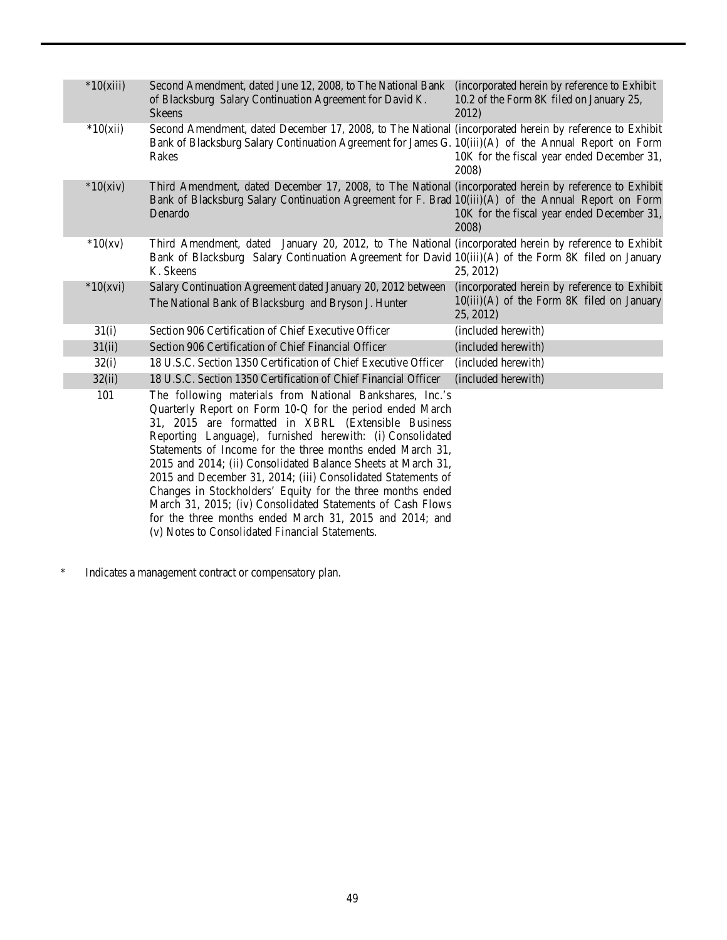| $*10(xiii)$ | Second Amendment, dated June 12, 2008, to The National Bank (incorporated herein by reference to Exhibit<br>of Blacksburg Salary Continuation Agreement for David K.<br><b>Skeens</b>                                                                                                                                                                                                                                                                                                                                                                                                                                                                                           | 10.2 of the Form 8K filed on January 25,<br>2012)                                                         |
|-------------|---------------------------------------------------------------------------------------------------------------------------------------------------------------------------------------------------------------------------------------------------------------------------------------------------------------------------------------------------------------------------------------------------------------------------------------------------------------------------------------------------------------------------------------------------------------------------------------------------------------------------------------------------------------------------------|-----------------------------------------------------------------------------------------------------------|
| $*10(xii)$  | Second Amendment, dated December 17, 2008, to The National (incorporated herein by reference to Exhibit<br>Bank of Blacksburg Salary Continuation Agreement for James G. 10(iii)(A) of the Annual Report on Form<br>Rakes                                                                                                                                                                                                                                                                                                                                                                                                                                                       | 10K for the fiscal year ended December 31,<br>2008)                                                       |
| $*10(xiv)$  | Third Amendment, dated December 17, 2008, to The National (incorporated herein by reference to Exhibit<br>Bank of Blacksburg Salary Continuation Agreement for F. Brad 10(iii)(A) of the Annual Report on Form<br>Denardo                                                                                                                                                                                                                                                                                                                                                                                                                                                       | 10K for the fiscal year ended December 31,<br>2008)                                                       |
| $*10(xv)$   | Third Amendment, dated January 20, 2012, to The National (incorporated herein by reference to Exhibit<br>Bank of Blacksburg Salary Continuation Agreement for David 10(iii)(A) of the Form 8K filed on January<br>K. Skeens                                                                                                                                                                                                                                                                                                                                                                                                                                                     | 25, 2012)                                                                                                 |
| $*10(xvi)$  | Salary Continuation Agreement dated January 20, 2012 between<br>The National Bank of Blacksburg and Bryson J. Hunter                                                                                                                                                                                                                                                                                                                                                                                                                                                                                                                                                            | (incorporated herein by reference to Exhibit<br>$10(iii)(A)$ of the Form 8K filed on January<br>25, 2012) |
| 31(i)       | Section 906 Certification of Chief Executive Officer                                                                                                                                                                                                                                                                                                                                                                                                                                                                                                                                                                                                                            | (included herewith)                                                                                       |
| 31(ii)      | Section 906 Certification of Chief Financial Officer                                                                                                                                                                                                                                                                                                                                                                                                                                                                                                                                                                                                                            | (included herewith)                                                                                       |
| 32(i)       | 18 U.S.C. Section 1350 Certification of Chief Executive Officer                                                                                                                                                                                                                                                                                                                                                                                                                                                                                                                                                                                                                 | (included herewith)                                                                                       |
| 32(ii)      | 18 U.S.C. Section 1350 Certification of Chief Financial Officer                                                                                                                                                                                                                                                                                                                                                                                                                                                                                                                                                                                                                 | (included herewith)                                                                                       |
| 101         | The following materials from National Bankshares, Inc.'s<br>Quarterly Report on Form 10-Q for the period ended March<br>31, 2015 are formatted in XBRL (Extensible Business<br>Reporting Language), furnished herewith: (i) Consolidated<br>Statements of Income for the three months ended March 31,<br>2015 and 2014; (ii) Consolidated Balance Sheets at March 31,<br>2015 and December 31, 2014; (iii) Consolidated Statements of<br>Changes in Stockholders' Equity for the three months ended<br>March 31, 2015; (iv) Consolidated Statements of Cash Flows<br>for the three months ended March 31, 2015 and 2014; and<br>(v) Notes to Consolidated Financial Statements. |                                                                                                           |

\* Indicates a management contract or compensatory plan.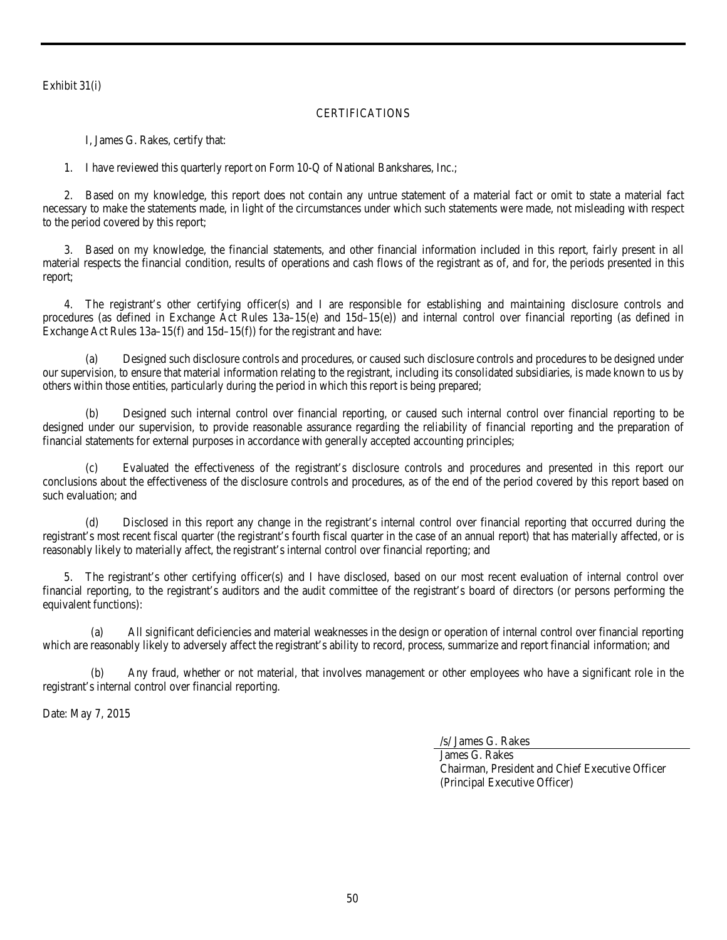<span id="page-49-0"></span>Exhibit 31(i)

# **CERTIFICATIONS**

I, James G. Rakes, certify that:

1. I have reviewed this quarterly report on Form 10-Q of National Bankshares, Inc.;

2. Based on my knowledge, this report does not contain any untrue statement of a material fact or omit to state a material fact necessary to make the statements made, in light of the circumstances under which such statements were made, not misleading with respect to the period covered by this report;

3. Based on my knowledge, the financial statements, and other financial information included in this report, fairly present in all material respects the financial condition, results of operations and cash flows of the registrant as of, and for, the periods presented in this report;

4. The registrant's other certifying officer(s) and I are responsible for establishing and maintaining disclosure controls and procedures (as defined in Exchange Act Rules 13a–15(e) and 15d–15(e)) and internal control over financial reporting (as defined in Exchange Act Rules 13a–15(f) and 15d–15(f)) for the registrant and have:

(a) Designed such disclosure controls and procedures, or caused such disclosure controls and procedures to be designed under our supervision, to ensure that material information relating to the registrant, including its consolidated subsidiaries, is made known to us by others within those entities, particularly during the period in which this report is being prepared;

(b) Designed such internal control over financial reporting, or caused such internal control over financial reporting to be designed under our supervision, to provide reasonable assurance regarding the reliability of financial reporting and the preparation of financial statements for external purposes in accordance with generally accepted accounting principles;

(c) Evaluated the effectiveness of the registrant's disclosure controls and procedures and presented in this report our conclusions about the effectiveness of the disclosure controls and procedures, as of the end of the period covered by this report based on such evaluation; and

(d) Disclosed in this report any change in the registrant's internal control over financial reporting that occurred during the registrant's most recent fiscal quarter (the registrant's fourth fiscal quarter in the case of an annual report) that has materially affected, or is reasonably likely to materially affect, the registrant's internal control over financial reporting; and

5. The registrant's other certifying officer(s) and I have disclosed, based on our most recent evaluation of internal control over financial reporting, to the registrant's auditors and the audit committee of the registrant's board of directors (or persons performing the equivalent functions):

(a) All significant deficiencies and material weaknesses in the design or operation of internal control over financial reporting which are reasonably likely to adversely affect the registrant's ability to record, process, summarize and report financial information; and

Any fraud, whether or not material, that involves management or other employees who have a significant role in the registrant's internal control over financial reporting.

Date: May 7, 2015

/s/ James G. Rakes

James G. Rakes Chairman, President and Chief Executive Officer (Principal Executive Officer)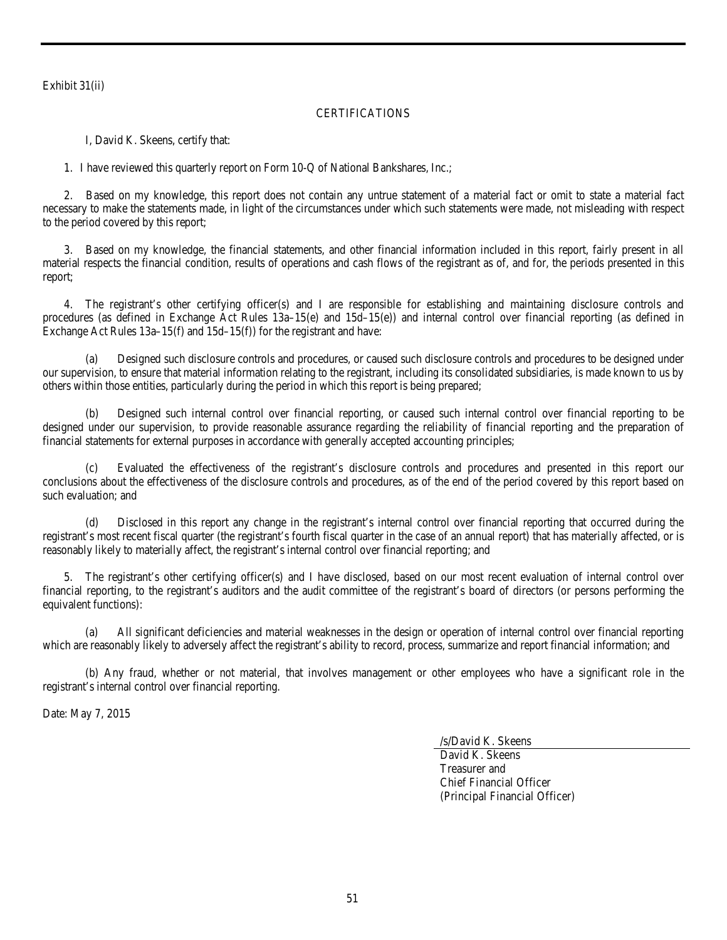Exhibit 31(ii)

# **CERTIFICATIONS**

I, David K. Skeens, certify that:

1. I have reviewed this quarterly report on Form 10-Q of National Bankshares, Inc.;

2. Based on my knowledge, this report does not contain any untrue statement of a material fact or omit to state a material fact necessary to make the statements made, in light of the circumstances under which such statements were made, not misleading with respect to the period covered by this report;

3. Based on my knowledge, the financial statements, and other financial information included in this report, fairly present in all material respects the financial condition, results of operations and cash flows of the registrant as of, and for, the periods presented in this report;

4. The registrant's other certifying officer(s) and I are responsible for establishing and maintaining disclosure controls and procedures (as defined in Exchange Act Rules 13a–15(e) and 15d–15(e)) and internal control over financial reporting (as defined in Exchange Act Rules 13a–15(f) and 15d–15(f)) for the registrant and have:

(a) Designed such disclosure controls and procedures, or caused such disclosure controls and procedures to be designed under our supervision, to ensure that material information relating to the registrant, including its consolidated subsidiaries, is made known to us by others within those entities, particularly during the period in which this report is being prepared;

(b) Designed such internal control over financial reporting, or caused such internal control over financial reporting to be designed under our supervision, to provide reasonable assurance regarding the reliability of financial reporting and the preparation of financial statements for external purposes in accordance with generally accepted accounting principles;

Evaluated the effectiveness of the registrant's disclosure controls and procedures and presented in this report our conclusions about the effectiveness of the disclosure controls and procedures, as of the end of the period covered by this report based on such evaluation; and

Disclosed in this report any change in the registrant's internal control over financial reporting that occurred during the registrant's most recent fiscal quarter (the registrant's fourth fiscal quarter in the case of an annual report) that has materially affected, or is reasonably likely to materially affect, the registrant's internal control over financial reporting; and

5. The registrant's other certifying officer(s) and I have disclosed, based on our most recent evaluation of internal control over financial reporting, to the registrant's auditors and the audit committee of the registrant's board of directors (or persons performing the equivalent functions):

(a) All significant deficiencies and material weaknesses in the design or operation of internal control over financial reporting which are reasonably likely to adversely affect the registrant's ability to record, process, summarize and report financial information; and

(b) Any fraud, whether or not material, that involves management or other employees who have a significant role in the registrant's internal control over financial reporting.

Date: May 7, 2015

/s/David K. Skeens

David K. Skeens Treasurer and Chief Financial Officer (Principal Financial Officer)